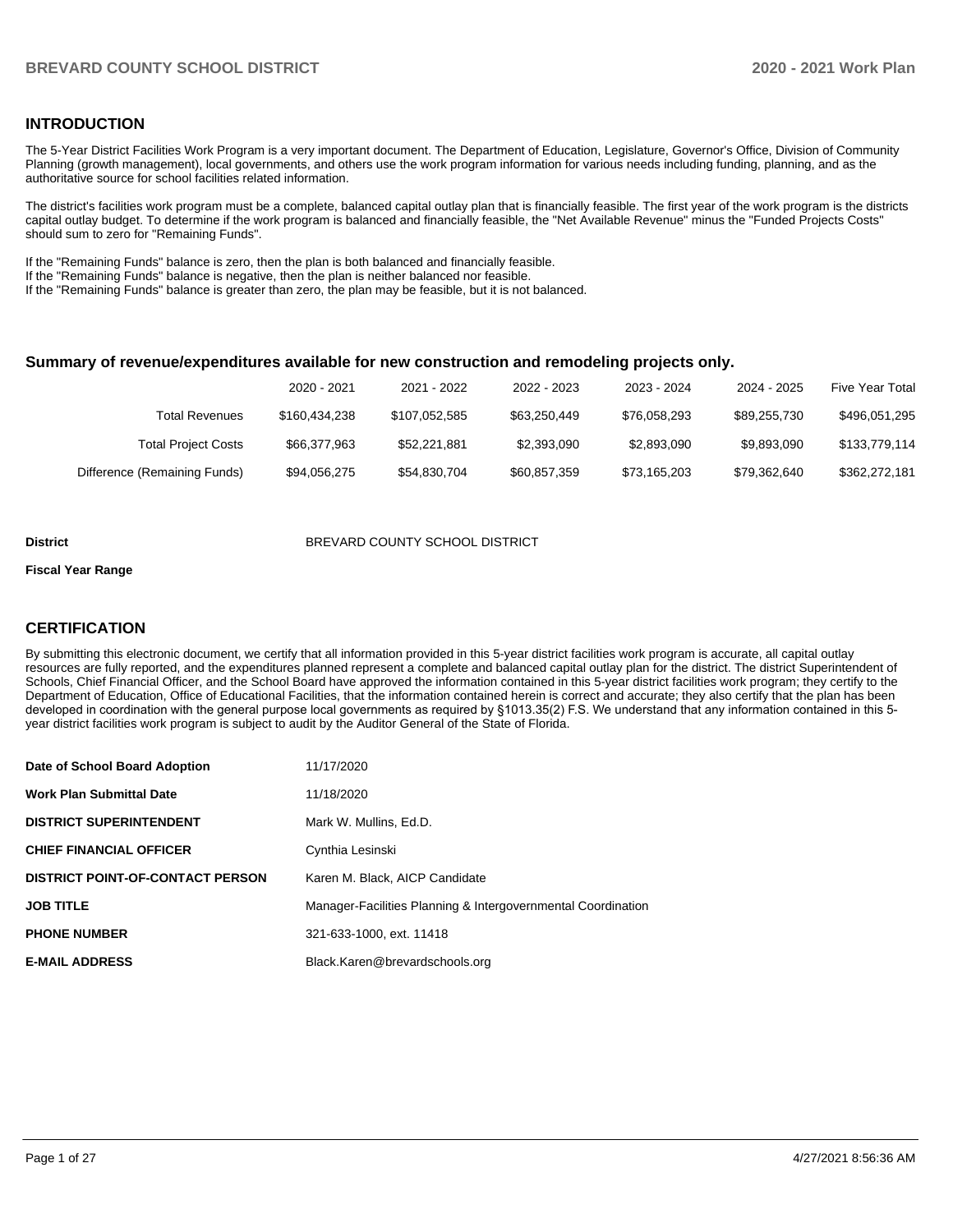#### **INTRODUCTION**

The 5-Year District Facilities Work Program is a very important document. The Department of Education, Legislature, Governor's Office, Division of Community Planning (growth management), local governments, and others use the work program information for various needs including funding, planning, and as the authoritative source for school facilities related information.

The district's facilities work program must be a complete, balanced capital outlay plan that is financially feasible. The first year of the work program is the districts capital outlay budget. To determine if the work program is balanced and financially feasible, the "Net Available Revenue" minus the "Funded Projects Costs" should sum to zero for "Remaining Funds".

If the "Remaining Funds" balance is zero, then the plan is both balanced and financially feasible.

If the "Remaining Funds" balance is negative, then the plan is neither balanced nor feasible.

If the "Remaining Funds" balance is greater than zero, the plan may be feasible, but it is not balanced.

#### **Summary of revenue/expenditures available for new construction and remodeling projects only.**

|                              | 2020 - 2021   | 2021 - 2022   | 2022 - 2023  | 2023 - 2024  | 2024 - 2025  | Five Year Total |
|------------------------------|---------------|---------------|--------------|--------------|--------------|-----------------|
| Total Revenues               | \$160,434,238 | \$107.052.585 | \$63,250,449 | \$76.058.293 | \$89,255,730 | \$496,051,295   |
| <b>Total Project Costs</b>   | \$66.377.963  | \$52,221,881  | \$2.393.090  | \$2,893,090  | \$9.893.090  | \$133,779,114   |
| Difference (Remaining Funds) | \$94,056,275  | \$54,830,704  | \$60,857,359 | \$73.165.203 | \$79.362.640 | \$362,272,181   |

#### **District** BREVARD COUNTY SCHOOL DISTRICT

#### **Fiscal Year Range**

## **CERTIFICATION**

By submitting this electronic document, we certify that all information provided in this 5-year district facilities work program is accurate, all capital outlay resources are fully reported, and the expenditures planned represent a complete and balanced capital outlay plan for the district. The district Superintendent of Schools, Chief Financial Officer, and the School Board have approved the information contained in this 5-year district facilities work program; they certify to the Department of Education, Office of Educational Facilities, that the information contained herein is correct and accurate; they also certify that the plan has been developed in coordination with the general purpose local governments as required by §1013.35(2) F.S. We understand that any information contained in this 5 year district facilities work program is subject to audit by the Auditor General of the State of Florida.

| Date of School Board Adoption           | 11/17/2020                                                   |
|-----------------------------------------|--------------------------------------------------------------|
| <b>Work Plan Submittal Date</b>         | 11/18/2020                                                   |
| <b>DISTRICT SUPERINTENDENT</b>          | Mark W. Mullins, Ed.D.                                       |
| <b>CHIEF FINANCIAL OFFICER</b>          | Cynthia Lesinski                                             |
| <b>DISTRICT POINT-OF-CONTACT PERSON</b> | Karen M. Black, AICP Candidate                               |
| <b>JOB TITLE</b>                        | Manager-Facilities Planning & Intergovernmental Coordination |
| <b>PHONE NUMBER</b>                     | 321-633-1000, ext. 11418                                     |
| <b>E-MAIL ADDRESS</b>                   | Black.Karen@brevardschools.org                               |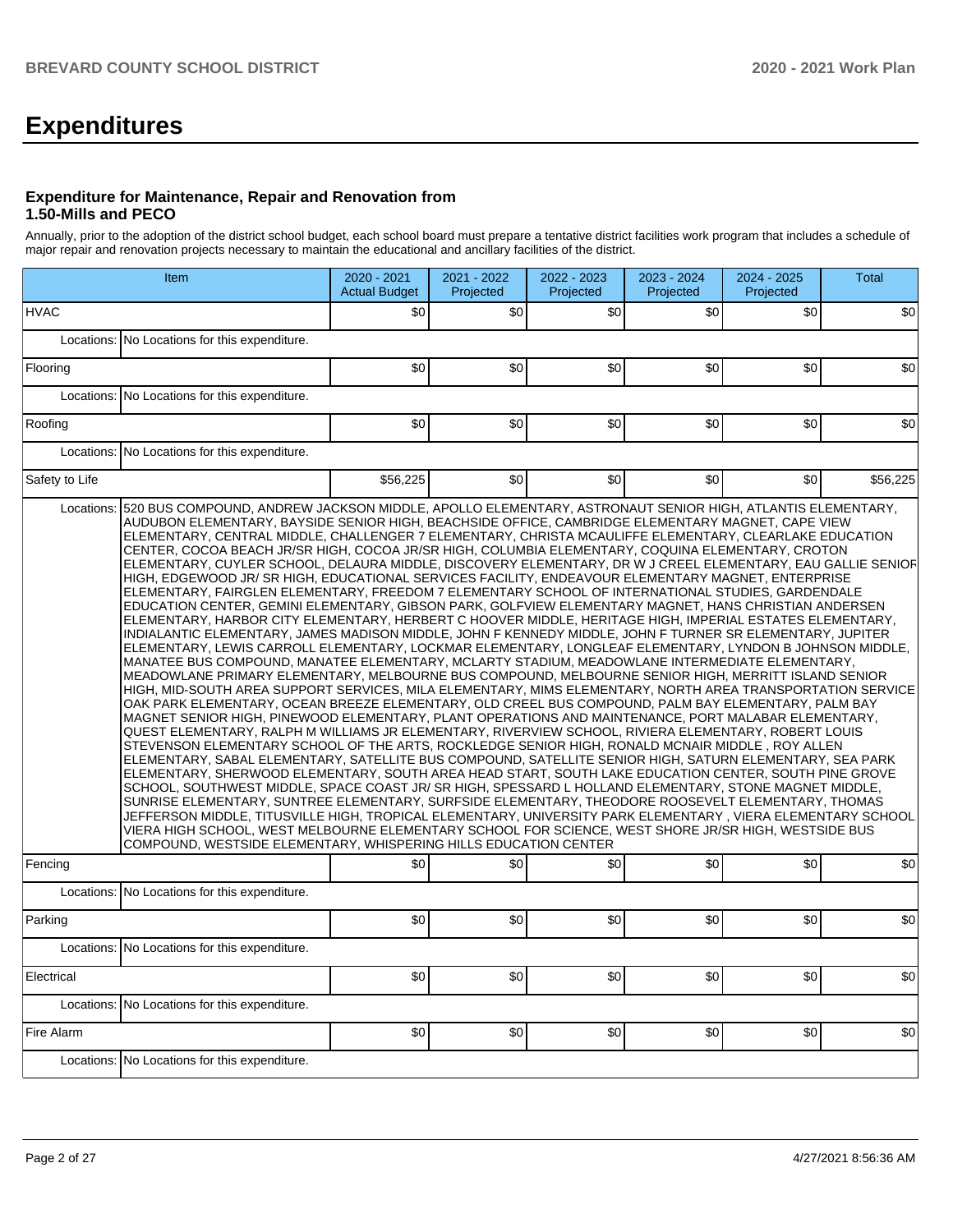# **Expenditures**

#### **Expenditure for Maintenance, Repair and Renovation from 1.50-Mills and PECO**

Annually, prior to the adoption of the district school budget, each school board must prepare a tentative district facilities work program that includes a schedule of major repair and renovation projects necessary to maintain the educational and ancillary facilities of the district.

|                | Item                                                                                                                                                                                                                                                                                                                                                                                                                                                                                                                                                                                                                                                                                                                                                                                                                                                                                                                                                                                                                                                                                                                                                                                                                                                                                                                                                                                                                                                                                                                                                                                                                                                                                                                                                                                                                                                                                                                                                                                                                                                                                                                                                                                                                                                                                                                                                                                                                                                                  |          | 2021 - 2022<br>Projected | 2022 - 2023<br>Projected | 2023 - 2024<br>Projected | 2024 - 2025<br>Projected | <b>Total</b> |
|----------------|-----------------------------------------------------------------------------------------------------------------------------------------------------------------------------------------------------------------------------------------------------------------------------------------------------------------------------------------------------------------------------------------------------------------------------------------------------------------------------------------------------------------------------------------------------------------------------------------------------------------------------------------------------------------------------------------------------------------------------------------------------------------------------------------------------------------------------------------------------------------------------------------------------------------------------------------------------------------------------------------------------------------------------------------------------------------------------------------------------------------------------------------------------------------------------------------------------------------------------------------------------------------------------------------------------------------------------------------------------------------------------------------------------------------------------------------------------------------------------------------------------------------------------------------------------------------------------------------------------------------------------------------------------------------------------------------------------------------------------------------------------------------------------------------------------------------------------------------------------------------------------------------------------------------------------------------------------------------------------------------------------------------------------------------------------------------------------------------------------------------------------------------------------------------------------------------------------------------------------------------------------------------------------------------------------------------------------------------------------------------------------------------------------------------------------------------------------------------------|----------|--------------------------|--------------------------|--------------------------|--------------------------|--------------|
| <b>HVAC</b>    |                                                                                                                                                                                                                                                                                                                                                                                                                                                                                                                                                                                                                                                                                                                                                                                                                                                                                                                                                                                                                                                                                                                                                                                                                                                                                                                                                                                                                                                                                                                                                                                                                                                                                                                                                                                                                                                                                                                                                                                                                                                                                                                                                                                                                                                                                                                                                                                                                                                                       | \$0      | \$0                      | \$0                      | \$0                      | \$0                      | \$0          |
| Locations:     | No Locations for this expenditure.                                                                                                                                                                                                                                                                                                                                                                                                                                                                                                                                                                                                                                                                                                                                                                                                                                                                                                                                                                                                                                                                                                                                                                                                                                                                                                                                                                                                                                                                                                                                                                                                                                                                                                                                                                                                                                                                                                                                                                                                                                                                                                                                                                                                                                                                                                                                                                                                                                    |          |                          |                          |                          |                          |              |
| Flooring       |                                                                                                                                                                                                                                                                                                                                                                                                                                                                                                                                                                                                                                                                                                                                                                                                                                                                                                                                                                                                                                                                                                                                                                                                                                                                                                                                                                                                                                                                                                                                                                                                                                                                                                                                                                                                                                                                                                                                                                                                                                                                                                                                                                                                                                                                                                                                                                                                                                                                       | \$0      | \$0                      | \$0                      | \$0                      | \$0                      | \$0          |
| Locations:     | No Locations for this expenditure.                                                                                                                                                                                                                                                                                                                                                                                                                                                                                                                                                                                                                                                                                                                                                                                                                                                                                                                                                                                                                                                                                                                                                                                                                                                                                                                                                                                                                                                                                                                                                                                                                                                                                                                                                                                                                                                                                                                                                                                                                                                                                                                                                                                                                                                                                                                                                                                                                                    |          |                          |                          |                          |                          |              |
| Roofing        |                                                                                                                                                                                                                                                                                                                                                                                                                                                                                                                                                                                                                                                                                                                                                                                                                                                                                                                                                                                                                                                                                                                                                                                                                                                                                                                                                                                                                                                                                                                                                                                                                                                                                                                                                                                                                                                                                                                                                                                                                                                                                                                                                                                                                                                                                                                                                                                                                                                                       | \$0      | \$0                      | \$0                      | \$0                      | \$0                      | \$0          |
|                | Locations: No Locations for this expenditure.                                                                                                                                                                                                                                                                                                                                                                                                                                                                                                                                                                                                                                                                                                                                                                                                                                                                                                                                                                                                                                                                                                                                                                                                                                                                                                                                                                                                                                                                                                                                                                                                                                                                                                                                                                                                                                                                                                                                                                                                                                                                                                                                                                                                                                                                                                                                                                                                                         |          |                          |                          |                          |                          |              |
| Safety to Life |                                                                                                                                                                                                                                                                                                                                                                                                                                                                                                                                                                                                                                                                                                                                                                                                                                                                                                                                                                                                                                                                                                                                                                                                                                                                                                                                                                                                                                                                                                                                                                                                                                                                                                                                                                                                                                                                                                                                                                                                                                                                                                                                                                                                                                                                                                                                                                                                                                                                       | \$56,225 | \$0                      | \$0                      | \$0                      | \$0                      | \$56,225     |
|                | ELEMENTARY, CENTRAL MIDDLE, CHALLENGER 7 ELEMENTARY, CHRISTA MCAULIFFE ELEMENTARY, CLEARLAKE EDUCATION<br>CENTER, COCOA BEACH JR/SR HIGH, COCOA JR/SR HIGH, COLUMBIA ELEMENTARY, COQUINA ELEMENTARY, CROTON<br>ELEMENTARY, CUYLER SCHOOL, DELAURA MIDDLE, DISCOVERY ELEMENTARY, DR W J CREEL ELEMENTARY, EAU GALLIE SENIOF <br>HIGH, EDGEWOOD JR/ SR HIGH, EDUCATIONAL SERVICES FACILITY, ENDEAVOUR ELEMENTARY MAGNET, ENTERPRISE<br>ELEMENTARY, FAIRGLEN ELEMENTARY, FREEDOM 7 ELEMENTARY SCHOOL OF INTERNATIONAL STUDIES, GARDENDALE<br>EDUCATION CENTER, GEMINI ELEMENTARY, GIBSON PARK, GOLFVIEW ELEMENTARY MAGNET, HANS CHRISTIAN ANDERSEN<br>ELEMENTARY, HARBOR CITY ELEMENTARY, HERBERT C HOOVER MIDDLE, HERITAGE HIGH, IMPERIAL ESTATES ELEMENTARY,<br>INDIALANTIC ELEMENTARY, JAMES MADISON MIDDLE, JOHN F KENNEDY MIDDLE, JOHN F TURNER SR ELEMENTARY, JUPITER<br>ELEMENTARY, LEWIS CARROLL ELEMENTARY, LOCKMAR ELEMENTARY, LONGLEAF ELEMENTARY, LYNDON B JOHNSON MIDDLE,<br>MANATEE BUS COMPOUND, MANATEE ELEMENTARY, MCLARTY STADIUM, MEADOWLANE INTERMEDIATE ELEMENTARY,<br>MEADOWLANE PRIMARY ELEMENTARY, MELBOURNE BUS COMPOUND, MELBOURNE SENIOR HIGH, MERRITT ISLAND SENIOR<br>HIGH, MID-SOUTH AREA SUPPORT SERVICES, MILA ELEMENTARY, MIMS ELEMENTARY, NORTH AREA TRANSPORTATION SERVICE<br>OAK PARK ELEMENTARY, OCEAN BREEZE ELEMENTARY, OLD CREEL BUS COMPOUND, PALM BAY ELEMENTARY, PALM BAY<br>MAGNET SENIOR HIGH, PINEWOOD ELEMENTARY, PLANT OPERATIONS AND MAINTENANCE, PORT MALABAR ELEMENTARY,<br>QUEST ELEMENTARY, RALPH M WILLIAMS JR ELEMENTARY, RIVERVIEW SCHOOL, RIVIERA ELEMENTARY, ROBERT LOUIS<br>STEVENSON ELEMENTARY SCHOOL OF THE ARTS, ROCKLEDGE SENIOR HIGH, RONALD MCNAIR MIDDLE , ROY ALLEN<br>ELEMENTARY, SABAL ELEMENTARY, SATELLITE BUS COMPOUND, SATELLITE SENIOR HIGH, SATURN ELEMENTARY, SEA PARK<br>ELEMENTARY, SHERWOOD ELEMENTARY, SOUTH AREA HEAD START, SOUTH LAKE EDUCATION CENTER, SOUTH PINE GROVE<br>SCHOOL, SOUTHWEST MIDDLE, SPACE COAST JR/ SR HIGH, SPESSARD L HOLLAND ELEMENTARY, STONE MAGNET MIDDLE,<br>SUNRISE ELEMENTARY, SUNTREE ELEMENTARY, SURFSIDE ELEMENTARY, THEODORE ROOSEVELT ELEMENTARY, THOMAS<br>JEFFERSON MIDDLE, TITUSVILLE HIGH, TROPICAL ELEMENTARY, UNIVERSITY PARK ELEMENTARY , VIERA ELEMENTARY SCHOOL<br>VIERA HIGH SCHOOL, WEST MELBOURNE ELEMENTARY SCHOOL FOR SCIENCE, WEST SHORE JR/SR HIGH, WESTSIDE BUS<br>COMPOUND, WESTSIDE ELEMENTARY, WHISPERING HILLS EDUCATION CENTER | \$0      | \$0                      |                          |                          |                          |              |
| Fencing        |                                                                                                                                                                                                                                                                                                                                                                                                                                                                                                                                                                                                                                                                                                                                                                                                                                                                                                                                                                                                                                                                                                                                                                                                                                                                                                                                                                                                                                                                                                                                                                                                                                                                                                                                                                                                                                                                                                                                                                                                                                                                                                                                                                                                                                                                                                                                                                                                                                                                       |          |                          | \$0                      | \$0                      | \$0                      | \$0          |
| Locations:     | No Locations for this expenditure.                                                                                                                                                                                                                                                                                                                                                                                                                                                                                                                                                                                                                                                                                                                                                                                                                                                                                                                                                                                                                                                                                                                                                                                                                                                                                                                                                                                                                                                                                                                                                                                                                                                                                                                                                                                                                                                                                                                                                                                                                                                                                                                                                                                                                                                                                                                                                                                                                                    |          |                          |                          |                          |                          |              |
| Parking        |                                                                                                                                                                                                                                                                                                                                                                                                                                                                                                                                                                                                                                                                                                                                                                                                                                                                                                                                                                                                                                                                                                                                                                                                                                                                                                                                                                                                                                                                                                                                                                                                                                                                                                                                                                                                                                                                                                                                                                                                                                                                                                                                                                                                                                                                                                                                                                                                                                                                       | \$0      | \$0                      | \$0                      | \$0                      | \$0                      | \$0          |
|                | Locations: No Locations for this expenditure.                                                                                                                                                                                                                                                                                                                                                                                                                                                                                                                                                                                                                                                                                                                                                                                                                                                                                                                                                                                                                                                                                                                                                                                                                                                                                                                                                                                                                                                                                                                                                                                                                                                                                                                                                                                                                                                                                                                                                                                                                                                                                                                                                                                                                                                                                                                                                                                                                         |          |                          |                          |                          |                          |              |
| Electrical     |                                                                                                                                                                                                                                                                                                                                                                                                                                                                                                                                                                                                                                                                                                                                                                                                                                                                                                                                                                                                                                                                                                                                                                                                                                                                                                                                                                                                                                                                                                                                                                                                                                                                                                                                                                                                                                                                                                                                                                                                                                                                                                                                                                                                                                                                                                                                                                                                                                                                       | \$0      | \$0                      | \$0                      | \$0                      | \$0                      | \$0          |
| Locations:     | No Locations for this expenditure.                                                                                                                                                                                                                                                                                                                                                                                                                                                                                                                                                                                                                                                                                                                                                                                                                                                                                                                                                                                                                                                                                                                                                                                                                                                                                                                                                                                                                                                                                                                                                                                                                                                                                                                                                                                                                                                                                                                                                                                                                                                                                                                                                                                                                                                                                                                                                                                                                                    |          |                          |                          |                          |                          |              |
| Fire Alarm     |                                                                                                                                                                                                                                                                                                                                                                                                                                                                                                                                                                                                                                                                                                                                                                                                                                                                                                                                                                                                                                                                                                                                                                                                                                                                                                                                                                                                                                                                                                                                                                                                                                                                                                                                                                                                                                                                                                                                                                                                                                                                                                                                                                                                                                                                                                                                                                                                                                                                       | \$0      | \$0                      | \$0                      | \$0                      | \$0                      | \$0          |
|                | Locations: No Locations for this expenditure.                                                                                                                                                                                                                                                                                                                                                                                                                                                                                                                                                                                                                                                                                                                                                                                                                                                                                                                                                                                                                                                                                                                                                                                                                                                                                                                                                                                                                                                                                                                                                                                                                                                                                                                                                                                                                                                                                                                                                                                                                                                                                                                                                                                                                                                                                                                                                                                                                         |          |                          |                          |                          |                          |              |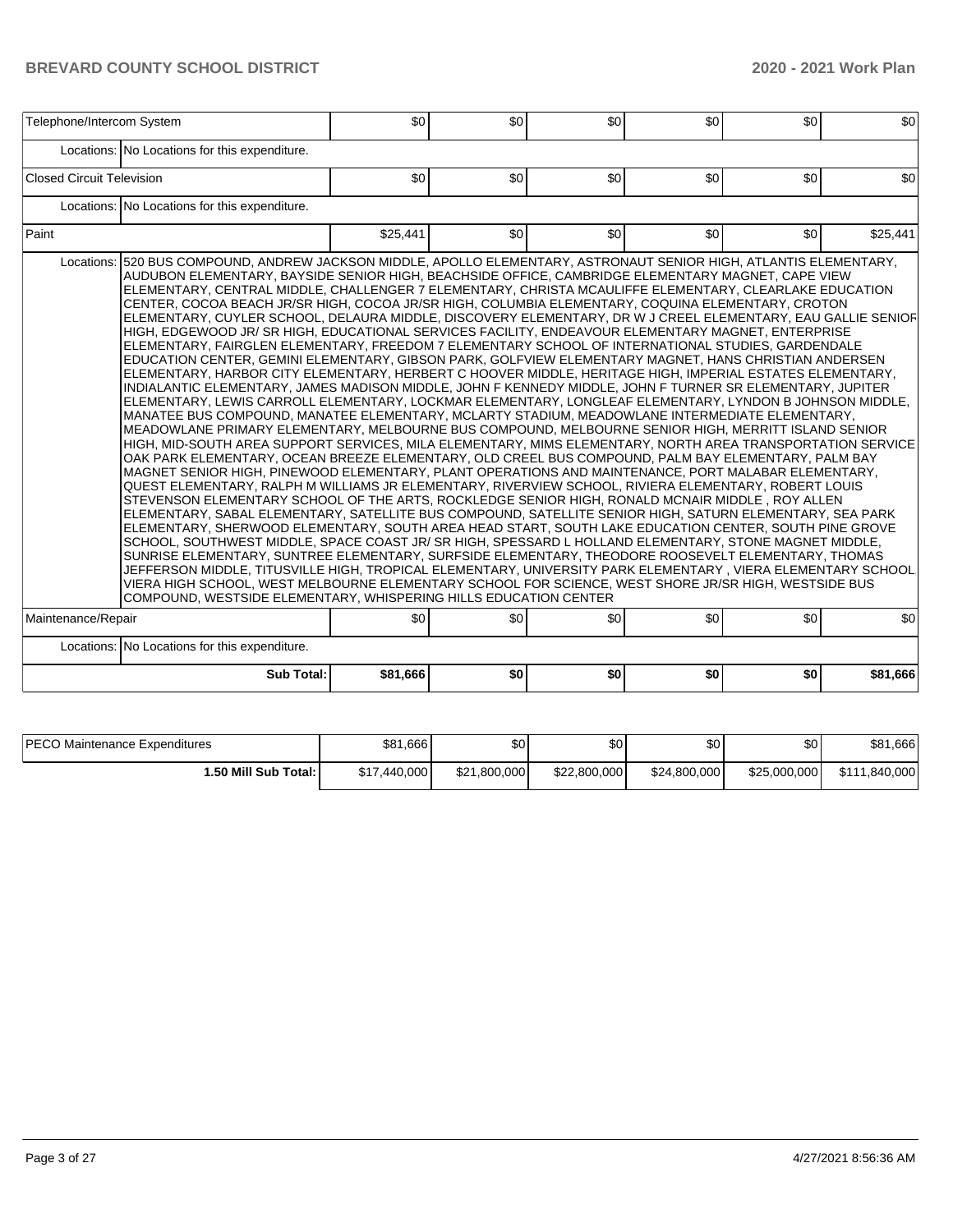|                           | Telephone/Intercom System                                                                                                                                                                                                                                                                                                                                                                                                                                                                                                                                                                                                                                                                                                                                                                                                                                                                                                                                                                                                                                                                                                                                                                                                                                                                                                                                                                                                                                                                                                                                                                                                                                                                                                                                                                                                                                                                                                                                                                                                                                                                                                                                                                                                                                                                                                                                                                                                                                                                                                                                                                                                                                                                     | \$0      | \$0 | \$0              | \$0 | \$0 | \$0      |
|---------------------------|-----------------------------------------------------------------------------------------------------------------------------------------------------------------------------------------------------------------------------------------------------------------------------------------------------------------------------------------------------------------------------------------------------------------------------------------------------------------------------------------------------------------------------------------------------------------------------------------------------------------------------------------------------------------------------------------------------------------------------------------------------------------------------------------------------------------------------------------------------------------------------------------------------------------------------------------------------------------------------------------------------------------------------------------------------------------------------------------------------------------------------------------------------------------------------------------------------------------------------------------------------------------------------------------------------------------------------------------------------------------------------------------------------------------------------------------------------------------------------------------------------------------------------------------------------------------------------------------------------------------------------------------------------------------------------------------------------------------------------------------------------------------------------------------------------------------------------------------------------------------------------------------------------------------------------------------------------------------------------------------------------------------------------------------------------------------------------------------------------------------------------------------------------------------------------------------------------------------------------------------------------------------------------------------------------------------------------------------------------------------------------------------------------------------------------------------------------------------------------------------------------------------------------------------------------------------------------------------------------------------------------------------------------------------------------------------------|----------|-----|------------------|-----|-----|----------|
|                           | Locations: No Locations for this expenditure.                                                                                                                                                                                                                                                                                                                                                                                                                                                                                                                                                                                                                                                                                                                                                                                                                                                                                                                                                                                                                                                                                                                                                                                                                                                                                                                                                                                                                                                                                                                                                                                                                                                                                                                                                                                                                                                                                                                                                                                                                                                                                                                                                                                                                                                                                                                                                                                                                                                                                                                                                                                                                                                 |          |     |                  |     |     |          |
| Closed Circuit Television |                                                                                                                                                                                                                                                                                                                                                                                                                                                                                                                                                                                                                                                                                                                                                                                                                                                                                                                                                                                                                                                                                                                                                                                                                                                                                                                                                                                                                                                                                                                                                                                                                                                                                                                                                                                                                                                                                                                                                                                                                                                                                                                                                                                                                                                                                                                                                                                                                                                                                                                                                                                                                                                                                               | \$0      | \$0 | \$0              | \$0 | \$0 | \$0      |
|                           | Locations: No Locations for this expenditure.                                                                                                                                                                                                                                                                                                                                                                                                                                                                                                                                                                                                                                                                                                                                                                                                                                                                                                                                                                                                                                                                                                                                                                                                                                                                                                                                                                                                                                                                                                                                                                                                                                                                                                                                                                                                                                                                                                                                                                                                                                                                                                                                                                                                                                                                                                                                                                                                                                                                                                                                                                                                                                                 |          |     |                  |     |     |          |
| Paint                     |                                                                                                                                                                                                                                                                                                                                                                                                                                                                                                                                                                                                                                                                                                                                                                                                                                                                                                                                                                                                                                                                                                                                                                                                                                                                                                                                                                                                                                                                                                                                                                                                                                                                                                                                                                                                                                                                                                                                                                                                                                                                                                                                                                                                                                                                                                                                                                                                                                                                                                                                                                                                                                                                                               | \$25,441 | \$0 | \$0 <sub>1</sub> | \$0 | \$0 | \$25,441 |
|                           | Locations: 520 BUS COMPOUND, ANDREW JACKSON MIDDLE, APOLLO ELEMENTARY, ASTRONAUT SENIOR HIGH, ATLANTIS ELEMENTARY,<br>AUDUBON ELEMENTARY, BAYSIDE SENIOR HIGH, BEACHSIDE OFFICE, CAMBRIDGE ELEMENTARY MAGNET, CAPE VIEW<br>ELEMENTARY, CENTRAL MIDDLE, CHALLENGER 7 ELEMENTARY, CHRISTA MCAULIFFE ELEMENTARY, CLEARLAKE EDUCATION<br>CENTER, COCOA BEACH JR/SR HIGH, COCOA JR/SR HIGH, COLUMBIA ELEMENTARY, COQUINA ELEMENTARY, CROTON<br>ELEMENTARY, CUYLER SCHOOL, DELAURA MIDDLE, DISCOVERY ELEMENTARY, DR W J CREEL ELEMENTARY, EAU GALLIE SENIOF<br>HIGH, EDGEWOOD JR/ SR HIGH, EDUCATIONAL SERVICES FACILITY, ENDEAVOUR ELEMENTARY MAGNET, ENTERPRISE<br>ELEMENTARY, FAIRGLEN ELEMENTARY, FREEDOM 7 ELEMENTARY SCHOOL OF INTERNATIONAL STUDIES, GARDENDALE<br>EDUCATION CENTER, GEMINI ELEMENTARY, GIBSON PARK, GOLFVIEW ELEMENTARY MAGNET, HANS CHRISTIAN ANDERSEN<br>ELEMENTARY, HARBOR CITY ELEMENTARY, HERBERT C HOOVER MIDDLE, HERITAGE HIGH, IMPERIAL ESTATES ELEMENTARY,<br>INDIALANTIC ELEMENTARY, JAMES MADISON MIDDLE, JOHN F KENNEDY MIDDLE, JOHN F TURNER SR ELEMENTARY, JUPITER<br>ELEMENTARY, LEWIS CARROLL ELEMENTARY, LOCKMAR ELEMENTARY, LONGLEAF ELEMENTARY, LYNDON B JOHNSON MIDDLE,<br>MANATEE BUS COMPOUND, MANATEE ELEMENTARY, MCLARTY STADIUM, MEADOWLANE INTERMEDIATE ELEMENTARY,<br>MEADOWLANE PRIMARY ELEMENTARY, MELBOURNE BUS COMPOUND, MELBOURNE SENIOR HIGH, MERRITT ISLAND SENIOR<br>HIGH, MID-SOUTH AREA SUPPORT SERVICES, MILA ELEMENTARY, MIMS ELEMENTARY, NORTH AREA TRANSPORTATION SERVICE<br>OAK PARK ELEMENTARY, OCEAN BREEZE ELEMENTARY, OLD CREEL BUS COMPOUND, PALM BAY ELEMENTARY, PALM BAY<br>MAGNET SENIOR HIGH, PINEWOOD ELEMENTARY, PLANT OPERATIONS AND MAINTENANCE, PORT MALABAR ELEMENTARY,<br>QUEST ELEMENTARY, RALPH M WILLIAMS JR ELEMENTARY, RIVERVIEW SCHOOL, RIVIERA ELEMENTARY, ROBERT LOUIS<br>STEVENSON ELEMENTARY SCHOOL OF THE ARTS, ROCKLEDGE SENIOR HIGH, RONALD MCNAIR MIDDLE, ROY ALLEN<br>ELEMENTARY, SABAL ELEMENTARY, SATELLITE BUS COMPOUND, SATELLITE SENIOR HIGH, SATURN ELEMENTARY, SEA PARK<br>ELEMENTARY, SHERWOOD ELEMENTARY, SOUTH AREA HEAD START, SOUTH LAKE EDUCATION CENTER, SOUTH PINE GROVE<br>SCHOOL, SOUTHWEST MIDDLE, SPACE COAST JR/SR HIGH, SPESSARD L HOLLAND ELEMENTARY, STONE MAGNET MIDDLE,<br>SUNRISE ELEMENTARY, SUNTREE ELEMENTARY, SURFSIDE ELEMENTARY, THEODORE ROOSEVELT ELEMENTARY, THOMAS<br>JEFFERSON MIDDLE, TITUSVILLE HIGH, TROPICAL ELEMENTARY, UNIVERSITY PARK ELEMENTARY , VIERA ELEMENTARY SCHOOL<br>VIERA HIGH SCHOOL, WEST MELBOURNE ELEMENTARY SCHOOL FOR SCIENCE, WEST SHORE JR/SR HIGH, WESTSIDE BUS<br>COMPOUND, WESTSIDE ELEMENTARY, WHISPERING HILLS EDUCATION CENTER |          |     |                  |     |     |          |
| Maintenance/Repair        |                                                                                                                                                                                                                                                                                                                                                                                                                                                                                                                                                                                                                                                                                                                                                                                                                                                                                                                                                                                                                                                                                                                                                                                                                                                                                                                                                                                                                                                                                                                                                                                                                                                                                                                                                                                                                                                                                                                                                                                                                                                                                                                                                                                                                                                                                                                                                                                                                                                                                                                                                                                                                                                                                               | \$0      | \$0 | \$0              | \$0 | \$0 | \$0      |
|                           | Locations: No Locations for this expenditure.                                                                                                                                                                                                                                                                                                                                                                                                                                                                                                                                                                                                                                                                                                                                                                                                                                                                                                                                                                                                                                                                                                                                                                                                                                                                                                                                                                                                                                                                                                                                                                                                                                                                                                                                                                                                                                                                                                                                                                                                                                                                                                                                                                                                                                                                                                                                                                                                                                                                                                                                                                                                                                                 |          |     |                  |     |     |          |
|                           | <b>Sub Total:</b>                                                                                                                                                                                                                                                                                                                                                                                                                                                                                                                                                                                                                                                                                                                                                                                                                                                                                                                                                                                                                                                                                                                                                                                                                                                                                                                                                                                                                                                                                                                                                                                                                                                                                                                                                                                                                                                                                                                                                                                                                                                                                                                                                                                                                                                                                                                                                                                                                                                                                                                                                                                                                                                                             | \$81,666 | \$0 | \$0              | \$0 | \$0 | \$81,666 |

| <b>IPECO Maintenance Expenditures</b> | \$81,666     | ሶሳ<br>æυ     | \$0          | \$0          | \$0          | \$81,666      |
|---------------------------------------|--------------|--------------|--------------|--------------|--------------|---------------|
| <b>i.50 Mill Sub Total:</b> I         | \$17,440,000 | \$21,800,000 | \$22,800,000 | \$24,800,000 | \$25,000,000 | \$111,840,000 |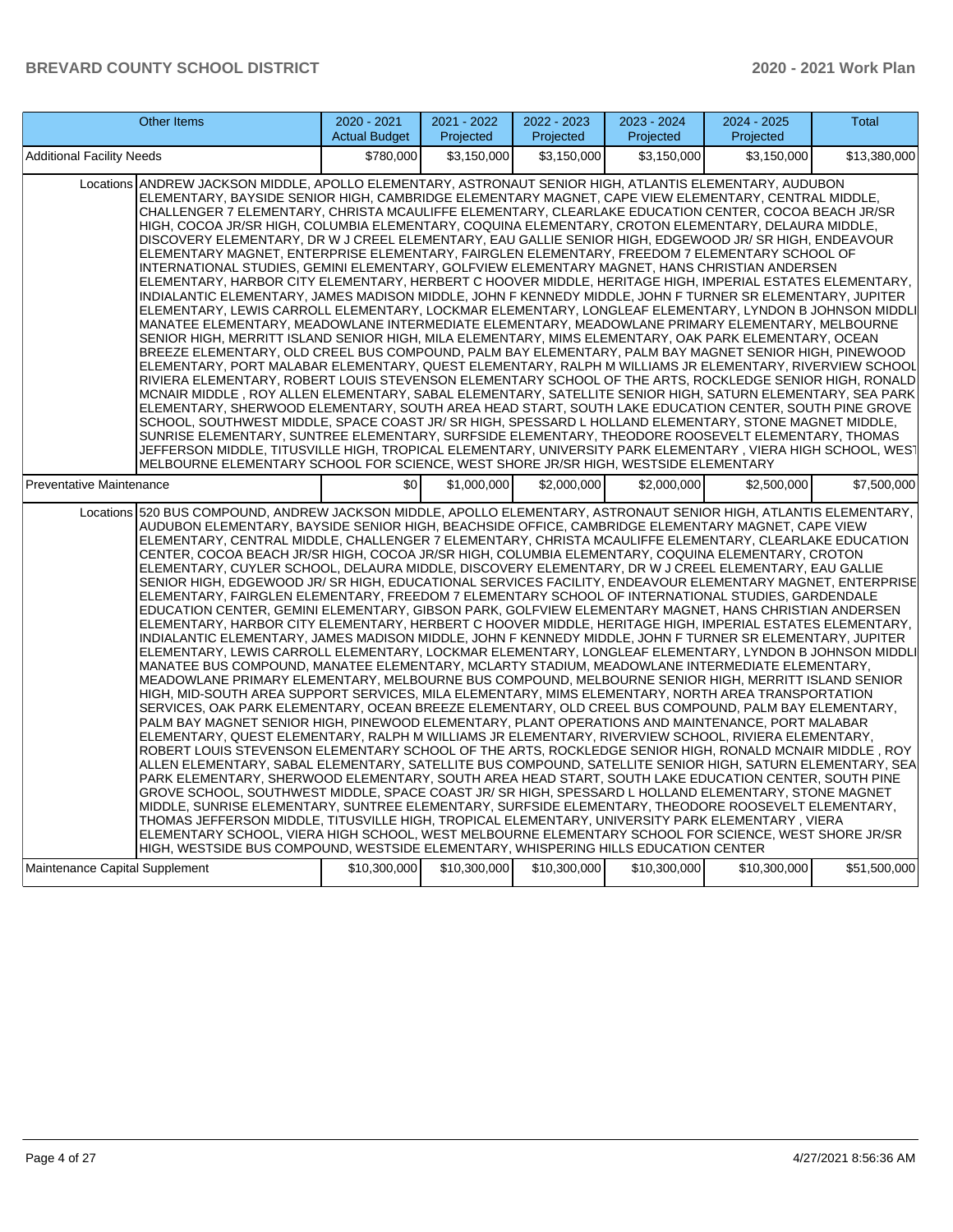| <b>Other Items</b>                                                                                                                                                                                                                                                                                                                                                                                                                                                                                                                                                                                                                                                                                                                                                                                                                                                                                                                                                                                                                                                                                                                                                                                                                                                                                                                                                                                                                                                                                                                                                                                                                                                                                                                                                                                                                                                                                                                                                                                                                                                                                                                                                                                                                                                                                                                                                                                                                                                                                                                                                                                                                                                                             | 2020 - 2021<br><b>Actual Budget</b> | 2021 - 2022<br>Projected | 2022 - 2023<br>Projected | 2023 - 2024<br>Projected | 2024 - 2025<br>Projected | <b>Total</b> |  |
|------------------------------------------------------------------------------------------------------------------------------------------------------------------------------------------------------------------------------------------------------------------------------------------------------------------------------------------------------------------------------------------------------------------------------------------------------------------------------------------------------------------------------------------------------------------------------------------------------------------------------------------------------------------------------------------------------------------------------------------------------------------------------------------------------------------------------------------------------------------------------------------------------------------------------------------------------------------------------------------------------------------------------------------------------------------------------------------------------------------------------------------------------------------------------------------------------------------------------------------------------------------------------------------------------------------------------------------------------------------------------------------------------------------------------------------------------------------------------------------------------------------------------------------------------------------------------------------------------------------------------------------------------------------------------------------------------------------------------------------------------------------------------------------------------------------------------------------------------------------------------------------------------------------------------------------------------------------------------------------------------------------------------------------------------------------------------------------------------------------------------------------------------------------------------------------------------------------------------------------------------------------------------------------------------------------------------------------------------------------------------------------------------------------------------------------------------------------------------------------------------------------------------------------------------------------------------------------------------------------------------------------------------------------------------------------------|-------------------------------------|--------------------------|--------------------------|--------------------------|--------------------------|--------------|--|
| Additional Facility Needs                                                                                                                                                                                                                                                                                                                                                                                                                                                                                                                                                                                                                                                                                                                                                                                                                                                                                                                                                                                                                                                                                                                                                                                                                                                                                                                                                                                                                                                                                                                                                                                                                                                                                                                                                                                                                                                                                                                                                                                                                                                                                                                                                                                                                                                                                                                                                                                                                                                                                                                                                                                                                                                                      | \$780.000                           | \$3,150,000              | \$3,150,000              | \$3,150,000              | \$3,150,000              | \$13,380,000 |  |
| Locations ANDREW JACKSON MIDDLE, APOLLO ELEMENTARY, ASTRONAUT SENIOR HIGH, ATLANTIS ELEMENTARY, AUDUBON<br>ELEMENTARY, BAYSIDE SENIOR HIGH, CAMBRIDGE ELEMENTARY MAGNET, CAPE VIEW ELEMENTARY, CENTRAL MIDDLE,<br>CHALLENGER 7 ELEMENTARY, CHRISTA MCAULIFFE ELEMENTARY, CLEARLAKE EDUCATION CENTER, COCOA BEACH JR/SR<br>HIGH, COCOA JR/SR HIGH, COLUMBIA ELEMENTARY, COQUINA ELEMENTARY, CROTON ELEMENTARY, DELAURA MIDDLE,<br>DISCOVERY ELEMENTARY, DR W J CREEL ELEMENTARY, EAU GALLIE SENIOR HIGH, EDGEWOOD JR/ SR HIGH, ENDEAVOUR<br>ELEMENTARY MAGNET, ENTERPRISE ELEMENTARY, FAIRGLEN ELEMENTARY, FREEDOM 7 ELEMENTARY SCHOOL OF<br>INTERNATIONAL STUDIES, GEMINI ELEMENTARY, GOLFVIEW ELEMENTARY MAGNET, HANS CHRISTIAN ANDERSEN<br>ELEMENTARY, HARBOR CITY ELEMENTARY, HERBERT C HOOVER MIDDLE, HERITAGE HIGH, IMPERIAL ESTATES ELEMENTARY,<br>INDIALANTIC ELEMENTARY, JAMES MADISON MIDDLE, JOHN F KENNEDY MIDDLE, JOHN F TURNER SR ELEMENTARY, JUPITER<br>ELEMENTARY, LEWIS CARROLL ELEMENTARY, LOCKMAR ELEMENTARY, LONGLEAF ELEMENTARY, LYNDON B JOHNSON MIDDLI<br>MANATEE ELEMENTARY, MEADOWLANE INTERMEDIATE ELEMENTARY, MEADOWLANE PRIMARY ELEMENTARY, MELBOURNE<br>SENIOR HIGH, MERRITT ISLAND SENIOR HIGH, MILA ELEMENTARY, MIMS ELEMENTARY, OAK PARK ELEMENTARY, OCEAN<br>BREEZE ELEMENTARY, OLD CREEL BUS COMPOUND, PALM BAY ELEMENTARY, PALM BAY MAGNET SENIOR HIGH, PINEWOOD<br>ELEMENTARY, PORT MALABAR ELEMENTARY, QUEST ELEMENTARY, RALPH M WILLIAMS JR ELEMENTARY, RIVERVIEW SCHOOL<br>RIVIERA ELEMENTARY, ROBERT LOUIS STEVENSON ELEMENTARY SCHOOL OF THE ARTS, ROCKLEDGE SENIOR HIGH, RONALD<br>MCNAIR MIDDLE, ROY ALLEN ELEMENTARY, SABAL ELEMENTARY, SATELLITE SENIOR HIGH, SATURN ELEMENTARY, SEA PARK<br>ELEMENTARY, SHERWOOD ELEMENTARY, SOUTH AREA HEAD START, SOUTH LAKE EDUCATION CENTER, SOUTH PINE GROVE<br>SCHOOL, SOUTHWEST MIDDLE, SPACE COAST JR/ SR HIGH, SPESSARD L HOLLAND ELEMENTARY, STONE MAGNET MIDDLE,<br>SUNRISE ELEMENTARY, SUNTREE ELEMENTARY, SURFSIDE ELEMENTARY, THEODORE ROOSEVELT ELEMENTARY, THOMAS<br>JEFFERSON MIDDLE. TITUSVILLE HIGH. TROPICAL ELEMENTARY. UNIVERSITY PARK ELEMENTARY . VIERA HIGH SCHOOL. WEST<br>MELBOURNE ELEMENTARY SCHOOL FOR SCIENCE, WEST SHORE JR/SR HIGH, WESTSIDE ELEMENTARY                                                                                                                                                                                                                                                                                                                                                                                                                          |                                     |                          |                          |                          |                          |              |  |
| Preventative Maintenance                                                                                                                                                                                                                                                                                                                                                                                                                                                                                                                                                                                                                                                                                                                                                                                                                                                                                                                                                                                                                                                                                                                                                                                                                                                                                                                                                                                                                                                                                                                                                                                                                                                                                                                                                                                                                                                                                                                                                                                                                                                                                                                                                                                                                                                                                                                                                                                                                                                                                                                                                                                                                                                                       | \$0                                 | \$1.000.000              | \$2,000,000              | \$2,000,000              | \$2,500,000              | \$7,500,000  |  |
| Locations 520 BUS COMPOUND, ANDREW JACKSON MIDDLE, APOLLO ELEMENTARY, ASTRONAUT SENIOR HIGH, ATLANTIS ELEMENTARY,<br>AUDUBON ELEMENTARY, BAYSIDE SENIOR HIGH, BEACHSIDE OFFICE, CAMBRIDGE ELEMENTARY MAGNET, CAPE VIEW<br>ELEMENTARY, CENTRAL MIDDLE, CHALLENGER 7 ELEMENTARY, CHRISTA MCAULIFFE ELEMENTARY, CLEARLAKE EDUCATION<br>CENTER, COCOA BEACH JR/SR HIGH, COCOA JR/SR HIGH, COLUMBIA ELEMENTARY, COQUINA ELEMENTARY, CROTON<br>ELEMENTARY, CUYLER SCHOOL, DELAURA MIDDLE, DISCOVERY ELEMENTARY, DR W J CREEL ELEMENTARY, EAU GALLIE<br>SENIOR HIGH, EDGEWOOD JR/ SR HIGH, EDUCATIONAL SERVICES FACILITY, ENDEAVOUR ELEMENTARY MAGNET, ENTERPRISE<br>ELEMENTARY, FAIRGLEN ELEMENTARY, FREEDOM 7 ELEMENTARY SCHOOL OF INTERNATIONAL STUDIES, GARDENDALE<br>EDUCATION CENTER, GEMINI ELEMENTARY, GIBSON PARK, GOLFVIEW ELEMENTARY MAGNET, HANS CHRISTIAN ANDERSEN<br>ELEMENTARY, HARBOR CITY ELEMENTARY, HERBERT C HOOVER MIDDLE, HERITAGE HIGH, IMPERIAL ESTATES ELEMENTARY,<br>INDIALANTIC ELEMENTARY, JAMES MADISON MIDDLE, JOHN F KENNEDY MIDDLE, JOHN F TURNER SR ELEMENTARY, JUPITER<br>ELEMENTARY, LEWIS CARROLL ELEMENTARY, LOCKMAR ELEMENTARY, LONGLEAF ELEMENTARY, LYNDON B JOHNSON MIDDLI<br>MANATEE BUS COMPOUND, MANATEE ELEMENTARY, MCLARTY STADIUM, MEADOWLANE INTERMEDIATE ELEMENTARY,<br>MEADOWLANE PRIMARY ELEMENTARY, MELBOURNE BUS COMPOUND, MELBOURNE SENIOR HIGH, MERRITT ISLAND SENIOR<br>HIGH, MID-SOUTH AREA SUPPORT SERVICES, MILA ELEMENTARY, MIMS ELEMENTARY, NORTH AREA TRANSPORTATION<br>SERVICES, OAK PARK ELEMENTARY, OCEAN BREEZE ELEMENTARY, OLD CREEL BUS COMPOUND, PALM BAY ELEMENTARY,<br>PALM BAY MAGNET SENIOR HIGH, PINEWOOD ELEMENTARY, PLANT OPERATIONS AND MAINTENANCE, PORT MALABAR<br>ELEMENTARY, QUEST ELEMENTARY, RALPH M WILLIAMS JR ELEMENTARY, RIVERVIEW SCHOOL, RIVIERA ELEMENTARY,<br>ROBERT LOUIS STEVENSON ELEMENTARY SCHOOL OF THE ARTS, ROCKLEDGE SENIOR HIGH, RONALD MCNAIR MIDDLE, ROY<br>ALLEN ELEMENTARY, SABAL ELEMENTARY, SATELLITE BUS COMPOUND, SATELLITE SENIOR HIGH, SATURN ELEMENTARY, SEA<br>PARK ELEMENTARY, SHERWOOD ELEMENTARY, SOUTH AREA HEAD START, SOUTH LAKE EDUCATION CENTER, SOUTH PINE<br>GROVE SCHOOL, SOUTHWEST MIDDLE, SPACE COAST JR/ SR HIGH, SPESSARD L HOLLAND ELEMENTARY, STONE MAGNET<br>MIDDLE, SUNRISE ELEMENTARY, SUNTREE ELEMENTARY, SURFSIDE ELEMENTARY, THEODORE ROOSEVELT ELEMENTARY,<br>THOMAS JEFFERSON MIDDLE, TITUSVILLE HIGH, TROPICAL ELEMENTARY, UNIVERSITY PARK ELEMENTARY, VIERA<br>ELEMENTARY SCHOOL, VIERA HIGH SCHOOL, WEST MELBOURNE ELEMENTARY SCHOOL FOR SCIENCE, WEST SHORE JR/SR<br>HIGH, WESTSIDE BUS COMPOUND, WESTSIDE ELEMENTARY, WHISPERING HILLS EDUCATION CENTER |                                     |                          |                          |                          |                          |              |  |
| Maintenance Capital Supplement                                                                                                                                                                                                                                                                                                                                                                                                                                                                                                                                                                                                                                                                                                                                                                                                                                                                                                                                                                                                                                                                                                                                                                                                                                                                                                                                                                                                                                                                                                                                                                                                                                                                                                                                                                                                                                                                                                                                                                                                                                                                                                                                                                                                                                                                                                                                                                                                                                                                                                                                                                                                                                                                 | \$10,300,000                        | \$10,300,000             | \$10,300,000             | \$10,300,000             | \$10,300,000             | \$51,500,000 |  |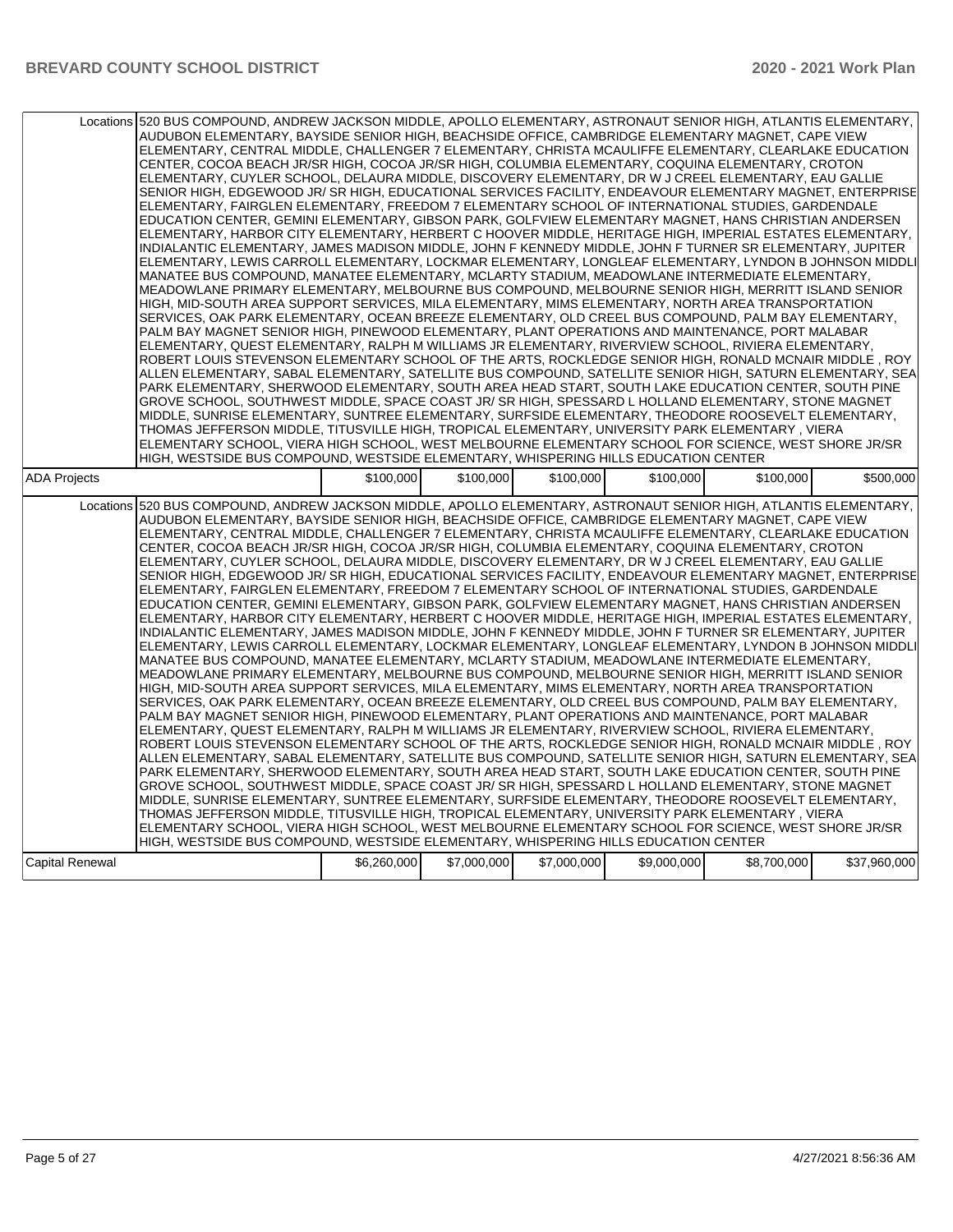| Locations 520 BUS COMPOUND, ANDREW JACKSON MIDDLE, APOLLO ELEMENTARY, ASTRONAUT SENIOR HIGH, ATLANTIS ELEMENTARY,<br>AUDUBON ELEMENTARY, BAYSIDE SENIOR HIGH, BEACHSIDE OFFICE, CAMBRIDGE ELEMENTARY MAGNET, CAPE VIEW<br>ELEMENTARY, CENTRAL MIDDLE, CHALLENGER 7 ELEMENTARY, CHRISTA MCAULIFFE ELEMENTARY, CLEARLAKE EDUCATION<br>CENTER, COCOA BEACH JR/SR HIGH, COCOA JR/SR HIGH, COLUMBIA ELEMENTARY, COQUINA ELEMENTARY, CROTON<br>ELEMENTARY, CUYLER SCHOOL, DELAURA MIDDLE, DISCOVERY ELEMENTARY, DR W J CREEL ELEMENTARY, EAU GALLIE<br>SENIOR HIGH, EDGEWOOD JR/ SR HIGH, EDUCATIONAL SERVICES FACILITY, ENDEAVOUR ELEMENTARY MAGNET, ENTERPRISE<br>ELEMENTARY, FAIRGLEN ELEMENTARY, FREEDOM 7 ELEMENTARY SCHOOL OF INTERNATIONAL STUDIES, GARDENDALE<br>EDUCATION CENTER, GEMINI ELEMENTARY, GIBSON PARK, GOLFVIEW ELEMENTARY MAGNET, HANS CHRISTIAN ANDERSEN<br>ELEMENTARY, HARBOR CITY ELEMENTARY, HERBERT C HOOVER MIDDLE, HERITAGE HIGH, IMPERIAL ESTATES ELEMENTARY,<br>INDIALANTIC ELEMENTARY, JAMES MADISON MIDDLE, JOHN F KENNEDY MIDDLE, JOHN F TURNER SR ELEMENTARY, JUPITER<br>ELEMENTARY, LEWIS CARROLL ELEMENTARY, LOCKMAR ELEMENTARY, LONGLEAF ELEMENTARY, LYNDON B JOHNSON MIDDLI<br>MANATEE BUS COMPOUND, MANATEE ELEMENTARY, MCLARTY STADIUM, MEADOWLANE INTERMEDIATE ELEMENTARY,<br>MEADOWLANE PRIMARY ELEMENTARY, MELBOURNE BUS COMPOUND, MELBOURNE SENIOR HIGH, MERRITT ISLAND SENIOR<br>HIGH, MID-SOUTH AREA SUPPORT SERVICES, MILA ELEMENTARY, MIMS ELEMENTARY, NORTH AREA TRANSPORTATION<br>SERVICES, OAK PARK ELEMENTARY, OCEAN BREEZE ELEMENTARY, OLD CREEL BUS COMPOUND, PALM BAY ELEMENTARY,<br>PALM BAY MAGNET SENIOR HIGH, PINEWOOD ELEMENTARY, PLANT OPERATIONS AND MAINTENANCE, PORT MALABAR<br>ELEMENTARY, QUEST ELEMENTARY, RALPH M WILLIAMS JR ELEMENTARY, RIVERVIEW SCHOOL, RIVIERA ELEMENTARY,<br>ROBERT LOUIS STEVENSON ELEMENTARY SCHOOL OF THE ARTS, ROCKLEDGE SENIOR HIGH, RONALD MCNAIR MIDDLE, ROY<br>ALLEN ELEMENTARY, SABAL ELEMENTARY, SATELLITE BUS COMPOUND, SATELLITE SENIOR HIGH, SATURN ELEMENTARY, SEA<br>PARK ELEMENTARY, SHERWOOD ELEMENTARY, SOUTH AREA HEAD START, SOUTH LAKE EDUCATION CENTER, SOUTH PINE<br>GROVE SCHOOL, SOUTHWEST MIDDLE, SPACE COAST JR/ SR HIGH, SPESSARD L HOLLAND ELEMENTARY, STONE MAGNET<br>MIDDLE, SUNRISE ELEMENTARY, SUNTREE ELEMENTARY, SURFSIDE ELEMENTARY, THEODORE ROOSEVELT ELEMENTARY,<br>THOMAS JEFFERSON MIDDLE, TITUSVILLE HIGH, TROPICAL ELEMENTARY, UNIVERSITY PARK ELEMENTARY, VIERA<br>ELEMENTARY SCHOOL, VIERA HIGH SCHOOL, WEST MELBOURNE ELEMENTARY SCHOOL FOR SCIENCE, WEST SHORE JR/SR<br>HIGH, WESTSIDE BUS COMPOUND, WESTSIDE ELEMENTARY, WHISPERING HILLS EDUCATION CENTER |             |             |             |             |             |              |
|------------------------------------------------------------------------------------------------------------------------------------------------------------------------------------------------------------------------------------------------------------------------------------------------------------------------------------------------------------------------------------------------------------------------------------------------------------------------------------------------------------------------------------------------------------------------------------------------------------------------------------------------------------------------------------------------------------------------------------------------------------------------------------------------------------------------------------------------------------------------------------------------------------------------------------------------------------------------------------------------------------------------------------------------------------------------------------------------------------------------------------------------------------------------------------------------------------------------------------------------------------------------------------------------------------------------------------------------------------------------------------------------------------------------------------------------------------------------------------------------------------------------------------------------------------------------------------------------------------------------------------------------------------------------------------------------------------------------------------------------------------------------------------------------------------------------------------------------------------------------------------------------------------------------------------------------------------------------------------------------------------------------------------------------------------------------------------------------------------------------------------------------------------------------------------------------------------------------------------------------------------------------------------------------------------------------------------------------------------------------------------------------------------------------------------------------------------------------------------------------------------------------------------------------------------------------------------------------------------------------------------------------------------------------------------------------|-------------|-------------|-------------|-------------|-------------|--------------|
| ADA Projects                                                                                                                                                                                                                                                                                                                                                                                                                                                                                                                                                                                                                                                                                                                                                                                                                                                                                                                                                                                                                                                                                                                                                                                                                                                                                                                                                                                                                                                                                                                                                                                                                                                                                                                                                                                                                                                                                                                                                                                                                                                                                                                                                                                                                                                                                                                                                                                                                                                                                                                                                                                                                                                                                   | \$100,000   | \$100,000   | \$100,000   | \$100,000   | \$100,000   | \$500,000    |
| Locations 520 BUS COMPOUND, ANDREW JACKSON MIDDLE, APOLLO ELEMENTARY, ASTRONAUT SENIOR HIGH, ATLANTIS ELEMENTARY,<br>AUDUBON ELEMENTARY, BAYSIDE SENIOR HIGH, BEACHSIDE OFFICE, CAMBRIDGE ELEMENTARY MAGNET, CAPE VIEW<br>ELEMENTARY, CENTRAL MIDDLE, CHALLENGER 7 ELEMENTARY, CHRISTA MCAULIFFE ELEMENTARY, CLEARLAKE EDUCATION<br>CENTER, COCOA BEACH JR/SR HIGH, COCOA JR/SR HIGH, COLUMBIA ELEMENTARY, COQUINA ELEMENTARY, CROTON<br>ELEMENTARY, CUYLER SCHOOL, DELAURA MIDDLE, DISCOVERY ELEMENTARY, DR W J CREEL ELEMENTARY, EAU GALLIE<br>SENIOR HIGH, EDGEWOOD JR/ SR HIGH, EDUCATIONAL SERVICES FACILITY, ENDEAVOUR ELEMENTARY MAGNET, ENTERPRISE<br>ELEMENTARY, FAIRGLEN ELEMENTARY, FREEDOM 7 ELEMENTARY SCHOOL OF INTERNATIONAL STUDIES, GARDENDALE<br>EDUCATION CENTER, GEMINI ELEMENTARY, GIBSON PARK, GOLFVIEW ELEMENTARY MAGNET, HANS CHRISTIAN ANDERSEN<br>ELEMENTARY, HARBOR CITY ELEMENTARY, HERBERT C HOOVER MIDDLE, HERITAGE HIGH, IMPERIAL ESTATES ELEMENTARY,<br>INDIALANTIC ELEMENTARY, JAMES MADISON MIDDLE, JOHN F KENNEDY MIDDLE, JOHN F TURNER SR ELEMENTARY, JUPITER<br>ELEMENTARY, LEWIS CARROLL ELEMENTARY, LOCKMAR ELEMENTARY, LONGLEAF ELEMENTARY, LYNDON B JOHNSON MIDDLI<br>MANATEE BUS COMPOUND, MANATEE ELEMENTARY, MCLARTY STADIUM, MEADOWLANE INTERMEDIATE ELEMENTARY,<br>MEADOWLANE PRIMARY ELEMENTARY, MELBOURNE BUS COMPOUND, MELBOURNE SENIOR HIGH, MERRITT ISLAND SENIOR<br>HIGH, MID-SOUTH AREA SUPPORT SERVICES, MILA ELEMENTARY, MIMS ELEMENTARY, NORTH AREA TRANSPORTATION<br>SERVICES, OAK PARK ELEMENTARY, OCEAN BREEZE ELEMENTARY, OLD CREEL BUS COMPOUND, PALM BAY ELEMENTARY,<br>PALM BAY MAGNET SENIOR HIGH, PINEWOOD ELEMENTARY, PLANT OPERATIONS AND MAINTENANCE, PORT MALABAR<br>ELEMENTARY, QUEST ELEMENTARY, RALPH M WILLIAMS JR ELEMENTARY, RIVERVIEW SCHOOL, RIVIERA ELEMENTARY,<br>ROBERT LOUIS STEVENSON ELEMENTARY SCHOOL OF THE ARTS, ROCKLEDGE SENIOR HIGH, RONALD MCNAIR MIDDLE, ROY<br>ALLEN ELEMENTARY, SABAL ELEMENTARY, SATELLITE BUS COMPOUND, SATELLITE SENIOR HIGH, SATURN ELEMENTARY, SEA<br>PARK ELEMENTARY, SHERWOOD ELEMENTARY, SOUTH AREA HEAD START, SOUTH LAKE EDUCATION CENTER, SOUTH PINE<br>GROVE SCHOOL, SOUTHWEST MIDDLE, SPACE COAST JR/ SR HIGH, SPESSARD L HOLLAND ELEMENTARY, STONE MAGNET<br>MIDDLE, SUNRISE ELEMENTARY, SUNTREE ELEMENTARY, SURFSIDE ELEMENTARY, THEODORE ROOSEVELT ELEMENTARY,<br>THOMAS JEFFERSON MIDDLE, TITUSVILLE HIGH, TROPICAL ELEMENTARY, UNIVERSITY PARK ELEMENTARY, VIERA<br>ELEMENTARY SCHOOL, VIERA HIGH SCHOOL, WEST MELBOURNE ELEMENTARY SCHOOL FOR SCIENCE, WEST SHORE JR/SR<br>HIGH, WESTSIDE BUS COMPOUND, WESTSIDE ELEMENTARY, WHISPERING HILLS EDUCATION CENTER |             |             |             |             |             |              |
| <b>Capital Renewal</b>                                                                                                                                                                                                                                                                                                                                                                                                                                                                                                                                                                                                                                                                                                                                                                                                                                                                                                                                                                                                                                                                                                                                                                                                                                                                                                                                                                                                                                                                                                                                                                                                                                                                                                                                                                                                                                                                                                                                                                                                                                                                                                                                                                                                                                                                                                                                                                                                                                                                                                                                                                                                                                                                         | \$6,260,000 | \$7,000,000 | \$7,000,000 | \$9,000,000 | \$8,700,000 | \$37,960,000 |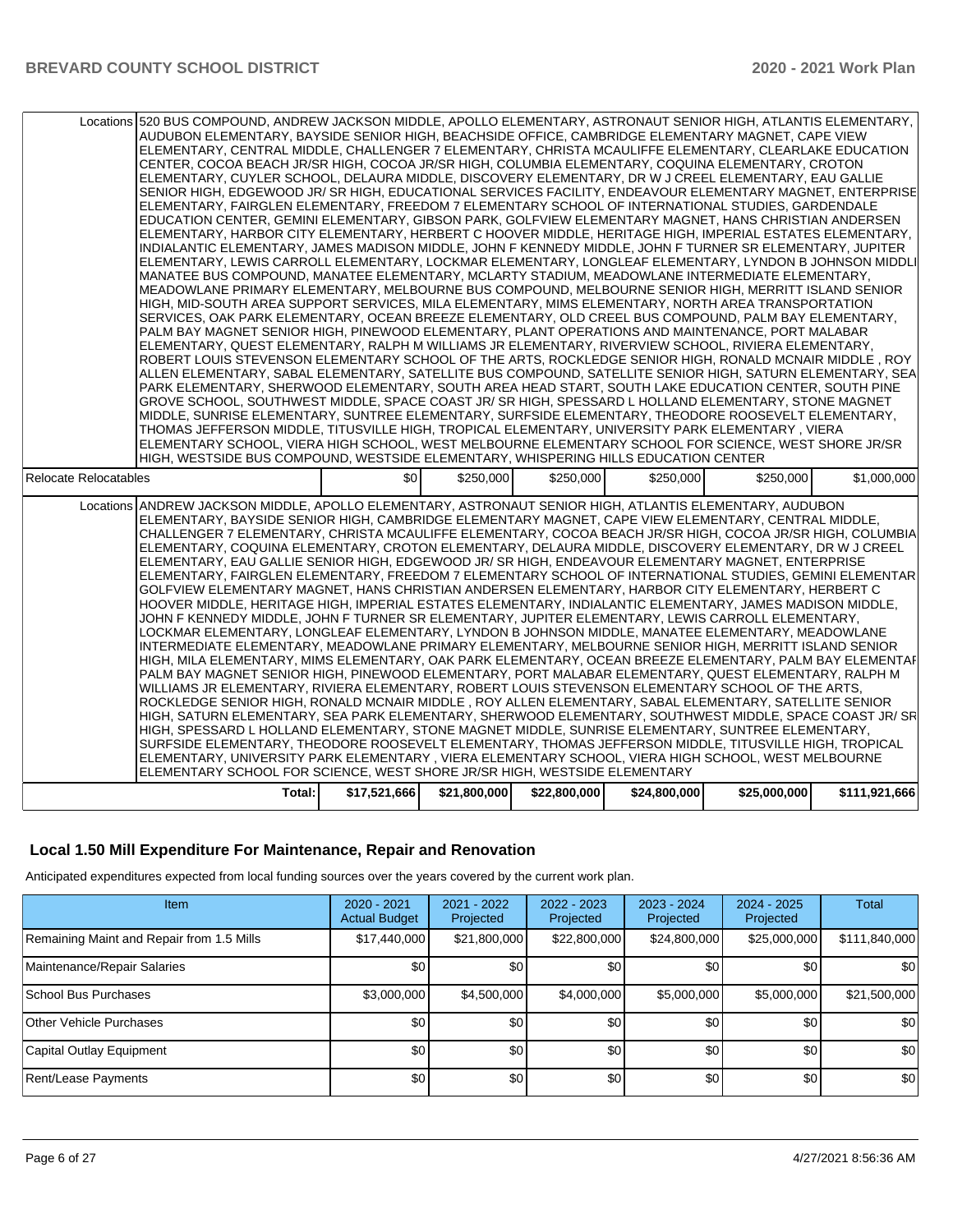# **Local 1.50 Mill Expenditure For Maintenance, Repair and Renovation**

Anticipated expenditures expected from local funding sources over the years covered by the current work plan.

| Item                                      | $2020 - 2021$<br><b>Actual Budget</b> | $2021 - 2022$<br>Projected | $2022 - 2023$<br>Projected | $2023 - 2024$<br>Projected | 2024 - 2025<br>Projected | <b>Total</b>  |
|-------------------------------------------|---------------------------------------|----------------------------|----------------------------|----------------------------|--------------------------|---------------|
| Remaining Maint and Repair from 1.5 Mills | \$17,440,000                          | \$21,800,000               | \$22,800,000               | \$24,800,000               | \$25,000,000             | \$111,840,000 |
| Maintenance/Repair Salaries               | \$0                                   | \$0                        | \$0                        | \$0                        | \$0                      | \$0           |
| School Bus Purchases                      | \$3,000,000                           | \$4.500.000                | \$4,000,000                | \$5,000,000                | \$5,000,000              | \$21,500,000  |
| <b>Other Vehicle Purchases</b>            | \$0                                   | \$0                        | \$0                        | \$0                        | \$0                      | \$0           |
| Capital Outlay Equipment                  | \$0                                   | \$0                        | \$0                        | \$0                        | \$0                      | \$0           |
| Rent/Lease Payments                       | \$0                                   | \$0                        | \$0                        | \$0                        | \$0                      | \$0           |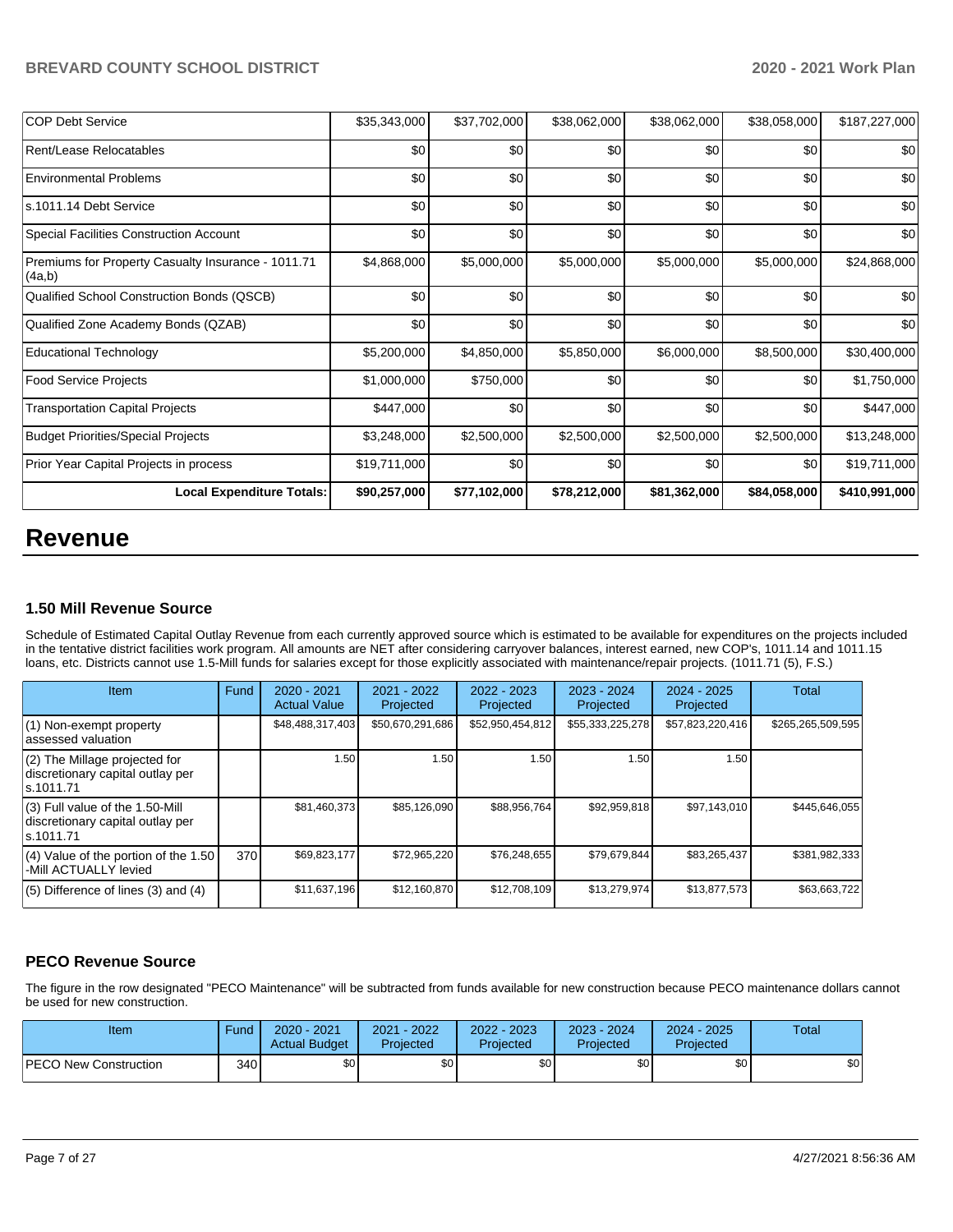| <b>COP Debt Service</b>                                      | \$35,343,000 | \$37,702,000 | \$38,062,000 | \$38,062,000 | \$38,058,000 | \$187,227,000 |
|--------------------------------------------------------------|--------------|--------------|--------------|--------------|--------------|---------------|
| Rent/Lease Relocatables                                      | \$0          | \$0          | \$0          | \$0          | \$0          | \$0           |
| <b>Environmental Problems</b>                                | \$0          | \$0          | \$0          | \$0          | \$0          | \$0           |
| s.1011.14 Debt Service                                       | \$0          | \$0          | \$0          | \$0          | \$0          | \$0           |
| <b>Special Facilities Construction Account</b>               | \$0          | \$0          | \$0          | \$0          | \$0          | \$0           |
| Premiums for Property Casualty Insurance - 1011.71<br>(4a,b) | \$4,868,000  | \$5,000,000  | \$5,000,000  | \$5,000,000  | \$5,000,000  | \$24,868,000  |
| Qualified School Construction Bonds (QSCB)                   | \$0          | \$0          | \$0          | \$0          | \$0          | \$0           |
| Qualified Zone Academy Bonds (QZAB)                          | \$0          | \$0          | \$0          | \$0          | \$0          | \$0           |
| <b>Educational Technology</b>                                | \$5,200,000  | \$4,850,000  | \$5,850,000  | \$6,000,000  | \$8,500,000  | \$30,400,000  |
| <b>Food Service Projects</b>                                 | \$1,000,000  | \$750,000    | \$0          | \$0          | \$0          | \$1,750,000   |
| <b>Transportation Capital Projects</b>                       | \$447,000    | \$0          | \$0          | \$0          | \$0          | \$447,000     |
| <b>Budget Priorities/Special Projects</b>                    | \$3,248,000  | \$2,500,000  | \$2,500,000  | \$2,500,000  | \$2,500,000  | \$13,248,000  |
| Prior Year Capital Projects in process                       | \$19,711,000 | \$0          | \$0          | \$0          | \$0          | \$19,711,000  |
| <b>Local Expenditure Totals:</b>                             | \$90,257,000 | \$77,102,000 | \$78,212,000 | \$81,362,000 | \$84,058,000 | \$410,991,000 |

# **Revenue**

## **1.50 Mill Revenue Source**

Schedule of Estimated Capital Outlay Revenue from each currently approved source which is estimated to be available for expenditures on the projects included in the tentative district facilities work program. All amounts are NET after considering carryover balances, interest earned, new COP's, 1011.14 and 1011.15 loans, etc. Districts cannot use 1.5-Mill funds for salaries except for those explicitly associated with maintenance/repair projects. (1011.71 (5), F.S.)

| Item                                                                                | Fund | $2020 - 2021$<br><b>Actual Value</b> | $2021 - 2022$<br>Projected | $2022 - 2023$<br>Projected | $2023 - 2024$<br>Projected | $2024 - 2025$<br>Projected | Total             |
|-------------------------------------------------------------------------------------|------|--------------------------------------|----------------------------|----------------------------|----------------------------|----------------------------|-------------------|
| (1) Non-exempt property<br>lassessed valuation                                      |      | \$48,488,317,403                     | \$50,670,291,686           | \$52,950,454,812           | \$55,333,225,278           | \$57,823,220,416           | \$265,265,509,595 |
| $(2)$ The Millage projected for<br>discretionary capital outlay per<br>ls.1011.71   |      | 1.50                                 | ا 50. ا                    | 1.50                       | 1.50                       | 1.50                       |                   |
| $(3)$ Full value of the 1.50-Mill<br>discretionary capital outlay per<br>ls.1011.71 |      | \$81,460,373                         | \$85,126,090               | \$88,956,764               | \$92,959,818               | \$97,143,010               | \$445.646.055     |
| $(4)$ Value of the portion of the 1.50<br>-Mill ACTUALLY levied                     | 370  | \$69,823,177                         | \$72,965,220               | \$76,248,655               | \$79,679,844               | \$83,265,437               | \$381,982,333     |
| $(5)$ Difference of lines $(3)$ and $(4)$                                           |      | \$11,637,196                         | \$12,160,870               | \$12,708,109               | \$13,279,974               | \$13,877,573               | \$63,663,722      |

# **PECO Revenue Source**

The figure in the row designated "PECO Maintenance" will be subtracted from funds available for new construction because PECO maintenance dollars cannot be used for new construction.

| Item                         | Fund  | 2020 - 2021<br><b>Actual Budget</b> | $-2022$<br>2021<br>Projected | 2022 - 2023<br>Projected | 2023 - 2024<br>Projected | $2024 - 2025$<br>Projected | Total |
|------------------------------|-------|-------------------------------------|------------------------------|--------------------------|--------------------------|----------------------------|-------|
| <b>PECO New Construction</b> | 340 I | \$0 <sub>1</sub>                    | \$0                          | \$0 <sub>1</sub>         | ¢∩                       | \$0                        | \$0   |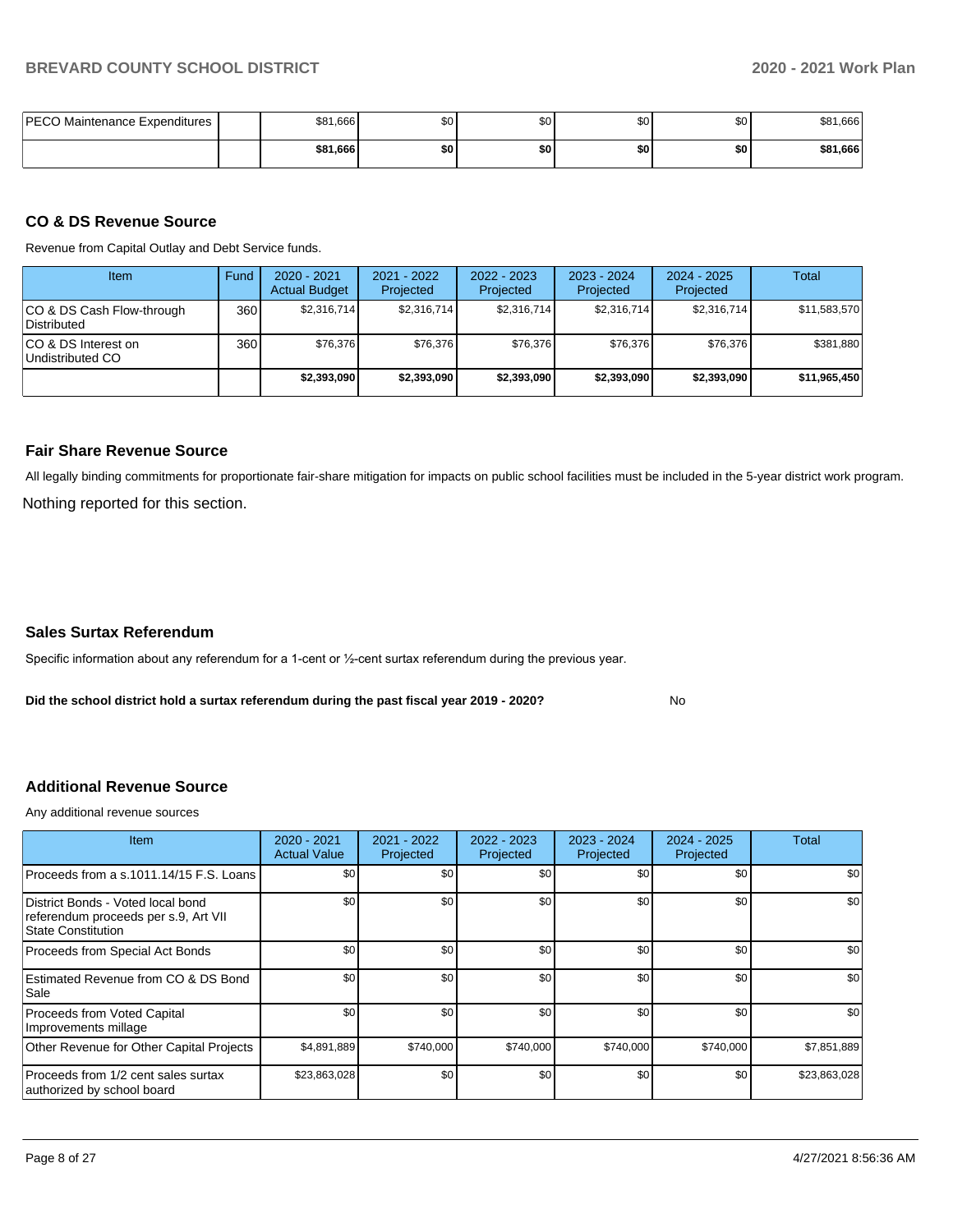| PECO Maintenance Expenditures | \$81,666 | $\mathbf{A}$<br>w | \$C | \$0 | \$0 | \$81,666 |
|-------------------------------|----------|-------------------|-----|-----|-----|----------|
|                               | \$81,666 | \$0               | \$0 | \$0 | \$0 | \$81,666 |

#### **CO & DS Revenue Source**

Revenue from Capital Outlay and Debt Service funds.

| Item                                      | Fund | $2020 - 2021$<br><b>Actual Budget</b> | 2021 - 2022<br>Projected | $2022 - 2023$<br>Projected | $2023 - 2024$<br>Projected | $2024 - 2025$<br>Projected | Total        |
|-------------------------------------------|------|---------------------------------------|--------------------------|----------------------------|----------------------------|----------------------------|--------------|
| ICO & DS Cash Flow-through<br>Distributed | 360  | \$2,316,714                           | \$2,316,714              | \$2,316,714                | \$2.316.714                | \$2,316,714                | \$11,583,570 |
| ICO & DS Interest on<br>Undistributed CO  | 360  | \$76.376                              | \$76,376                 | \$76,376                   | \$76,376                   | \$76,376                   | \$381,880    |
|                                           |      | \$2,393,090                           | \$2,393,090              | \$2,393,090                | \$2,393,090                | \$2,393,090                | \$11,965,450 |

#### **Fair Share Revenue Source**

Nothing reported for this section. All legally binding commitments for proportionate fair-share mitigation for impacts on public school facilities must be included in the 5-year district work program.

#### **Sales Surtax Referendum**

Specific information about any referendum for a 1-cent or ½-cent surtax referendum during the previous year.

**Did the school district hold a surtax referendum during the past fiscal year 2019 - 2020?**

No

# **Additional Revenue Source**

Any additional revenue sources

| <b>Item</b>                                                                                            | 2020 - 2021<br><b>Actual Value</b> | 2021 - 2022<br>Projected | 2022 - 2023<br>Projected | 2023 - 2024<br>Projected | 2024 - 2025<br>Projected | Total        |
|--------------------------------------------------------------------------------------------------------|------------------------------------|--------------------------|--------------------------|--------------------------|--------------------------|--------------|
| Proceeds from a s.1011.14/15 F.S. Loans                                                                | \$0                                | \$0                      | \$0                      | \$0                      | \$0                      | \$0          |
| District Bonds - Voted local bond<br>referendum proceeds per s.9, Art VII<br><b>State Constitution</b> | \$0                                | \$0                      | \$0                      | \$0                      | \$0                      | \$0          |
| Proceeds from Special Act Bonds                                                                        | \$0                                | \$0                      | \$0                      | \$0                      | \$0                      | \$0          |
| Estimated Revenue from CO & DS Bond<br>Sale                                                            | \$0                                | \$0                      | \$0                      | \$0                      | \$0                      | \$0          |
| Proceeds from Voted Capital<br>Improvements millage                                                    | \$0                                | \$0                      | \$0                      | \$0                      | \$0                      | \$0          |
| Other Revenue for Other Capital Projects                                                               | \$4,891,889                        | \$740,000                | \$740,000                | \$740,000                | \$740,000                | \$7,851,889  |
| Proceeds from 1/2 cent sales surtax<br>authorized by school board                                      | \$23,863,028                       | \$0                      | \$0                      | \$0                      | \$0                      | \$23,863,028 |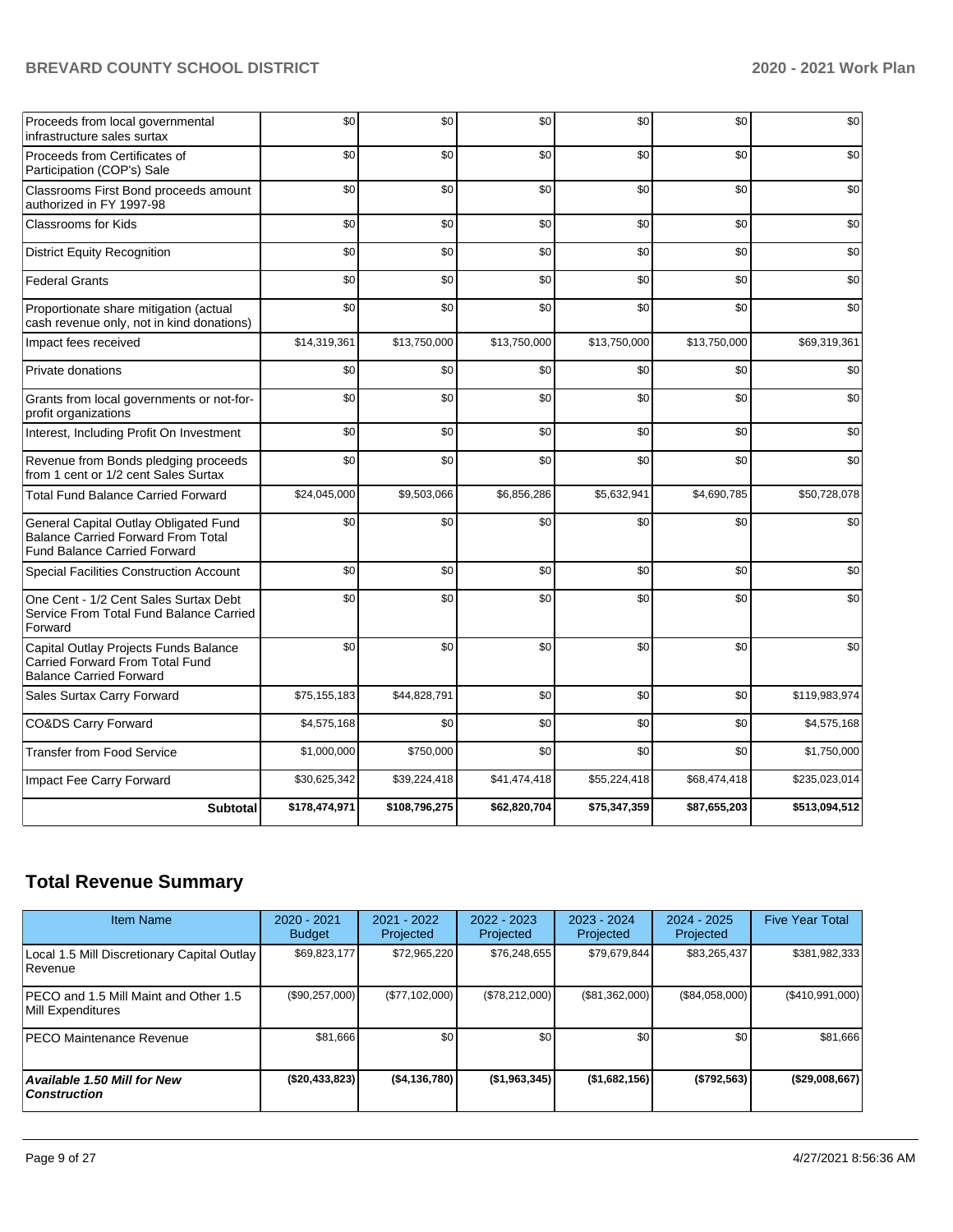| Proceeds from local governmental<br>infrastructure sales surtax                                                           | \$0           | \$0           | \$0          | \$0          | \$0          | \$0           |
|---------------------------------------------------------------------------------------------------------------------------|---------------|---------------|--------------|--------------|--------------|---------------|
| Proceeds from Certificates of<br>Participation (COP's) Sale                                                               | \$0           | \$0           | \$0          | \$0          | \$0          | \$0           |
| Classrooms First Bond proceeds amount<br>authorized in FY 1997-98                                                         | \$0           | \$0           | \$0          | \$0          | \$0          | \$0           |
| Classrooms for Kids                                                                                                       | \$0           | \$0           | \$0          | \$0          | \$0          | \$0           |
| <b>District Equity Recognition</b>                                                                                        | \$0           | \$0           | \$0          | \$0          | \$0          | \$0           |
| <b>Federal Grants</b>                                                                                                     | \$0           | \$0           | \$0          | \$0          | \$0          | \$0           |
| Proportionate share mitigation (actual<br>cash revenue only, not in kind donations)                                       | \$0           | \$0           | \$0          | \$0          | \$0          | \$0           |
| Impact fees received                                                                                                      | \$14,319,361  | \$13,750,000  | \$13,750,000 | \$13,750,000 | \$13,750,000 | \$69,319,361  |
| Private donations                                                                                                         | \$0           | \$0           | \$0          | \$0          | \$0          | \$0           |
| Grants from local governments or not-for-<br>profit organizations                                                         | \$0           | \$0           | \$0          | \$0          | \$0          | \$0           |
| Interest, Including Profit On Investment                                                                                  | \$0           | \$0           | \$0          | \$0          | \$0          | \$0           |
| Revenue from Bonds pledging proceeds<br>from 1 cent or 1/2 cent Sales Surtax                                              | \$0           | \$0           | \$0          | \$0          | \$0          | \$0           |
| <b>Total Fund Balance Carried Forward</b>                                                                                 | \$24,045,000  | \$9,503,066   | \$6,856,286  | \$5,632,941  | \$4,690,785  | \$50,728,078  |
| General Capital Outlay Obligated Fund<br><b>Balance Carried Forward From Total</b><br><b>Fund Balance Carried Forward</b> | \$0           | \$0           | \$0          | \$0          | \$0          | \$0           |
| Special Facilities Construction Account                                                                                   | \$0           | \$0           | \$0          | \$0          | \$0          | \$0           |
| One Cent - 1/2 Cent Sales Surtax Debt<br>Service From Total Fund Balance Carried<br>Forward                               | \$0           | \$0           | \$0          | \$0          | \$0          | \$0           |
| Capital Outlay Projects Funds Balance<br>Carried Forward From Total Fund<br><b>Balance Carried Forward</b>                | \$0           | \$0           | \$0          | \$0          | \$0          | \$0           |
| Sales Surtax Carry Forward                                                                                                | \$75,155,183  | \$44,828,791  | \$0          | \$0          | \$0          | \$119,983,974 |
| <b>CO&amp;DS Carry Forward</b>                                                                                            | \$4,575,168   | \$0           | \$0          | \$0          | \$0          | \$4,575,168   |
| <b>Transfer from Food Service</b>                                                                                         | \$1,000,000   | \$750,000     | \$0          | \$0          | \$0          | \$1,750,000   |
| Impact Fee Carry Forward                                                                                                  | \$30,625,342  | \$39,224,418  | \$41,474,418 | \$55,224,418 | \$68,474,418 | \$235,023,014 |
| <b>Subtotal</b>                                                                                                           | \$178,474,971 | \$108,796,275 | \$62,820,704 | \$75,347,359 | \$87,655,203 | \$513,094,512 |

# **Total Revenue Summary**

| <b>Item Name</b>                                            | $2020 - 2021$<br><b>Budget</b> | 2021 - 2022<br>Projected | $2022 - 2023$<br>Projected | $2023 - 2024$<br>Projected | $2024 - 2025$<br>Projected | <b>Five Year Total</b> |
|-------------------------------------------------------------|--------------------------------|--------------------------|----------------------------|----------------------------|----------------------------|------------------------|
| Local 1.5 Mill Discretionary Capital Outlay<br>Revenue      | \$69,823,177                   | \$72,965,220             | \$76.248.655               | \$79.679.844               | \$83,265,437               | \$381,982,333          |
| IPECO and 1.5 Mill Maint and Other 1.5<br>Mill Expenditures | (\$90,257,000)                 | (\$77,102,000)           | (\$78,212,000)             | (\$81,362,000)             | (\$84,058,000)             | (\$410,991,000)        |
| IPECO Maintenance Revenue                                   | \$81,666                       | \$0 <sub>1</sub>         | \$0                        | \$0                        | \$0                        | \$81,666               |
| Available 1.50 Mill for New<br>  Construction               | ( \$20,433,823)                | ( \$4,136,780]           | (\$1,963,345)              | (\$1,682,156)              | (\$792,563)                | (\$29,008,667)         |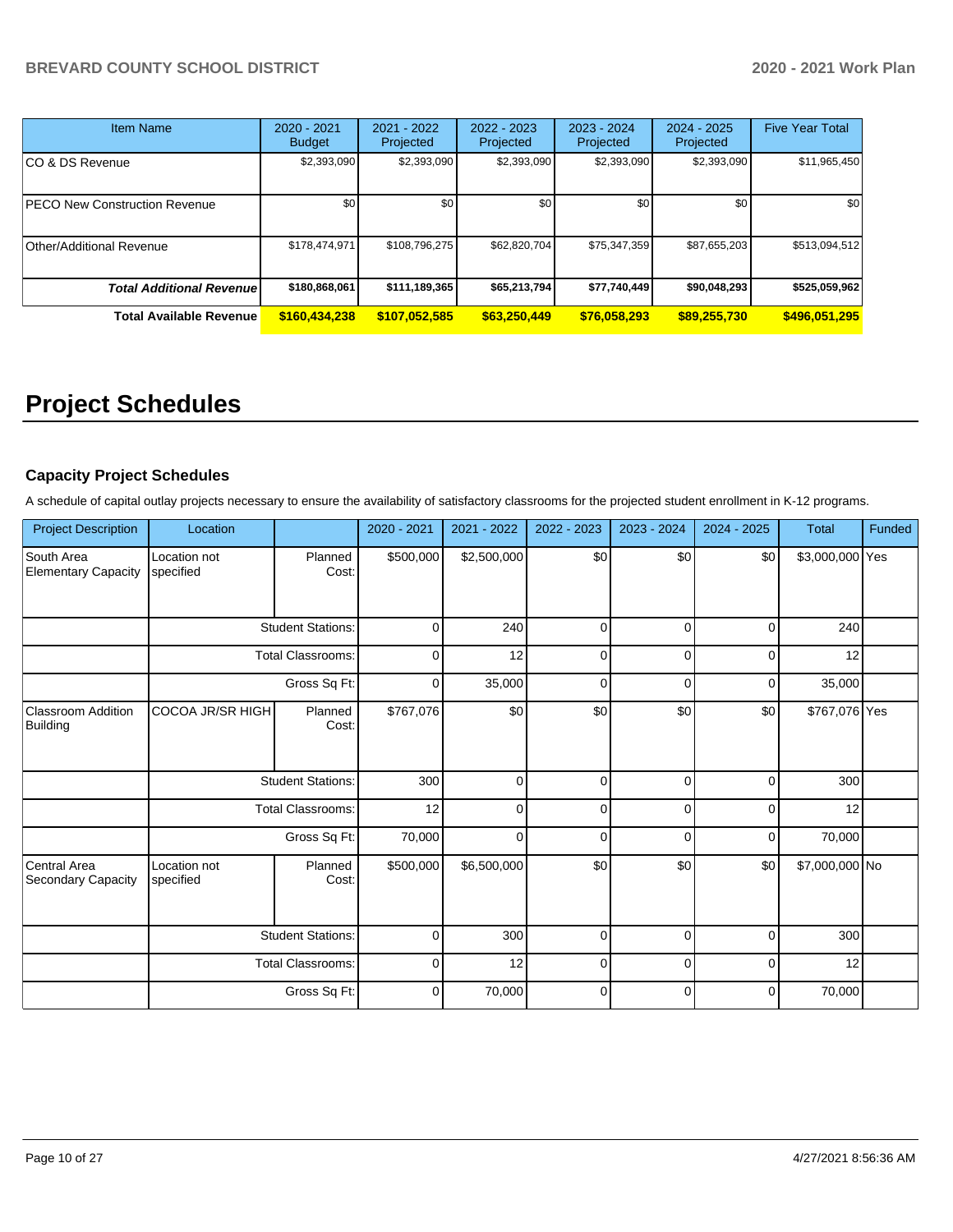| <b>Item Name</b>                 | $2020 - 2021$<br><b>Budget</b> | 2021 - 2022<br>Projected | $2022 - 2023$<br>$2023 - 2024$<br>Projected<br>Projected |              | $2024 - 2025$<br>Projected | <b>Five Year Total</b> |
|----------------------------------|--------------------------------|--------------------------|----------------------------------------------------------|--------------|----------------------------|------------------------|
| CO & DS Revenue                  | \$2,393,090                    | \$2,393,090              | \$2,393,090                                              | \$2,393,090  | \$2,393,090                | \$11,965,450           |
| PECO New Construction Revenue    | \$0                            | \$0                      | \$0                                                      | \$0          | \$0                        | \$0                    |
| <b>Other/Additional Revenue</b>  | \$178,474,971                  | \$108,796,275            | \$62,820,704                                             | \$75,347,359 | \$87,655,203               | \$513,094,512          |
| <b>Total Additional Revenuel</b> | \$180,868,061                  | \$111,189,365            | \$65,213,794                                             | \$77,740,449 | \$90,048,293               | \$525,059,962          |
| <b>Total Available Revenue</b>   | \$160,434,238                  | \$107,052,585            | \$63,250,449                                             | \$76,058,293 | \$89,255,730               | \$496,051,295          |

# **Project Schedules**

# **Capacity Project Schedules**

A schedule of capital outlay projects necessary to ensure the availability of satisfactory classrooms for the projected student enrollment in K-12 programs.

| <b>Project Description</b>               | Location                  |                          | 2020 - 2021 | 2021 - 2022 | 2022 - 2023 | 2023 - 2024 | 2024 - 2025 | <b>Total</b>    | Funded |
|------------------------------------------|---------------------------|--------------------------|-------------|-------------|-------------|-------------|-------------|-----------------|--------|
| South Area<br><b>Elementary Capacity</b> | Location not<br>specified | Planned<br>Cost:         | \$500,000   | \$2,500,000 | \$0         | \$0         | \$0         | \$3,000,000 Yes |        |
|                                          |                           | <b>Student Stations:</b> | $\mathbf 0$ | 240         | $\mathbf 0$ | $\Omega$    | 0           | 240             |        |
|                                          |                           | <b>Total Classrooms:</b> | $\mathbf 0$ | 12          | $\mathbf 0$ | 0           | 0           | 12              |        |
|                                          |                           | Gross Sq Ft:             | $\mathbf 0$ | 35,000      | $\mathbf 0$ | $\Omega$    | 0           | 35,000          |        |
| <b>Classroom Addition</b><br>Building    | COCOA JR/SR HIGH          | Planned<br>Cost:         | \$767,076   | \$0         | \$0         | \$0         | \$0         | \$767,076 Yes   |        |
|                                          |                           | <b>Student Stations:</b> | 300         | 0           | $\mathbf 0$ | 0           | 0           | 300             |        |
|                                          |                           | <b>Total Classrooms:</b> | 12          | $\Omega$    | $\mathbf 0$ | $\Omega$    | 0           | 12              |        |
|                                          |                           | Gross Sq Ft:             | 70,000      | $\Omega$    | $\mathbf 0$ | $\Omega$    | 0           | 70,000          |        |
| Central Area<br>Secondary Capacity       | Location not<br>specified | Planned<br>Cost:         | \$500,000   | \$6,500,000 | \$0         | \$0         | \$0         | \$7,000,000 No  |        |
|                                          |                           | <b>Student Stations:</b> | 0           | 300         | $\mathbf 0$ | 0           | 0           | 300             |        |
|                                          |                           | <b>Total Classrooms:</b> |             | 12          | $\mathbf 0$ | 0           | 0           | 12              |        |
|                                          |                           | Gross Sq Ft:             | $\mathbf 0$ | 70,000      | $\Omega$    | $\Omega$    | 0           | 70,000          |        |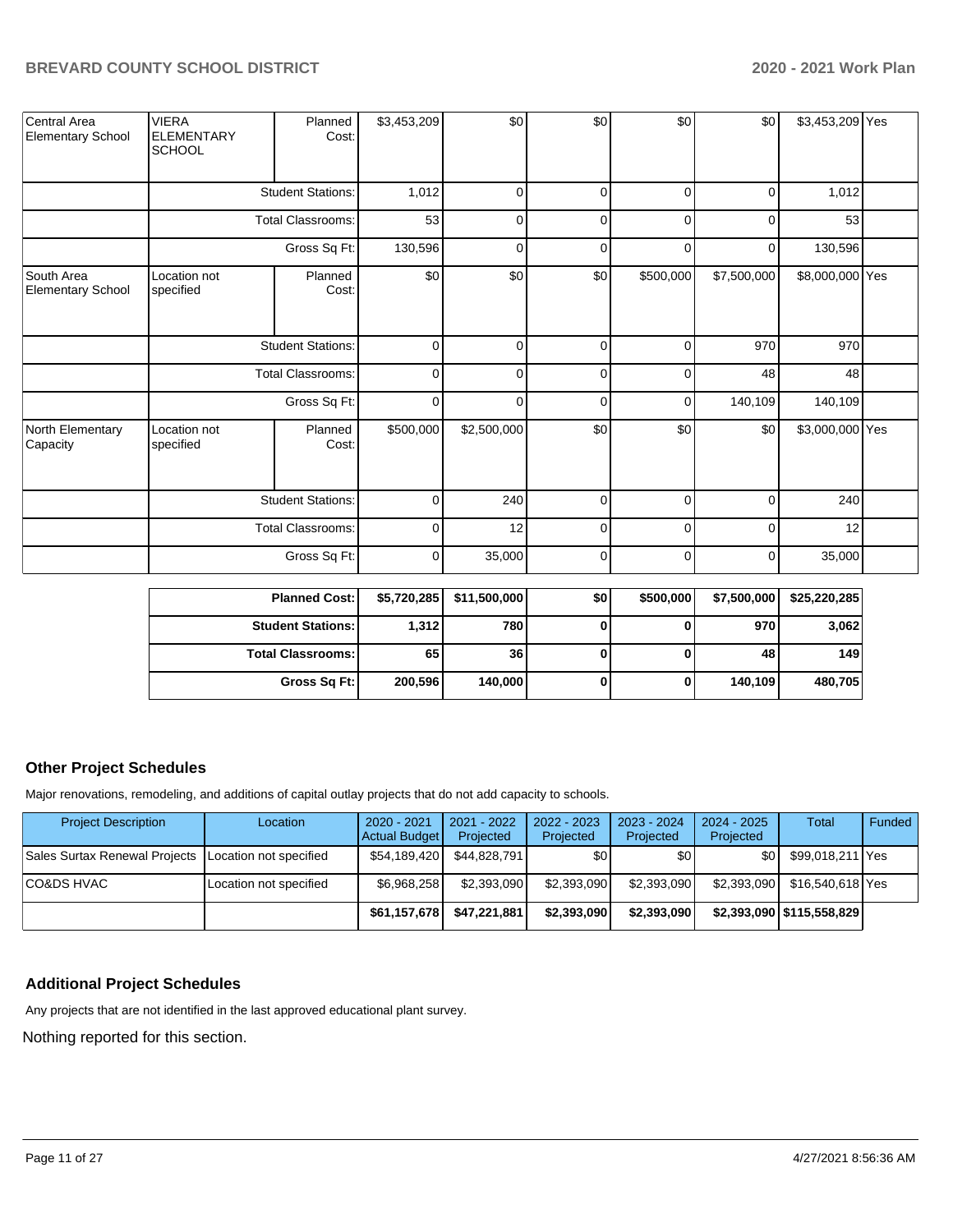| Central Area<br><b>Elementary School</b> | <b>VIERA</b><br><b>ELEMENTARY</b><br><b>SCHOOL</b> | Planned<br>Cost:         | \$3,453,209 | \$0         | \$0         | \$0            | \$0            | \$3,453,209 Yes |  |
|------------------------------------------|----------------------------------------------------|--------------------------|-------------|-------------|-------------|----------------|----------------|-----------------|--|
|                                          | <b>Student Stations:</b>                           |                          | 1,012       | 0           | 0           | $\overline{0}$ | 0              | 1,012           |  |
|                                          |                                                    | Total Classrooms:        | 53          | 0           | 0           | $\overline{0}$ | 0              | 53              |  |
|                                          |                                                    | Gross Sq Ft:             | 130,596     | 0           | 0           | $\overline{0}$ | $\overline{0}$ | 130,596         |  |
| South Area<br><b>Elementary School</b>   | Location not<br>specified                          | Planned<br>Cost:         | \$0         | \$0         | \$0         | \$500,000      | \$7,500,000    | \$8,000,000 Yes |  |
|                                          |                                                    | <b>Student Stations:</b> |             | 0           | 0           | $\overline{0}$ | 970            | 970             |  |
|                                          |                                                    | Total Classrooms:        | 0           | 0           | 0           | $\overline{0}$ | 48             | 48              |  |
|                                          |                                                    | Gross Sq Ft:             | 0           | 0           | 0           | $\overline{0}$ | 140,109        | 140,109         |  |
| North Elementary<br>Capacity             | Location not<br>specified                          | Planned<br>Cost:         | \$500,000   | \$2,500,000 | \$0         | \$0            | \$0            | \$3,000,000 Yes |  |
|                                          |                                                    | <b>Student Stations:</b> |             | 240         | 0           | $\Omega$       | 0              | 240             |  |
|                                          |                                                    | <b>Total Classrooms:</b> |             | 12          | 0           | $\Omega$       | 0              | 12              |  |
|                                          |                                                    | Gross Sq Ft:             | 0           | 35,000      | $\mathbf 0$ | $\overline{0}$ | 0              | 35,000          |  |

| <b>Planned Cost:</b>       | \$5,720,285 | \$11,500,000 | \$0 | \$500,000 | \$7,500,000 | \$25,220,285 |
|----------------------------|-------------|--------------|-----|-----------|-------------|--------------|
| <b>Student Stations:</b>   | 1,312       | 780          |     |           | 970         | 3,062        |
| <b>Total Classrooms: I</b> | 65          | 36           |     |           | 48          | 149          |
| Gross Sq Ft:               | 200,596     | 140.000      |     | 0         | 140.109     | 480.705      |

#### **Other Project Schedules**

Major renovations, remodeling, and additions of capital outlay projects that do not add capacity to schools.

| <b>Project Description</b>                             | Location               | 2020 - 2021<br>Actual Budget | 2021 - 2022<br>Projected | 2022 - 2023<br>Projected | $2023 - 2024$<br>Projected | $2024 - 2025$<br>Projected | Total                     | Funded |
|--------------------------------------------------------|------------------------|------------------------------|--------------------------|--------------------------|----------------------------|----------------------------|---------------------------|--------|
| Sales Surtax Renewal Projects   Location not specified |                        | \$54,189,420                 | \$44.828.791             | \$٥١                     | \$٥١                       | \$0 I                      | \$99,018,211 Yes          |        |
| CO&DS HVAC_                                            | Location not specified | \$6,968,258                  | \$2,393,090              | \$2,393,090              | \$2,393,090                | \$2,393,090                | \$16,540,618 Yes          |        |
|                                                        |                        | \$61,157,678                 | \$47,221,881             | \$2,393,090              | \$2,393,090                |                            | \$2,393,090 \$115,558,829 |        |

# **Additional Project Schedules**

Any projects that are not identified in the last approved educational plant survey.

Nothing reported for this section.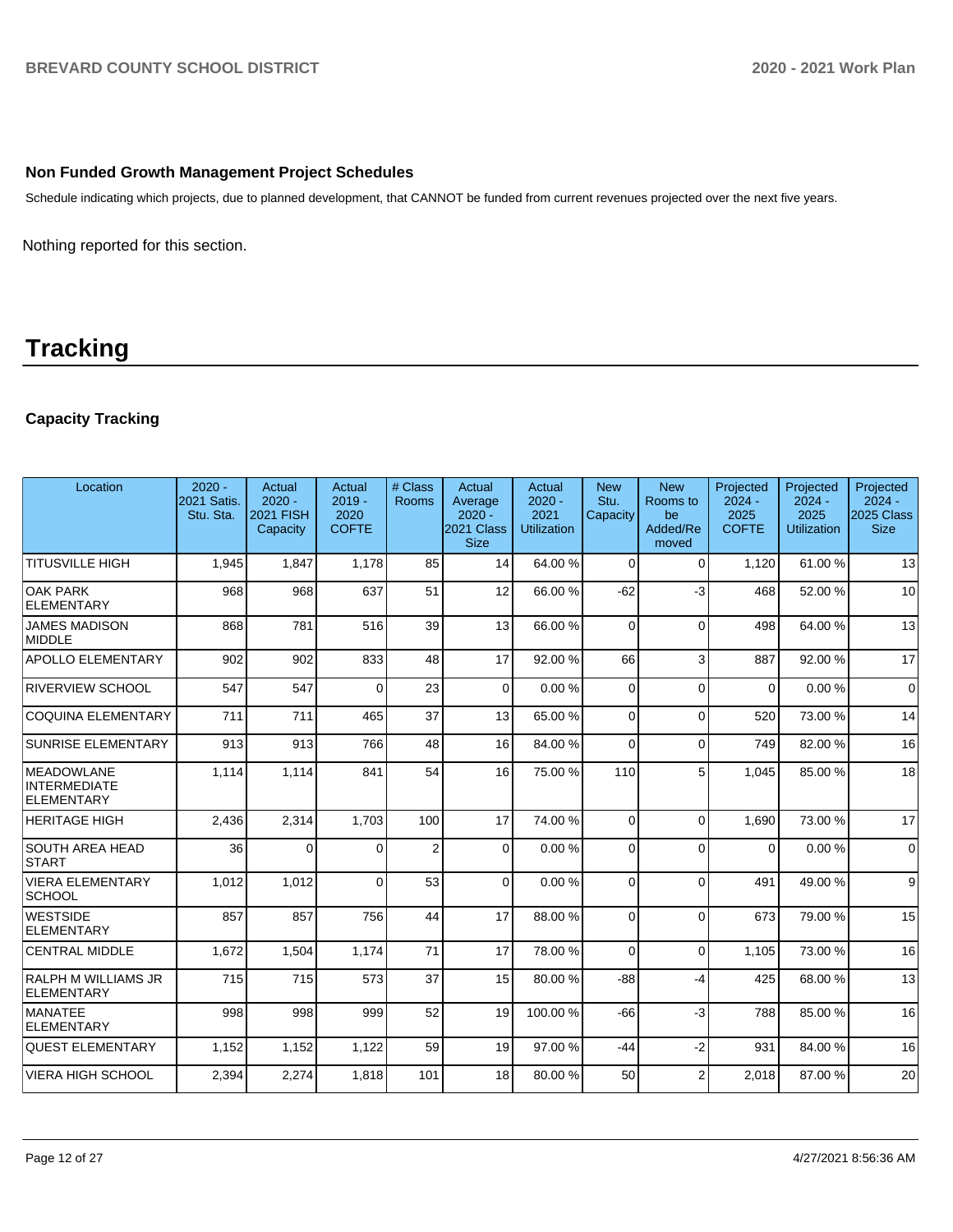## **Non Funded Growth Management Project Schedules**

Schedule indicating which projects, due to planned development, that CANNOT be funded from current revenues projected over the next five years.

Nothing reported for this section.

# **Tracking**

# **Capacity Tracking**

| Location                                                      | $2020 -$<br>2021 Satis.<br>Stu. Sta. | <b>Actual</b><br>$2020 -$<br><b>2021 FISH</b><br>Capacity | Actual<br>$2019 -$<br>2020<br><b>COFTE</b> | # Class<br><b>Rooms</b> | Actual<br>Average<br>$2020 -$<br>2021 Class<br><b>Size</b> | Actual<br>$2020 -$<br>2021<br><b>Utilization</b> | <b>New</b><br>Stu.<br>Capacity | <b>New</b><br>Rooms to<br>be<br>Added/Re<br>moved | Projected<br>$2024 -$<br>2025<br><b>COFTE</b> | Projected<br>$2024 -$<br>2025<br><b>Utilization</b> | Projected<br>$2024 -$<br>2025 Class<br><b>Size</b> |
|---------------------------------------------------------------|--------------------------------------|-----------------------------------------------------------|--------------------------------------------|-------------------------|------------------------------------------------------------|--------------------------------------------------|--------------------------------|---------------------------------------------------|-----------------------------------------------|-----------------------------------------------------|----------------------------------------------------|
| <b>TITUSVILLE HIGH</b>                                        | 1.945                                | 1.847                                                     | 1.178                                      | 85                      | 14                                                         | 64.00%                                           | $\Omega$                       | $\Omega$                                          | 1,120                                         | 61.00%                                              | 13                                                 |
| <b>OAK PARK</b><br>ELEMENTARY                                 | 968                                  | 968                                                       | 637                                        | 51                      | 12                                                         | 66.00%                                           | $-62$                          | $-3$                                              | 468                                           | 52.00 %                                             | 10                                                 |
| <b>JAMES MADISON</b><br>MIDDLE                                | 868                                  | 781                                                       | 516                                        | 39                      | 13                                                         | 66.00 %                                          | $\Omega$                       | $\Omega$                                          | 498                                           | 64.00%                                              | 13                                                 |
| <b>APOLLO ELEMENTARY</b>                                      | 902                                  | 902                                                       | 833                                        | 48                      | 17                                                         | 92.00 %                                          | 66                             | 3                                                 | 887                                           | 92.00 %                                             | 17                                                 |
| <b>RIVERVIEW SCHOOL</b>                                       | 547                                  | 547                                                       | $\Omega$                                   | 23                      | $\Omega$                                                   | 0.00%                                            | $\Omega$                       | $\Omega$                                          | $\Omega$                                      | 0.00%                                               | $\mathbf 0$                                        |
| COQUINA ELEMENTARY                                            | 711                                  | 711                                                       | 465                                        | 37                      | 13                                                         | 65.00 %                                          | $\Omega$                       | $\Omega$                                          | 520                                           | 73.00 %                                             | 14                                                 |
| <b>SUNRISE ELEMENTARY</b>                                     | 913                                  | 913                                                       | 766                                        | 48                      | 16                                                         | 84.00%                                           | $\Omega$                       | $\Omega$                                          | 749                                           | 82.00 %                                             | 16                                                 |
| <b>MEADOWLANE</b><br><b>INTERMEDIATE</b><br><b>ELEMENTARY</b> | 1.114                                | 1,114                                                     | 841                                        | 54                      | 16                                                         | 75.00 %                                          | 110                            | 5                                                 | 1.045                                         | 85.00 %                                             | 18                                                 |
| <b>HERITAGE HIGH</b>                                          | 2,436                                | 2,314                                                     | 1,703                                      | 100                     | 17                                                         | 74.00%                                           | $\Omega$                       | $\Omega$                                          | 1,690                                         | 73.00 %                                             | 17                                                 |
| <b>SOUTH AREA HEAD</b><br><b>START</b>                        | 36                                   | $\Omega$                                                  | $\Omega$                                   | $\overline{2}$          | $\Omega$                                                   | 0.00%                                            | $\Omega$                       | $\Omega$                                          | $\Omega$                                      | 0.00%                                               | $\Omega$                                           |
| VIERA ELEMENTARY<br><b>SCHOOL</b>                             | 1,012                                | 1,012                                                     | $\Omega$                                   | 53                      | $\Omega$                                                   | 0.00%                                            | $\Omega$                       | $\Omega$                                          | 491                                           | 49.00 %                                             | 9                                                  |
| <b>WESTSIDE</b><br><b>ELEMENTARY</b>                          | 857                                  | 857                                                       | 756                                        | 44                      | 17                                                         | 88.00 %                                          | $\Omega$                       | $\Omega$                                          | 673                                           | 79.00 %                                             | 15                                                 |
| <b>CENTRAL MIDDLE</b>                                         | 1,672                                | 1,504                                                     | 1,174                                      | 71                      | 17                                                         | 78.00 %                                          | $\Omega$                       | $\Omega$                                          | 1.105                                         | 73.00 %                                             | 16                                                 |
| <b>RALPH M WILLIAMS JR</b><br>ELEMENTARY                      | 715                                  | 715                                                       | 573                                        | 37                      | 15                                                         | 80.00 %                                          | $-88$                          | $-4$                                              | 425                                           | 68.00 %                                             | 13                                                 |
| <b>MANATEE</b><br>ELEMENTARY                                  | 998                                  | 998                                                       | 999                                        | 52                      | 19                                                         | 100.00%                                          | $-66$                          | $-3$                                              | 788                                           | 85.00 %                                             | 16                                                 |
| <b>QUEST ELEMENTARY</b>                                       | 1,152                                | 1,152                                                     | 1,122                                      | 59                      | 19                                                         | 97.00 %                                          | $-44$                          | $-2$                                              | 931                                           | 84.00 %                                             | 16                                                 |
| <b>VIERA HIGH SCHOOL</b>                                      | 2,394                                | 2,274                                                     | 1,818                                      | 101                     | 18                                                         | 80.00%                                           | 50                             | $\overline{2}$                                    | 2,018                                         | 87.00 %                                             | 20                                                 |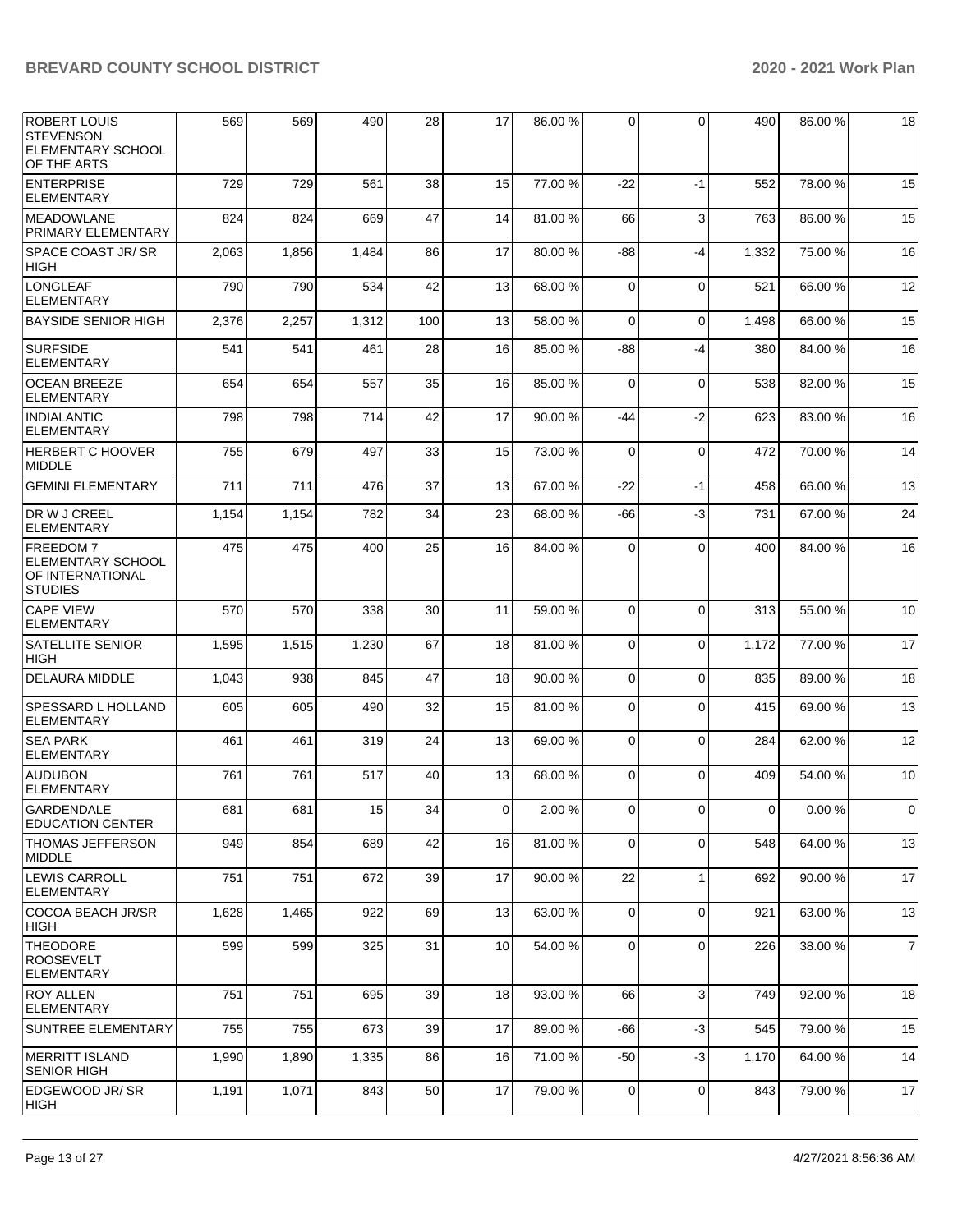| ROBERT LOUIS<br><b>STEVENSON</b><br>ELEMENTARY SCHOOL<br>OF THE ARTS              | 569   | 569   | 490   | 28  | 17              | 86.00 % | $\Omega$       | 0            | 490   | 86.00 %   | 18             |
|-----------------------------------------------------------------------------------|-------|-------|-------|-----|-----------------|---------|----------------|--------------|-------|-----------|----------------|
| ENTERPRISE<br><b>ELEMENTARY</b>                                                   | 729   | 729   | 561   | 38  | 15              | 77.00 % | $-22$          | $-1$         | 552   | 78.00 %   | 15             |
| <b>MEADOWLANE</b><br>PRIMARY ELEMENTARY                                           | 824   | 824   | 669   | 47  | 14              | 81.00%  | 66             | 3            | 763   | 86.00 %   | 15             |
| <b>SPACE COAST JR/SR</b><br><b>HIGH</b>                                           | 2,063 | 1,856 | 1,484 | 86  | 17              | 80.00 % | -88            | -4           | 1,332 | 75.00 %   | 16             |
| LONGLEAF<br><b>ELEMENTARY</b>                                                     | 790   | 790   | 534   | 42  | 13              | 68.00%  | $\Omega$       | $\mathbf 0$  | 521   | 66.00 %   | 12             |
| <b>BAYSIDE SENIOR HIGH</b>                                                        | 2,376 | 2,257 | 1,312 | 100 | 13              | 58.00 % | $\Omega$       | $\mathbf 0$  | 1,498 | 66.00 %   | 15             |
| <b>SURFSIDE</b><br><b>ELEMENTARY</b>                                              | 541   | 541   | 461   | 28  | 16              | 85.00 % | -88            | -4           | 380   | 84.00 %   | 16             |
| <b>OCEAN BREEZE</b><br><b>ELEMENTARY</b>                                          | 654   | 654   | 557   | 35  | 16              | 85.00 % | $\mathbf 0$    | $\mathbf 0$  | 538   | 82.00 %   | 15             |
| <b>INDIALANTIC</b><br><b>ELEMENTARY</b>                                           | 798   | 798   | 714   | 42  | 17              | 90.00 % | -44            | -2           | 623   | 83.00 %   | 16             |
| <b>HERBERT C HOOVER</b><br><b>MIDDLE</b>                                          | 755   | 679   | 497   | 33  | 15              | 73.00 % | $\Omega$       | $\mathbf 0$  | 472   | 70.00 %   | 14             |
| <b>GEMINI ELEMENTARY</b>                                                          | 711   | 711   | 476   | 37  | 13              | 67.00 % | $-22$          | $-1$         | 458   | 66.00 %   | 13             |
| DR W J CREEL<br>ELEMENTARY                                                        | 1,154 | 1,154 | 782   | 34  | 23              | 68.00 % | -66            | -3           | 731   | 67.00 %   | 24             |
| <b>FREEDOM7</b><br><b>ELEMENTARY SCHOOL</b><br>OF INTERNATIONAL<br><b>STUDIES</b> | 475   | 475   | 400   | 25  | 16              | 84.00 % | $\Omega$       | $\Omega$     | 400   | 84.00 %   | 16             |
| <b>CAPE VIEW</b><br><b>ELEMENTARY</b>                                             | 570   | 570   | 338   | 30  | 11              | 59.00 % | $\Omega$       | $\mathbf 0$  | 313   | 55.00 %   | 10             |
| SATELLITE SENIOR<br><b>HIGH</b>                                                   | 1,595 | 1,515 | 1,230 | 67  | 18              | 81.00%  | $\Omega$       | $\mathbf 0$  | 1,172 | 77.00 %   | 17             |
| <b>DELAURA MIDDLE</b>                                                             | 1,043 | 938   | 845   | 47  | 18              | 90.00 % | $\Omega$       | $\Omega$     | 835   | 89.00%    | 18             |
| <b>SPESSARD L HOLLAND</b><br><b>ELEMENTARY</b>                                    | 605   | 605   | 490   | 32  | 15              | 81.00%  | $\Omega$       | $\Omega$     | 415   | 69.00 %   | 13             |
| <b>SEA PARK</b><br><b>ELEMENTARY</b>                                              | 461   | 461   | 319   | 24  | 13              | 69.00 % | $\Omega$       | $\Omega$     | 284   | 62.00 %   | 12             |
| <b>AUDUBON</b><br><b>ELEMENTARY</b>                                               | 761   | 761   | 517   | 40  | 13              | 68.00 % | $\Omega$       | $\Omega$     | 409   | 54.00 %   | 10             |
| GARDENDALE<br><b>EDUCATION CENTER</b>                                             | 681   | 681   | 15    | 34  | 0               | 2.00 %  | $\overline{0}$ | $\Omega$     | 0     | $0.00 \%$ | $\pmb{0}$      |
| THOMAS JEFFERSON<br>MIDDLE                                                        | 949   | 854   | 689   | 42  | 16              | 81.00%  | $\Omega$       | 0            | 548   | 64.00 %   | 13             |
| <b>LEWIS CARROLL</b><br><b>ELEMENTARY</b>                                         | 751   | 751   | 672   | 39  | 17              | 90.00 % | 22             | $\mathbf{1}$ | 692   | 90.00 %   | 17             |
| COCOA BEACH JR/SR<br>HIGH                                                         | 1,628 | 1,465 | 922   | 69  | 13              | 63.00 % | $\overline{0}$ | $\mathbf 0$  | 921   | 63.00 %   | 13             |
| <b>THEODORE</b><br><b>ROOSEVELT</b><br><b>ELEMENTARY</b>                          | 599   | 599   | 325   | 31  | 10 <sup>1</sup> | 54.00 % | 0              | 0            | 226   | 38.00 %   | $\overline{7}$ |
| <b>ROY ALLEN</b><br>ELEMENTARY                                                    | 751   | 751   | 695   | 39  | 18              | 93.00 % | 66             | 3            | 749   | 92.00 %   | 18             |
| SUNTREE ELEMENTARY                                                                | 755   | 755   | 673   | 39  | 17              | 89.00 % | $-66$          | $-3$         | 545   | 79.00 %   | 15             |
| MERRITT ISLAND<br> SENIOR HIGH                                                    | 1,990 | 1,890 | 1,335 | 86  | 16              | 71.00 % | $-50$          | -3           | 1,170 | 64.00 %   | 14             |
| EDGEWOOD JR/ SR<br> HIGH                                                          | 1,191 | 1,071 | 843   | 50  | 17              | 79.00 % | $\overline{0}$ | 0            | 843   | 79.00 %   | 17             |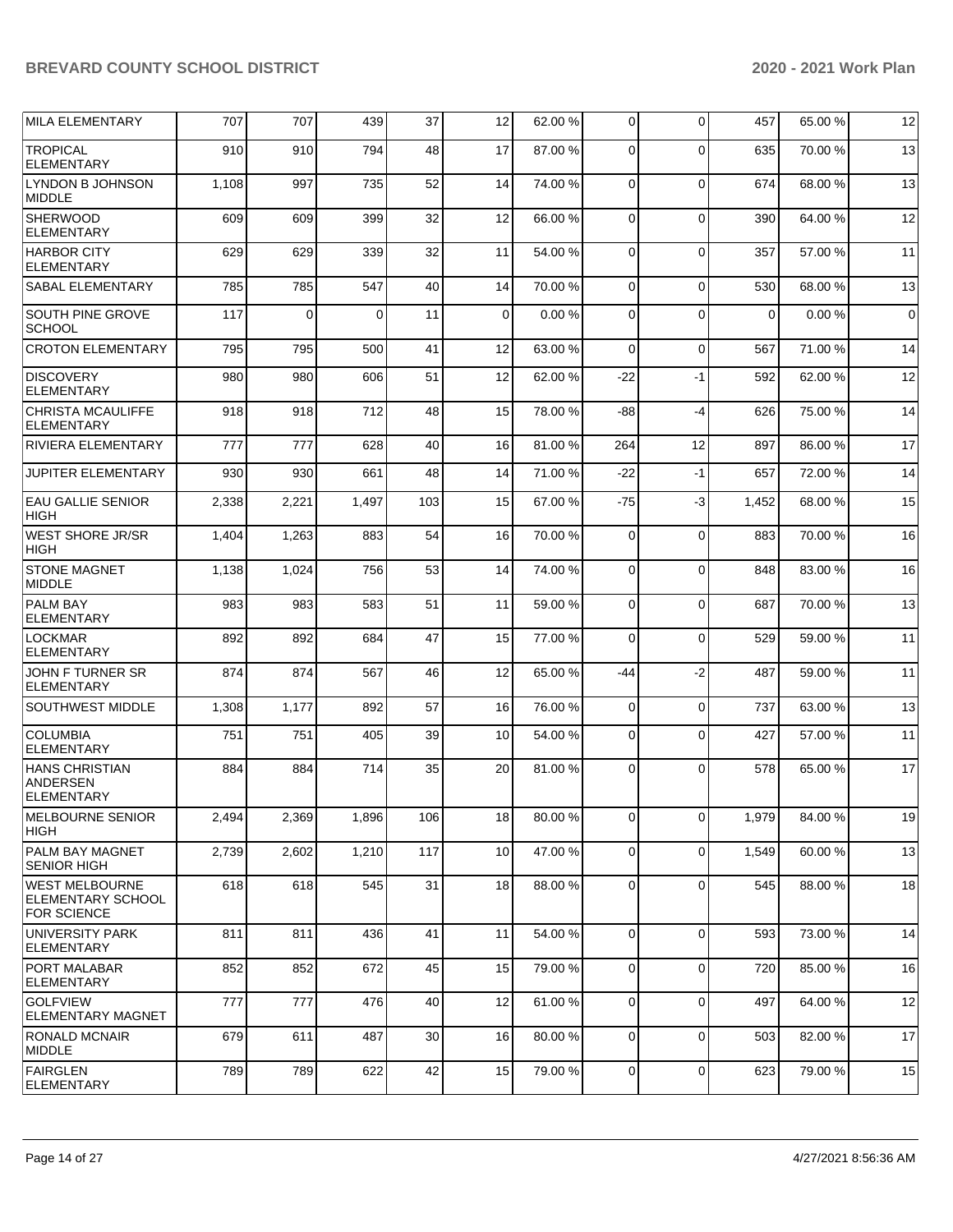| <b>MILA ELEMENTARY</b>                                                  | 707   | 707   | 439   | 37  | 12              | 62.00 % | $\overline{0}$ | $\Omega$       | 457         | 65.00 % | 12          |
|-------------------------------------------------------------------------|-------|-------|-------|-----|-----------------|---------|----------------|----------------|-------------|---------|-------------|
| <b>TROPICAL</b><br><b>ELEMENTARY</b>                                    | 910   | 910   | 794   | 48  | 17              | 87.00 % | 0              | $\Omega$       | 635         | 70.00%  | 13          |
| <b>LYNDON B JOHNSON</b><br><b>MIDDLE</b>                                | 1,108 | 997   | 735   | 52  | 14              | 74.00 % | $\mathbf 0$    | $\Omega$       | 674         | 68.00 % | 13          |
| <b>SHERWOOD</b><br><b>ELEMENTARY</b>                                    | 609   | 609   | 399   | 32  | 12              | 66.00 % | $\mathbf 0$    | $\Omega$       | 390         | 64.00%  | 12          |
| <b>HARBOR CITY</b><br><b>ELEMENTARY</b>                                 | 629   | 629   | 339   | 32  | 11              | 54.00 % | $\Omega$       | $\Omega$       | 357         | 57.00 % | 11          |
| <b>SABAL ELEMENTARY</b>                                                 | 785   | 785   | 547   | 40  | 14              | 70.00 % | $\mathbf 0$    | $\Omega$       | 530         | 68.00 % | 13          |
| SOUTH PINE GROVE<br><b>SCHOOL</b>                                       | 117   | 0     | 0     | 11  | $\mathbf 0$     | 0.00%   | 0              | $\Omega$       | $\mathbf 0$ | 0.00%   | $\mathbf 0$ |
| <b>CROTON ELEMENTARY</b>                                                | 795   | 795   | 500   | 41  | 12              | 63.00 % | $\mathbf 0$    | $\Omega$       | 567         | 71.00 % | 14          |
| <b>DISCOVERY</b><br><b>ELEMENTARY</b>                                   | 980   | 980   | 606   | 51  | 12              | 62.00 % | $-22$          | $-1$           | 592         | 62.00 % | 12          |
| <b>CHRISTA MCAULIFFE</b><br><b>ELEMENTARY</b>                           | 918   | 918   | 712   | 48  | 15              | 78.00 % | -88            | $-4$           | 626         | 75.00 % | 14          |
| <b>RIVIERA ELEMENTARY</b>                                               | 777   | 777   | 628   | 40  | 16              | 81.00%  | 264            | 12             | 897         | 86.00 % | 17          |
| <b>JUPITER ELEMENTARY</b>                                               | 930   | 930   | 661   | 48  | 14              | 71.00 % | $-22$          | $-1$           | 657         | 72.00 % | 14          |
| <b>EAU GALLIE SENIOR</b><br><b>HIGH</b>                                 | 2,338 | 2,221 | 1,497 | 103 | 15              | 67.00 % | $-75$          | $-3$           | 1,452       | 68.00 % | 15          |
| <b>WEST SHORE JR/SR</b><br><b>HIGH</b>                                  | 1,404 | 1,263 | 883   | 54  | 16              | 70.00%  | $\mathbf 0$    | $\Omega$       | 883         | 70.00%  | 16          |
| <b>STONE MAGNET</b><br><b>MIDDLE</b>                                    | 1,138 | 1,024 | 756   | 53  | 14              | 74.00 % | $\Omega$       | $\Omega$       | 848         | 83.00 % | 16          |
| <b>PALM BAY</b><br><b>ELEMENTARY</b>                                    | 983   | 983   | 583   | 51  | 11              | 59.00 % | 0              | $\Omega$       | 687         | 70.00 % | 13          |
| LOCKMAR<br><b>ELEMENTARY</b>                                            | 892   | 892   | 684   | 47  | 15              | 77.00 % | 0              | $\Omega$       | 529         | 59.00 % | 11          |
| JOHN F TURNER SR<br><b>ELEMENTARY</b>                                   | 874   | 874   | 567   | 46  | 12              | 65.00 % | -44            | $-2$           | 487         | 59.00 % | 11          |
| <b>SOUTHWEST MIDDLE</b>                                                 | 1,308 | 1,177 | 892   | 57  | 16              | 76.00 % | 0              | $\Omega$       | 737         | 63.00 % | 13          |
| <b>COLUMBIA</b><br><b>ELEMENTARY</b>                                    | 751   | 751   | 405   | 39  | 10              | 54.00 % | 0              | $\Omega$       | 427         | 57.00 % | 11          |
| <b>HANS CHRISTIAN</b><br><b>ANDERSEN</b><br>ELEMENTARY                  | 884   | 884   | 714   | 35  | 20              | 81.00%  | 0              | $\Omega$       | 578         | 65.00 % | 17          |
| MELBOURNE SENIOR<br>HIGH                                                | 2,494 | 2,369 | 1,896 | 106 | 18 <sup>l</sup> | 80.00 % | $\overline{0}$ | $\overline{0}$ | 1,979       | 84.00 % | 19          |
| <b>PALM BAY MAGNET</b><br><b>SENIOR HIGH</b>                            | 2,739 | 2,602 | 1,210 | 117 | 10              | 47.00 % | 0              | $\Omega$       | 1,549       | 60.00 % | 13          |
| <b>WEST MELBOURNE</b><br><b>ELEMENTARY SCHOOL</b><br><b>FOR SCIENCE</b> | 618   | 618   | 545   | 31  | 18              | 88.00 % | 0              | $\Omega$       | 545         | 88.00 % | 18          |
| UNIVERSITY PARK<br><b>ELEMENTARY</b>                                    | 811   | 811   | 436   | 41  | 11              | 54.00 % | $\overline{0}$ | $\Omega$       | 593         | 73.00 % | 14          |
| <b>PORT MALABAR</b><br><b>ELEMENTARY</b>                                | 852   | 852   | 672   | 45  | 15              | 79.00 % | $\mathbf 0$    | $\mathbf 0$    | 720         | 85.00 % | 16          |
| <b>GOLFVIEW</b><br><b>ELEMENTARY MAGNET</b>                             | 777   | 777   | 476   | 40  | 12              | 61.00 % | $\mathbf 0$    | $\mathbf 0$    | 497         | 64.00 % | 12          |
| <b>RONALD MCNAIR</b><br>MIDDLE                                          | 679   | 611   | 487   | 30  | 16              | 80.00 % | $\mathbf 0$    | $\Omega$       | 503         | 82.00 % | 17          |
| FAIRGLEN<br><b>ELEMENTARY</b>                                           | 789   | 789   | 622   | 42  | 15              | 79.00 % | $\mathbf 0$    | $\mathbf 0$    | 623         | 79.00 % | 15          |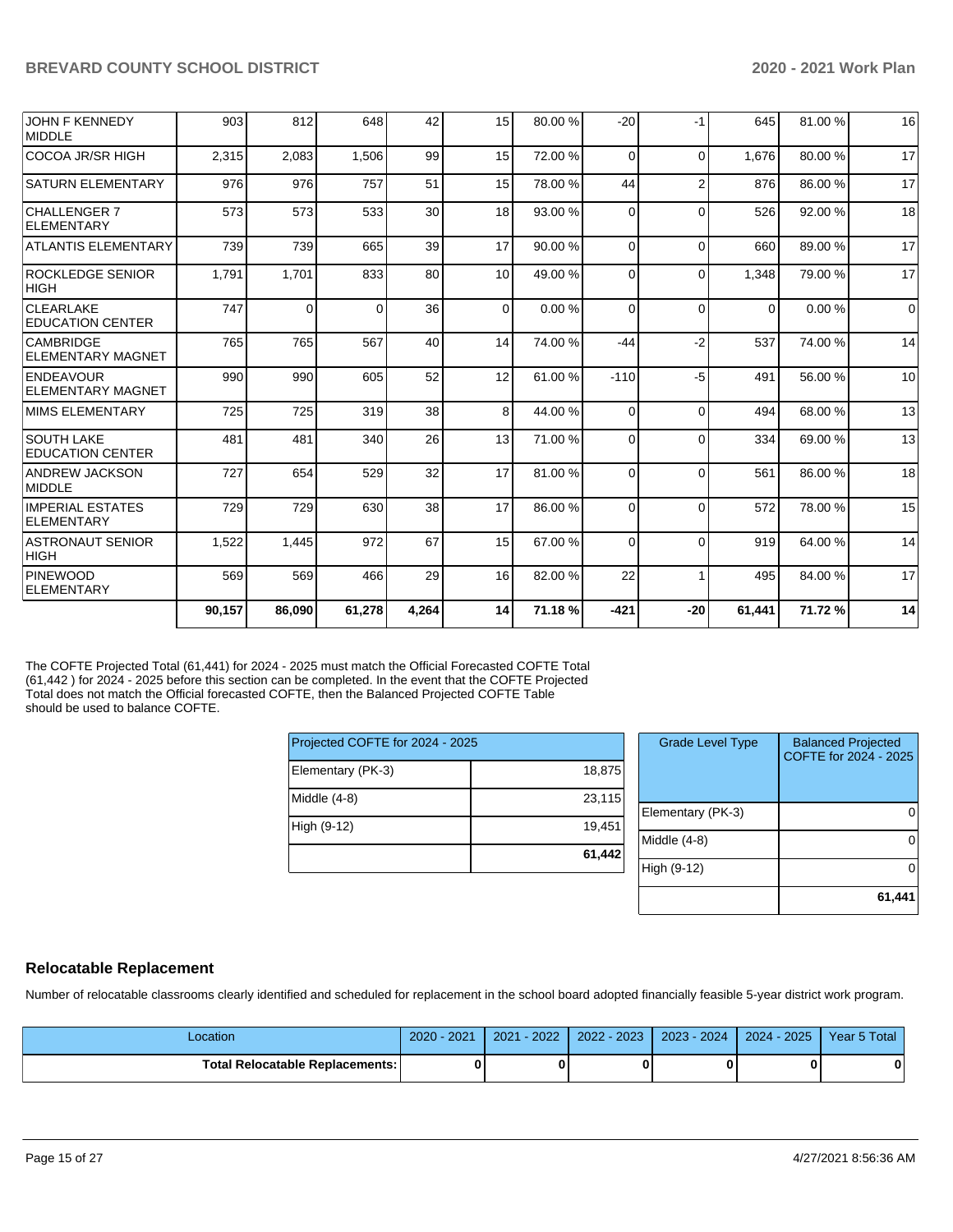|                                              | 90,157 | 86,090 | 61,278   | 4,264 | 14       | 71.18 % | $-421$   | $-20$          | 61,441   | 71.72%  | 14       |
|----------------------------------------------|--------|--------|----------|-------|----------|---------|----------|----------------|----------|---------|----------|
| <b>PINEWOOD</b><br>ELEMENTARY                | 569    | 569    | 466      | 29    | 16       | 82.00 % | 22       |                | 495      | 84.00%  | 17       |
| <b>ASTRONAUT SENIOR</b><br> HIGH             | 1,522  | 1.445  | 972      | 67    | 15       | 67.00 % | $\Omega$ | $\Omega$       | 919      | 64.00 % | 14       |
| <b>IMPERIAL ESTATES</b><br><b>ELEMENTARY</b> | 729    | 729    | 630      | 38    | 17       | 86.00 % | $\Omega$ | $\Omega$       | 572      | 78.00 % | 15       |
| ANDREW JACKSON<br>MIDDLE                     | 727    | 654    | 529      | 32    | 17       | 81.00 % | $\Omega$ | $\Omega$       | 561      | 86.00 % | 18       |
| <b>SOUTH LAKE</b><br><b>EDUCATION CENTER</b> | 481    | 481    | 340      | 26    | 13       | 71.00 % | $\Omega$ | $\Omega$       | 334      | 69.00 % | 13       |
| <b>MIMS ELEMENTARY</b>                       | 725    | 725    | 319      | 38    | 8        | 44.00 % | $\Omega$ | $\Omega$       | 494      | 68.00 % | 13       |
| <b>ENDEAVOUR</b><br><b>ELEMENTARY MAGNET</b> | 990    | 990    | 605      | 52    | 12       | 61.00 % | $-110$   | $-5$           | 491      | 56.00 % | 10       |
| <b>CAMBRIDGE</b><br><b>ELEMENTARY MAGNET</b> | 765    | 765    | 567      | 40    | 14       | 74.00 % | $-44$    | $-2$           | 537      | 74.00 % | 14       |
| <b>CLEARLAKE</b><br><b>EDUCATION CENTER</b>  | 747    | 0      | $\Omega$ | 36    | $\Omega$ | 0.00%   | $\Omega$ | $\Omega$       | $\Omega$ | 0.00%   | $\Omega$ |
| <b>ROCKLEDGE SENIOR</b><br><b>HIGH</b>       | 1,791  | 1,701  | 833      | 80    | 10       | 49.00 % | $\Omega$ | $\Omega$       | 1,348    | 79.00 % | 17       |
| <b>ATLANTIS ELEMENTARY</b>                   | 739    | 739    | 665      | 39    | 17       | 90.00 % | $\Omega$ | $\Omega$       | 660      | 89.00 % | 17       |
| <b>CHALLENGER 7</b><br><b>ELEMENTARY</b>     | 573    | 573    | 533      | 30    | 18       | 93.00 % | $\Omega$ | $\Omega$       | 526      | 92.00 % | 18       |
| <b>SATURN ELEMENTARY</b>                     | 976    | 976    | 757      | 51    | 15       | 78.00 % | 44       | $\overline{2}$ | 876      | 86.00 % | 17       |
| COCOA JR/SR HIGH                             | 2,315  | 2,083  | 1,506    | 99    | 15       | 72.00 % | $\Omega$ | $\Omega$       | 1.676    | 80.00 % | 17       |
| <b>JOHN F KENNEDY</b><br><b>MIDDLE</b>       | 903    | 812    | 648      | 42    | 15       | 80.00 % | $-20$    | $-1$           | 645      | 81.00%  | 16       |

The COFTE Projected Total (61,441) for 2024 - 2025 must match the Official Forecasted COFTE Total (61,442 ) for 2024 - 2025 before this section can be completed. In the event that the COFTE Projected Total does not match the Official forecasted COFTE, then the Balanced Projected COFTE Table should be used to balance COFTE.

| Projected COFTE for 2024 - 2025 |        |  |  |  |  |
|---------------------------------|--------|--|--|--|--|
| Elementary (PK-3)               | 18,875 |  |  |  |  |
| Middle (4-8)                    | 23,115 |  |  |  |  |
| High (9-12)                     | 19,451 |  |  |  |  |
|                                 | 61,442 |  |  |  |  |

| <b>Grade Level Type</b> | <b>Balanced Projected</b><br>COFTE for 2024 - 2025 |
|-------------------------|----------------------------------------------------|
| Elementary (PK-3)       |                                                    |
| Middle (4-8)            |                                                    |
| High (9-12)             |                                                    |
|                         | 61,441                                             |

### **Relocatable Replacement**

Number of relocatable classrooms clearly identified and scheduled for replacement in the school board adopted financially feasible 5-year district work program.

| Location                                 | 2020 - 2021 | $1 - 2022$<br>2021 | 2022 - 2023 | $2023 - 2024$ | $2024 - 2025$ | Year 5 Total |
|------------------------------------------|-------------|--------------------|-------------|---------------|---------------|--------------|
| <b>Total Relocatable Replacements: I</b> |             |                    |             |               |               | 0            |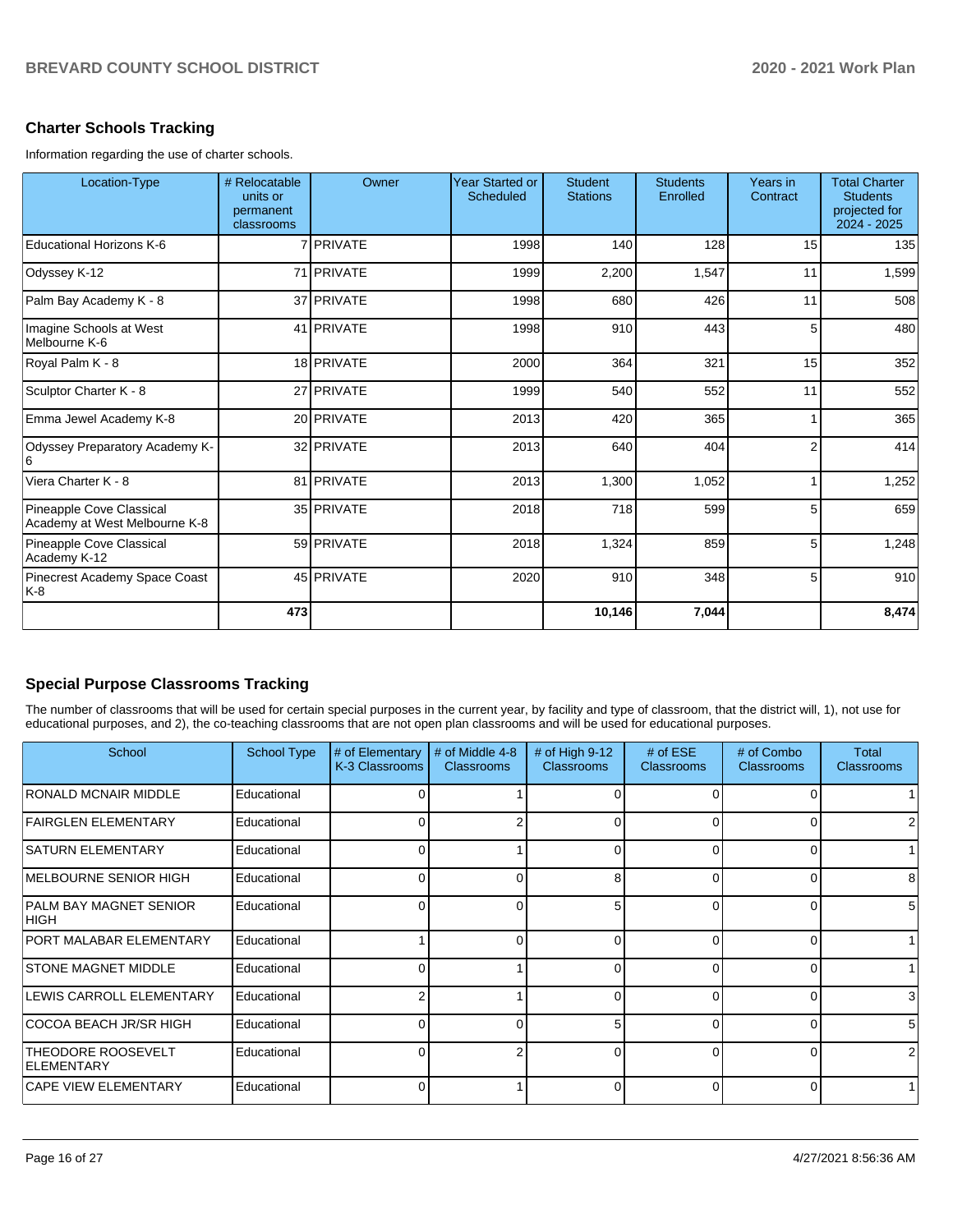## **Charter Schools Tracking**

Information regarding the use of charter schools.

| Location-Type                                             | # Relocatable<br>units or<br>permanent<br>classrooms | Owner      | <b>Year Started or</b><br>Scheduled | <b>Student</b><br><b>Stations</b> | <b>Students</b><br>Enrolled | Years in<br>Contract | <b>Total Charter</b><br><b>Students</b><br>projected for<br>2024 - 2025 |
|-----------------------------------------------------------|------------------------------------------------------|------------|-------------------------------------|-----------------------------------|-----------------------------|----------------------|-------------------------------------------------------------------------|
| Educational Horizons K-6                                  |                                                      | 7 PRIVATE  | 1998                                | 140                               | 128                         | 15                   | 135                                                                     |
| Odyssey K-12                                              |                                                      | 71 PRIVATE | 1999                                | 2,200                             | 1,547                       | 11                   | 1,599                                                                   |
| Palm Bay Academy K - 8                                    |                                                      | 37 PRIVATE | 1998                                | 680                               | 426                         | 11                   | 508                                                                     |
| Imagine Schools at West<br>Melbourne K-6                  |                                                      | 41 PRIVATE | 1998                                | 910                               | 443                         | 5 <sup>1</sup>       | 480                                                                     |
| Royal Palm K - 8                                          |                                                      | 18 PRIVATE | 2000                                | 364                               | 321                         | 15                   | 352                                                                     |
| Sculptor Charter K - 8                                    |                                                      | 27 PRIVATE | 1999                                | 540                               | 552                         | 11                   | 552                                                                     |
| Emma Jewel Academy K-8                                    |                                                      | 20 PRIVATE | 2013                                | 420                               | 365                         | 1                    | 365                                                                     |
| Odyssey Preparatory Academy K-                            |                                                      | 32 PRIVATE | 2013                                | 640                               | 404                         | 2                    | 414                                                                     |
| Viera Charter K - 8                                       |                                                      | 81 PRIVATE | 2013                                | 1,300                             | 1,052                       | 1                    | 1,252                                                                   |
| Pineapple Cove Classical<br>Academy at West Melbourne K-8 |                                                      | 35 PRIVATE | 2018                                | 718                               | 599                         | 5 <sup>1</sup>       | 659                                                                     |
| Pineapple Cove Classical<br>Academy K-12                  |                                                      | 59 PRIVATE | 2018                                | 1,324                             | 859                         | 5 <sup>1</sup>       | 1,248                                                                   |
| Pinecrest Academy Space Coast<br>K-8                      |                                                      | 45 PRIVATE | 2020                                | 910                               | 348                         | 5 <sup>1</sup>       | 910                                                                     |
|                                                           | 473                                                  |            |                                     | 10,146                            | 7,044                       |                      | 8,474                                                                   |

# **Special Purpose Classrooms Tracking**

The number of classrooms that will be used for certain special purposes in the current year, by facility and type of classroom, that the district will, 1), not use for educational purposes, and 2), the co-teaching classrooms that are not open plan classrooms and will be used for educational purposes.

| School                                         | <b>School Type</b> | # of Elementary<br>K-3 Classrooms | # of Middle 4-8<br><b>Classrooms</b> | # of High 9-12<br><b>Classrooms</b> | # of $ESE$<br><b>Classrooms</b> | # of Combo<br>Classrooms | Total<br><b>Classrooms</b> |
|------------------------------------------------|--------------------|-----------------------------------|--------------------------------------|-------------------------------------|---------------------------------|--------------------------|----------------------------|
| RONALD MCNAIR MIDDLE                           | Educational        |                                   |                                      |                                     |                                 |                          |                            |
| <b>FAIRGLEN ELEMENTARY</b>                     | Educational        |                                   |                                      |                                     | $\Omega$                        | U                        |                            |
| <b>SATURN ELEMENTARY</b>                       | Educational        |                                   |                                      | $\Omega$                            | $\Omega$                        | 0                        |                            |
| MELBOURNE SENIOR HIGH                          | Educational        |                                   |                                      | 8                                   | $\Omega$                        | 0                        | 8                          |
| PALM BAY MAGNET SENIOR<br><b>HIGH</b>          | Educational        |                                   | 0                                    | 5                                   | $\Omega$                        | 0                        | 5                          |
| <b>PORT MALABAR ELEMENTARY</b>                 | Educational        |                                   | U                                    | ŋ                                   | $\Omega$                        | 0                        |                            |
| <b>STONE MAGNET MIDDLE</b>                     | Educational        |                                   |                                      | ∩                                   | $\Omega$                        | 0                        |                            |
| LEWIS CARROLL ELEMENTARY                       | Educational        |                                   |                                      | O                                   | $\Omega$                        | 0                        | 3                          |
| COCOA BEACH JR/SR HIGH                         | Educational        |                                   | U                                    | 5                                   | $\Omega$                        | 0                        | 5                          |
| <b>THEODORE ROOSEVELT</b><br><b>ELEMENTARY</b> | Educational        |                                   |                                      | 0                                   | $\Omega$                        | 0                        | 2                          |
| <b>CAPE VIEW ELEMENTARY</b>                    | Educational        |                                   |                                      | O                                   | $\Omega$                        | 0                        |                            |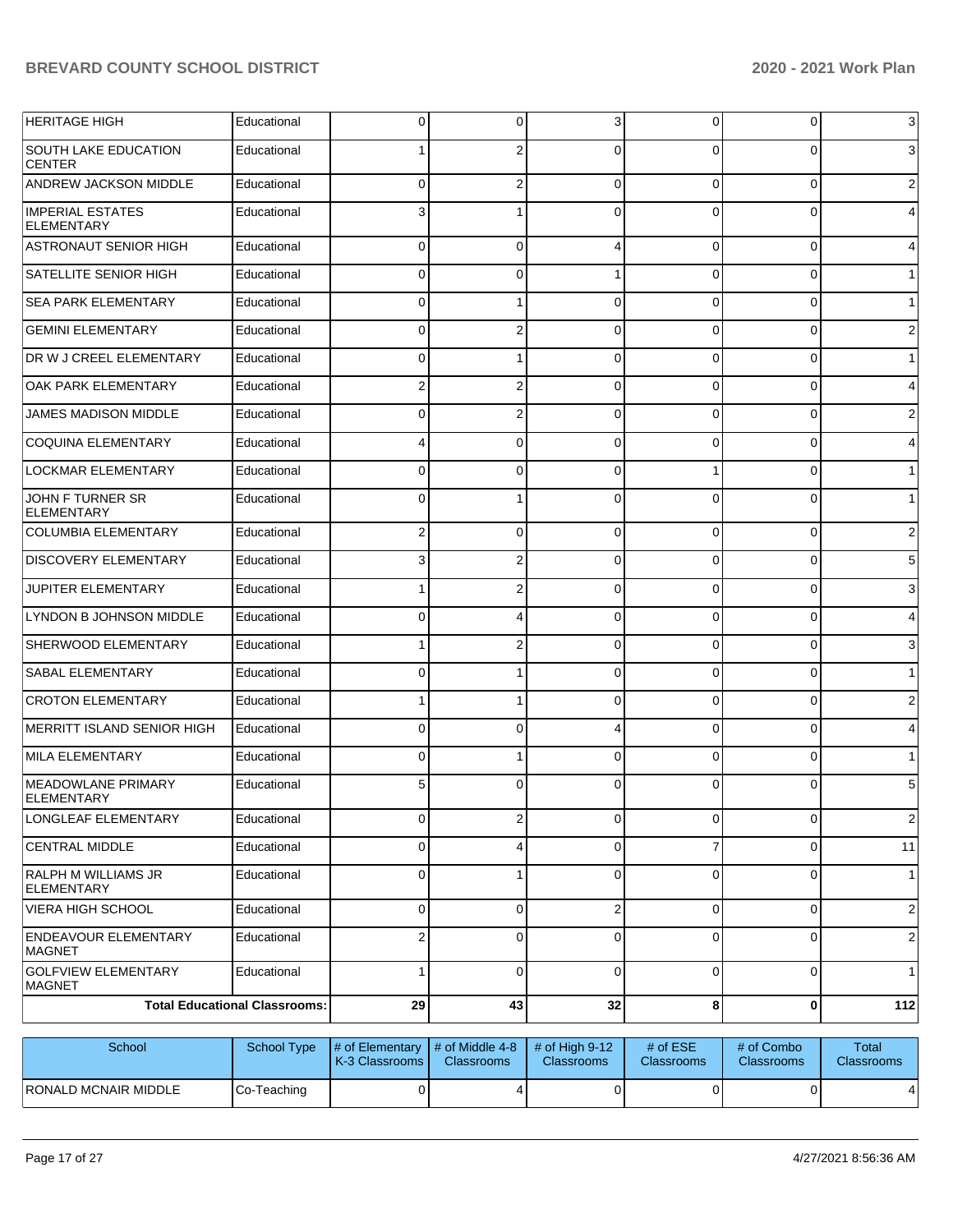| <b>HERITAGE HIGH</b>                         | Educational                          | 0                                                                       | 0            | 3              | 0              | $\overline{0}$ | $\mathbf{3}$    |
|----------------------------------------------|--------------------------------------|-------------------------------------------------------------------------|--------------|----------------|----------------|----------------|-----------------|
| <b>SOUTH LAKE EDUCATION</b><br><b>CENTER</b> | Educational                          |                                                                         | 2            | $\Omega$       | 0              | $\Omega$       | $\overline{3}$  |
| <b>ANDREW JACKSON MIDDLE</b>                 | Educational                          | $\mathbf 0$                                                             | 2            | $\Omega$       | $\Omega$       | $\overline{0}$ | $\overline{2}$  |
| <b>IMPERIAL ESTATES</b><br><b>ELEMENTARY</b> | Educational                          | 3                                                                       |              | $\Omega$       | 0              | 0              | $\overline{4}$  |
| ASTRONAUT SENIOR HIGH                        | Educational                          | 0                                                                       | 0            | Δ              | 0              | 0              | $\overline{4}$  |
| <b>SATELLITE SENIOR HIGH</b>                 | Educational                          | 0                                                                       | 0            |                | 0              | 0              | $\mathbf{1}$    |
| <b>SEA PARK ELEMENTARY</b>                   | Educational                          | 0                                                                       |              | $\Omega$       | 0              | 0              | 1               |
| <b>GEMINI ELEMENTARY</b>                     | Educational                          | 0                                                                       | 2            | $\Omega$       | 0              | 0              | $\overline{c}$  |
| <b>DR W J CREEL ELEMENTARY</b>               | Educational                          | 0                                                                       |              | $\Omega$       | 0              | 0              | $\mathbf{1}$    |
| <b>OAK PARK ELEMENTARY</b>                   | Educational                          | 2                                                                       | 2            | $\Omega$       | 0              | 0              | $\overline{4}$  |
| <b>JAMES MADISON MIDDLE</b>                  | Educational                          | 0                                                                       | 2            | $\Omega$       | 0              | 0              | $\overline{c}$  |
| COQUINA ELEMENTARY                           | Educational                          |                                                                         | 0            | $\Omega$       | 0              | 0              | $\overline{4}$  |
| <b>LOCKMAR ELEMENTARY</b>                    | Educational                          | 0                                                                       | 0            | $\Omega$       |                | 0              | 1               |
| JOHN F TURNER SR<br><b>ELEMENTARY</b>        | Educational                          | 0                                                                       |              | $\Omega$       | 0              | $\Omega$       | 1               |
| <b>COLUMBIA ELEMENTARY</b>                   | Educational                          | 2                                                                       | 0            | $\Omega$       | $\Omega$       | $\overline{0}$ | $\overline{c}$  |
| <b>DISCOVERY ELEMENTARY</b>                  | Educational                          | 3                                                                       | 2            | $\Omega$       | $\Omega$       | 0              | $5\phantom{.0}$ |
| <b>JUPITER ELEMENTARY</b>                    | Educational                          |                                                                         | 2            | $\Omega$       | $\Omega$       | 0              | $\mathbf{3}$    |
| LYNDON B JOHNSON MIDDLE                      | Educational                          | 0                                                                       | 4            | $\Omega$       | $\Omega$       | 0              | $\overline{4}$  |
| SHERWOOD ELEMENTARY                          | Educational                          |                                                                         | 2            | $\Omega$       | $\Omega$       | 0              | $\mathbf{3}$    |
| <b>SABAL ELEMENTARY</b>                      | Educational                          | 0                                                                       | 1            | $\Omega$       | $\Omega$       | 0              | 1               |
| <b>CROTON ELEMENTARY</b>                     | Educational                          |                                                                         |              | $\Omega$       | $\Omega$       | $\overline{0}$ | $\overline{c}$  |
| MERRITT ISLAND SENIOR HIGH                   | Educational                          | 0                                                                       | 0            | Δ              | $\Omega$       | $\overline{0}$ | $\overline{4}$  |
| MILA ELEMENTARY                              | Educational                          | 0                                                                       |              | $\Omega$       | $\Omega$       | $\overline{0}$ | 1               |
| MEADOWLANE PRIMARY<br><b>ELEMENTARY</b>      | Educational                          | 5                                                                       | 0            | $\Omega$       | 0              | 0              | $5\phantom{.0}$ |
| LONGLEAF ELEMENTARY                          | Educational                          | $\overline{0}$                                                          | $\mathbf{2}$ | $\overline{0}$ | $\overline{0}$ | $\overline{0}$ | $\overline{2}$  |
| <b>CENTRAL MIDDLE</b>                        | Educational                          | 0                                                                       | 4            | $\Omega$       |                | $\overline{0}$ | 11              |
| <b>RALPH M WILLIAMS JR</b><br>ELEMENTARY     | Educational                          | $\mathbf 0$                                                             | 1            | $\Omega$       | $\Omega$       | $\overline{0}$ | 1               |
| <b>VIERA HIGH SCHOOL</b>                     | Educational                          | 0                                                                       | 0            | $\overline{2}$ | $\Omega$       | 0              | $\overline{2}$  |
| <b>ENDEAVOUR ELEMENTARY</b><br><b>MAGNET</b> | Educational                          | 2                                                                       | $\Omega$     | $\Omega$       | 0              | 0              | $\overline{2}$  |
| <b>GOLFVIEW ELEMENTARY</b><br><b>MAGNET</b>  | Educational                          |                                                                         | $\Omega$     | $\Omega$       | $\Omega$       | $\overline{0}$ | 1               |
|                                              | <b>Total Educational Classrooms:</b> | 29                                                                      | 43           | 32             | 8              | 0              | $112$           |
| School                                       | School Type                          | $\mu$ of Elementary $\mu$ of Middle 4.8 $\mu$ of High 0.42 $\mu$ of ESE |              |                |                | $#$ of Combo   | Total           |

| School                | School Type | $\parallel$ # of Elementary $\parallel$ # of Middle 4-8 $\parallel$ # of High 9-12<br><b>K-3 Classrooms I</b> | <b>Classrooms</b> | <b>Classrooms</b> | # of $ESE$<br><b>Classrooms</b> | # of Combo<br><b>Classrooms</b> | Total<br><b>Classrooms</b> |
|-----------------------|-------------|---------------------------------------------------------------------------------------------------------------|-------------------|-------------------|---------------------------------|---------------------------------|----------------------------|
| IRONALD MCNAIR MIDDLE | Co-Teaching |                                                                                                               |                   |                   |                                 |                                 |                            |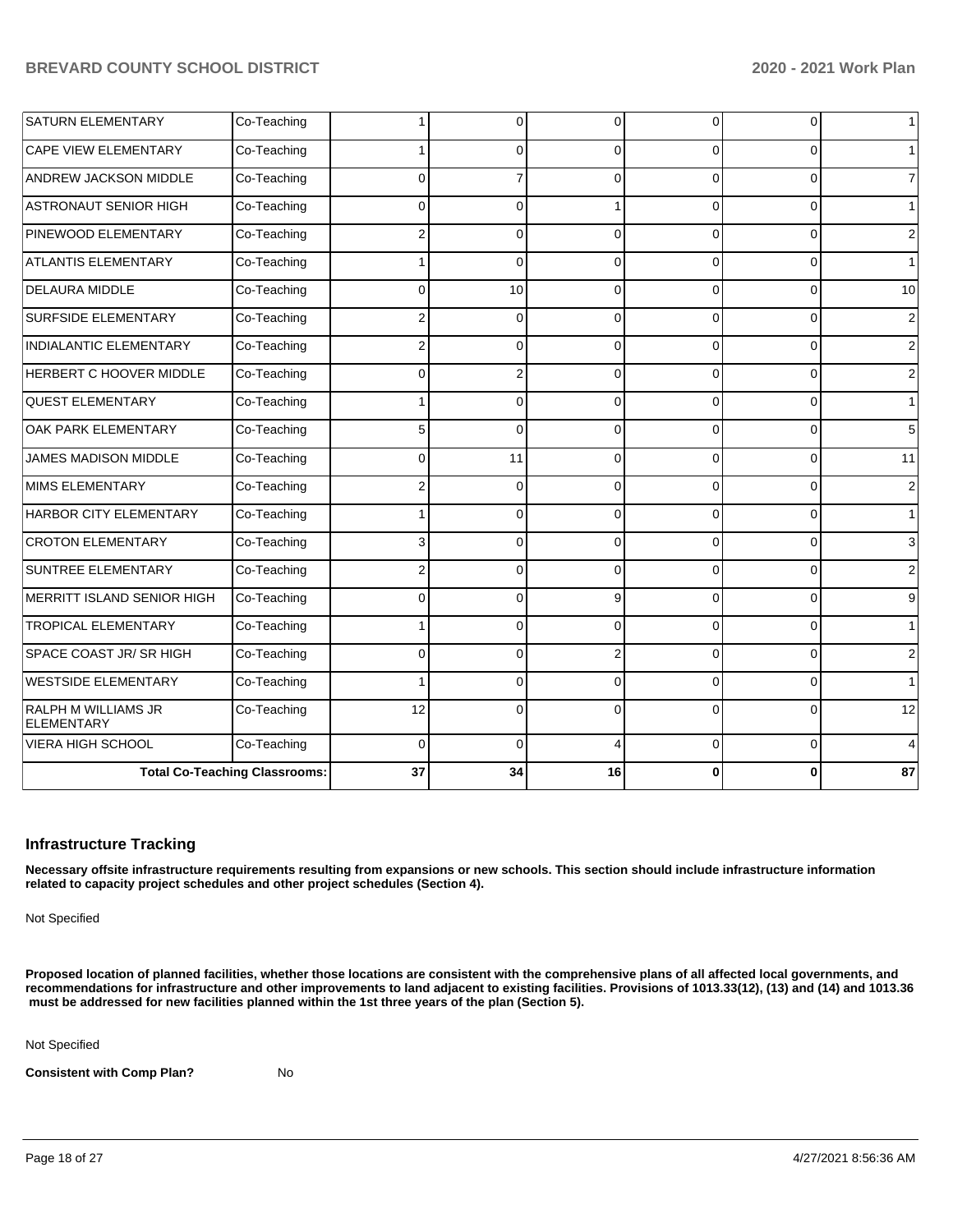| <b>SATURN ELEMENTARY</b>          | Co-Teaching                          |                | 0              | $\overline{0}$ | 0        | 0            | $\mathbf 1$    |
|-----------------------------------|--------------------------------------|----------------|----------------|----------------|----------|--------------|----------------|
| <b>CAPE VIEW ELEMENTARY</b>       | Co-Teaching                          |                | $\Omega$       | $\Omega$       | 0        | $\Omega$     | $\mathbf{1}$   |
| <b>ANDREW JACKSON MIDDLE</b>      | Co-Teaching                          | $\Omega$       |                | $\Omega$       | $\Omega$ | $\Omega$     | $\overline{7}$ |
| ASTRONAUT SENIOR HIGH             | Co-Teaching                          | $\Omega$       | 0              |                | $\Omega$ | $\Omega$     | $\mathbf{1}$   |
| <b>PINEWOOD ELEMENTARY</b>        | Co-Teaching                          | 2              | $\Omega$       | 0              | 0        | $\Omega$     | $\overline{2}$ |
| <b>ATLANTIS ELEMENTARY</b>        | Co-Teaching                          |                | $\Omega$       | $\Omega$       | $\Omega$ | $\Omega$     | $\overline{1}$ |
| <b>DELAURA MIDDLE</b>             | Co-Teaching                          | $\Omega$       | 10             | $\Omega$       | $\Omega$ | $\Omega$     | 10             |
| <b>SURFSIDE ELEMENTARY</b>        | Co-Teaching                          | $\overline{2}$ | 0              | $\Omega$       | $\Omega$ | $\Omega$     | 2              |
| <b>INDIALANTIC ELEMENTARY</b>     | Co-Teaching                          | 2              | 0              | $\Omega$       | 0        | $\Omega$     | $\overline{2}$ |
| <b>HERBERT C HOOVER MIDDLE</b>    | Co-Teaching                          | $\Omega$       | $\overline{2}$ | $\Omega$       | $\Omega$ | $\mathbf 0$  | $\overline{2}$ |
| <b>QUEST ELEMENTARY</b>           | Co-Teaching                          |                | 0              | $\Omega$       | $\Omega$ | $\Omega$     | $\mathbf{1}$   |
| <b>OAK PARK ELEMENTARY</b>        | Co-Teaching                          | 5              | $\Omega$       | $\Omega$       | 0        | $\Omega$     | 5              |
| <b>JAMES MADISON MIDDLE</b>       | Co-Teaching                          | $\Omega$       | 11             | 0              | $\Omega$ | $\Omega$     | 11             |
| MIMS ELEMENTARY                   | Co-Teaching                          | 2              | 0              | 0              | $\Omega$ | $\Omega$     | 2              |
| HARBOR CITY ELEMENTARY            | Co-Teaching                          |                | 0              | $\Omega$       | $\Omega$ | $\mathbf{0}$ | $\mathbf{1}$   |
| <b>CROTON ELEMENTARY</b>          | Co-Teaching                          | 3              | $\Omega$       | $\Omega$       | $\Omega$ | $\mathbf{0}$ | 3              |
| <b>SUNTREE ELEMENTARY</b>         | Co-Teaching                          | 2              | 0              | $\Omega$       | 0        | $\mathbf{0}$ | 2              |
| MERRITT ISLAND SENIOR HIGH        | Co-Teaching                          | $\Omega$       | $\Omega$       | 9 <sub>l</sub> | 0        | $\Omega$     | 9              |
| <b>TROPICAL ELEMENTARY</b>        | Co-Teaching                          |                | 0              | $\Omega$       | $\Omega$ | $\mathbf{0}$ | $\mathbf{1}$   |
| SPACE COAST JR/ SR HIGH           | Co-Teaching                          | $\Omega$       | 0              | $\overline{2}$ | $\Omega$ | $\Omega$     | $\sqrt{2}$     |
| <b>WESTSIDE ELEMENTARY</b>        | Co-Teaching                          |                | $\Omega$       | $\Omega$       | 0        | $\Omega$     | $\mathbf{1}$   |
| RALPH M WILLIAMS JR<br>ELEMENTARY | Co-Teaching                          | 12             | 0              | $\Omega$       | O        | $\Omega$     | 12             |
| VIERA HIGH SCHOOL                 | Co-Teaching                          | $\Omega$       | $\Omega$       | 4              | 0        | $\Omega$     | 4              |
|                                   | <b>Total Co-Teaching Classrooms:</b> | 37             | 34             | 16             | 0        | $\bf{0}$     | 87             |

#### **Infrastructure Tracking**

**Necessary offsite infrastructure requirements resulting from expansions or new schools. This section should include infrastructure information related to capacity project schedules and other project schedules (Section 4).** 

Not Specified

**Proposed location of planned facilities, whether those locations are consistent with the comprehensive plans of all affected local governments, and recommendations for infrastructure and other improvements to land adjacent to existing facilities. Provisions of 1013.33(12), (13) and (14) and 1013.36** must be addressed for new facilities planned within the 1st three years of the plan (Section 5).

Not Specified

**Consistent with Comp Plan?** No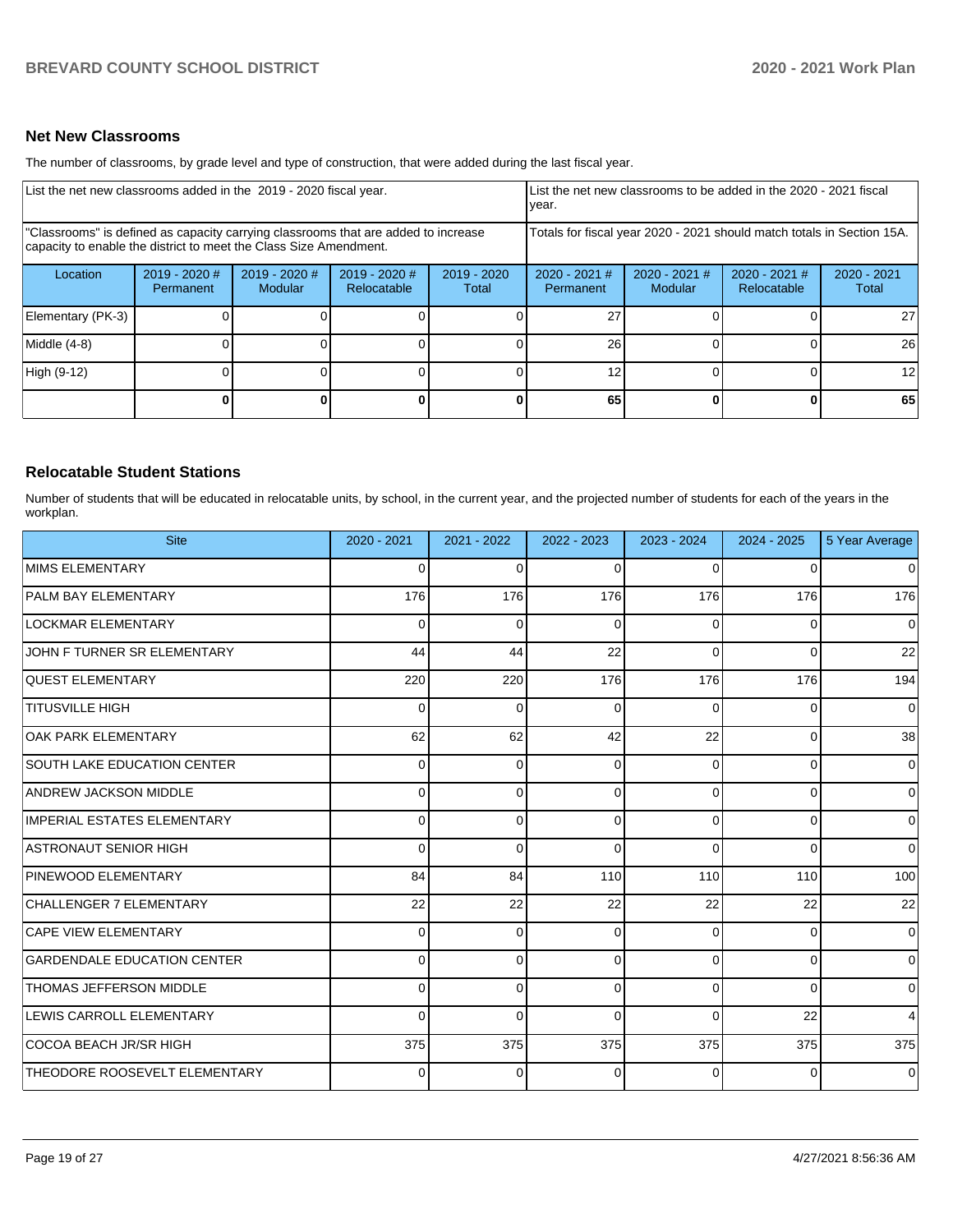#### **Net New Classrooms**

The number of classrooms, by grade level and type of construction, that were added during the last fiscal year.

| List the net new classrooms added in the 2019 - 2020 fiscal year.                                                                                       |                                   |                                 |                              | List the net new classrooms to be added in the 2020 - 2021 fiscal<br>year. |                                                                        |                            |                              |                        |
|---------------------------------------------------------------------------------------------------------------------------------------------------------|-----------------------------------|---------------------------------|------------------------------|----------------------------------------------------------------------------|------------------------------------------------------------------------|----------------------------|------------------------------|------------------------|
| "Classrooms" is defined as capacity carrying classrooms that are added to increase<br>capacity to enable the district to meet the Class Size Amendment. |                                   |                                 |                              |                                                                            | Totals for fiscal year 2020 - 2021 should match totals in Section 15A. |                            |                              |                        |
| Location                                                                                                                                                | 2019 - 2020 #<br><b>Permanent</b> | 2019 - 2020 #<br><b>Modular</b> | 2019 - 2020 #<br>Relocatable | 2019 - 2020<br>Total                                                       | $2020 - 2021$ #<br>Permanent                                           | $2020 - 2021$ #<br>Modular | 2020 - 2021 #<br>Relocatable | $2020 - 2021$<br>Total |
| Elementary (PK-3)                                                                                                                                       |                                   |                                 |                              |                                                                            | 27                                                                     |                            |                              | 27                     |
| Middle (4-8)                                                                                                                                            |                                   |                                 |                              |                                                                            | 26                                                                     |                            |                              | 26                     |
| High (9-12)                                                                                                                                             |                                   |                                 |                              |                                                                            | 12                                                                     |                            |                              | 12                     |
|                                                                                                                                                         |                                   |                                 |                              | $\Omega$                                                                   | 65                                                                     |                            | $\bf{0}$                     | 65                     |

# **Relocatable Student Stations**

Number of students that will be educated in relocatable units, by school, in the current year, and the projected number of students for each of the years in the workplan.

| <b>Site</b>                        | 2020 - 2021 | 2021 - 2022 | 2022 - 2023 | 2023 - 2024  | $2024 - 2025$ | 5 Year Average |
|------------------------------------|-------------|-------------|-------------|--------------|---------------|----------------|
| MIMS ELEMENTARY                    | $\Omega$    | $\Omega$    | $\Omega$    | 0            | $\Omega$      | $\Omega$       |
| <b>PALM BAY ELEMENTARY</b>         | 176         | 176         | 176         | 176          | 176           | 176            |
| <b>LOCKMAR ELEMENTARY</b>          | $\Omega$    | $\Omega$    | $\Omega$    | 0            | $\Omega$      | 0              |
| JOHN F TURNER SR ELEMENTARY        | 44          | 44          | 22          | <sup>0</sup> | $\Omega$      | 22             |
| <b>QUEST ELEMENTARY</b>            | 220         | 220         | 176         | 176          | 176           | 194            |
| <b>TITUSVILLE HIGH</b>             | $\Omega$    | $\Omega$    | $\Omega$    | $\Omega$     | $\Omega$      | 0              |
| <b>OAK PARK ELEMENTARY</b>         | 62          | 62          | 42          | 22           | $\Omega$      | 38             |
| <b>SOUTH LAKE EDUCATION CENTER</b> | $\Omega$    | $\Omega$    | $\Omega$    | O            | $\Omega$      | $\Omega$       |
| <b>ANDREW JACKSON MIDDLE</b>       | $\Omega$    | $\Omega$    | $\Omega$    | $\Omega$     | $\Omega$      | $\Omega$       |
| IMPERIAL ESTATES ELEMENTARY        | $\Omega$    | $\Omega$    | $\Omega$    | 0            | $\Omega$      | $\Omega$       |
| ASTRONAUT SENIOR HIGH              | $\Omega$    | $\Omega$    | $\Omega$    | 0            | $\Omega$      | 0              |
| PINEWOOD ELEMENTARY                | 84          | 84          | 110         | 110          | 110           | 100            |
| CHALLENGER 7 ELEMENTARY            | 22          | 22          | 22          | 22           | 22            | 22             |
| <b>CAPE VIEW ELEMENTARY</b>        | $\Omega$    | $\Omega$    | $\Omega$    | 0            | $\Omega$      | $\mathbf 0$    |
| <b>GARDENDALE EDUCATION CENTER</b> | $\Omega$    | $\Omega$    | 0           | <sup>0</sup> | $\Omega$      | $\overline{0}$ |
| THOMAS JEFFERSON MIDDLE            | $\Omega$    | $\Omega$    | $\Omega$    |              | $\Omega$      | $\Omega$       |
| LEWIS CARROLL ELEMENTARY           | $\Omega$    | $\Omega$    | $\Omega$    | $\Omega$     | 22            | 4              |
| COCOA BEACH JR/SR HIGH             | 375         | 375         | 375         | 375          | 375           | 375            |
| THEODORE ROOSEVELT ELEMENTARY      | $\Omega$    | $\Omega$    | 0           | 0            | $\Omega$      | $\Omega$       |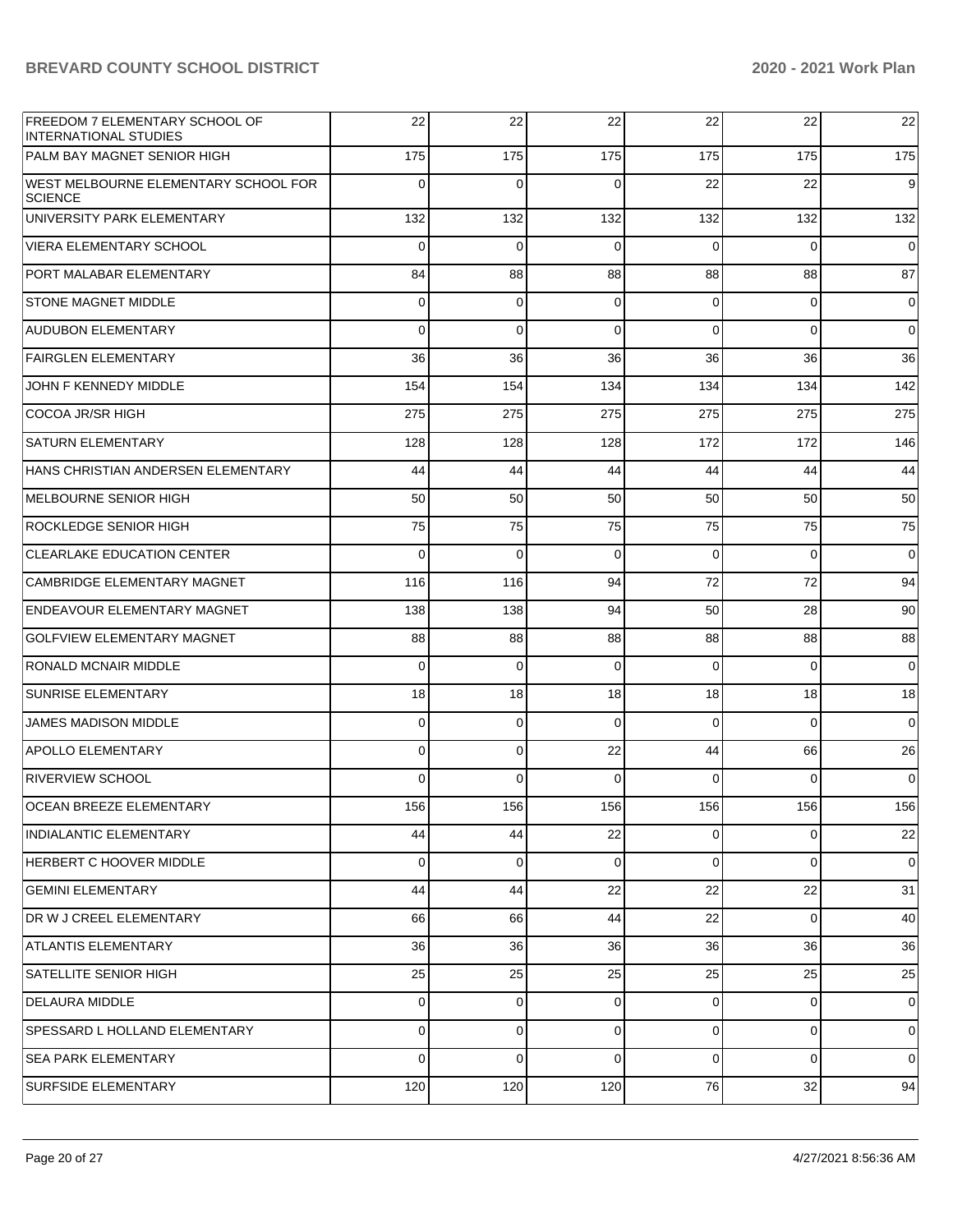| FREEDOM 7 ELEMENTARY SCHOOL OF<br><b>INTERNATIONAL STUDIES</b> | 22          | 22          | 22       | 22       | 22  | 22          |
|----------------------------------------------------------------|-------------|-------------|----------|----------|-----|-------------|
| PALM BAY MAGNET SENIOR HIGH                                    | 175         | 175         | 175      | 175      | 175 | 175         |
| WEST MELBOURNE ELEMENTARY SCHOOL FOR<br><b>SCIENCE</b>         | $\mathbf 0$ | $\Omega$    | $\Omega$ | 22       | 22  | 9           |
| UNIVERSITY PARK ELEMENTARY                                     | 132         | 132         | 132      | 132      | 132 | 132         |
| <b>VIERA ELEMENTARY SCHOOL</b>                                 | 0           | 0           | $\Omega$ | 0        | 0   | $\mathbf 0$ |
| PORT MALABAR ELEMENTARY                                        | 84          | 88          | 88       | 88       | 88  | 87          |
| <b>STONE MAGNET MIDDLE</b>                                     | 0           | 0           | 0        | 0        | 0   | 0           |
| <b>AUDUBON ELEMENTARY</b>                                      | 0           | 0           | $\Omega$ | 0        | 0   | 0           |
| <b>FAIRGLEN ELEMENTARY</b>                                     | 36          | 36          | 36       | 36       | 36  | 36          |
| JOHN F KENNEDY MIDDLE                                          | 154         | 154         | 134      | 134      | 134 | 142         |
| <b>COCOA JR/SR HIGH</b>                                        | 275         | 275         | 275      | 275      | 275 | 275         |
| <b>SATURN ELEMENTARY</b>                                       | 128         | 128         | 128      | 172      | 172 | 146         |
| HANS CHRISTIAN ANDERSEN ELEMENTARY                             | 44          | 44          | 44       | 44       | 44  | 44          |
| <b>MELBOURNE SENIOR HIGH</b>                                   | 50          | 50          | 50       | 50       | 50  | 50          |
| <b>ROCKLEDGE SENIOR HIGH</b>                                   | 75          | 75          | 75       | 75       | 75  | 75          |
| <b>CLEARLAKE EDUCATION CENTER</b>                              | 0           | $\mathbf 0$ | $\Omega$ | 0        | 0   | 0           |
| CAMBRIDGE ELEMENTARY MAGNET                                    | 116         | 116         | 94       | 72       | 72  | 94          |
| <b>ENDEAVOUR ELEMENTARY MAGNET</b>                             | 138         | 138         | 94       | 50       | 28  | 90          |
| <b>GOLFVIEW ELEMENTARY MAGNET</b>                              | 88          | 88          | 88       | 88       | 88  | 88          |
| RONALD MCNAIR MIDDLE                                           | 0           | $\mathbf 0$ | 0        | 0        | 0   | $\mathbf 0$ |
| <b>SUNRISE ELEMENTARY</b>                                      | 18          | 18          | 18       | 18       | 18  | 18          |
| <b>JAMES MADISON MIDDLE</b>                                    | 0           | 0           | $\Omega$ | 0        | 0   | 0           |
| <b>APOLLO ELEMENTARY</b>                                       | 0           | 0           | 22       | 44       | 66  | 26          |
| <b>RIVERVIEW SCHOOL</b>                                        | 0           | 0           | $\Omega$ | $\Omega$ | 0   | 0           |
| <b>OCEAN BREEZE ELEMENTARY</b>                                 | 156         | 156         | 156      | 156      | 156 | 156         |
| <b>INDIALANTIC ELEMENTARY</b>                                  | 44          | 44          | 22       | 0        | 0   | 22          |
| HERBERT C HOOVER MIDDLE                                        | 0           | 0           | $\Omega$ | 0        | 0   | 0           |
| <b>GEMINI ELEMENTARY</b>                                       | 44          | 44          | 22       | 22       | 22  | 31          |
| DR W J CREEL ELEMENTARY                                        | 66          | 66          | 44       | 22       | 0   | 40          |
| <b>ATLANTIS ELEMENTARY</b>                                     | 36          | 36          | 36       | 36       | 36  | 36          |
| SATELLITE SENIOR HIGH                                          | 25          | 25          | 25       | 25       | 25  | 25          |
| <b>DELAURA MIDDLE</b>                                          | 0           | 0           | 0        | 0        | 0   | 0           |
| SPESSARD L HOLLAND ELEMENTARY                                  | 0           | 0           | $\Omega$ | 0        | 0   | 0           |
| <b>SEA PARK ELEMENTARY</b>                                     | 0           | 0           | $\Omega$ | 0        | 0   | 0           |
| <b>SURFSIDE ELEMENTARY</b>                                     | 120         | 120         | 120      | 76       | 32  | 94          |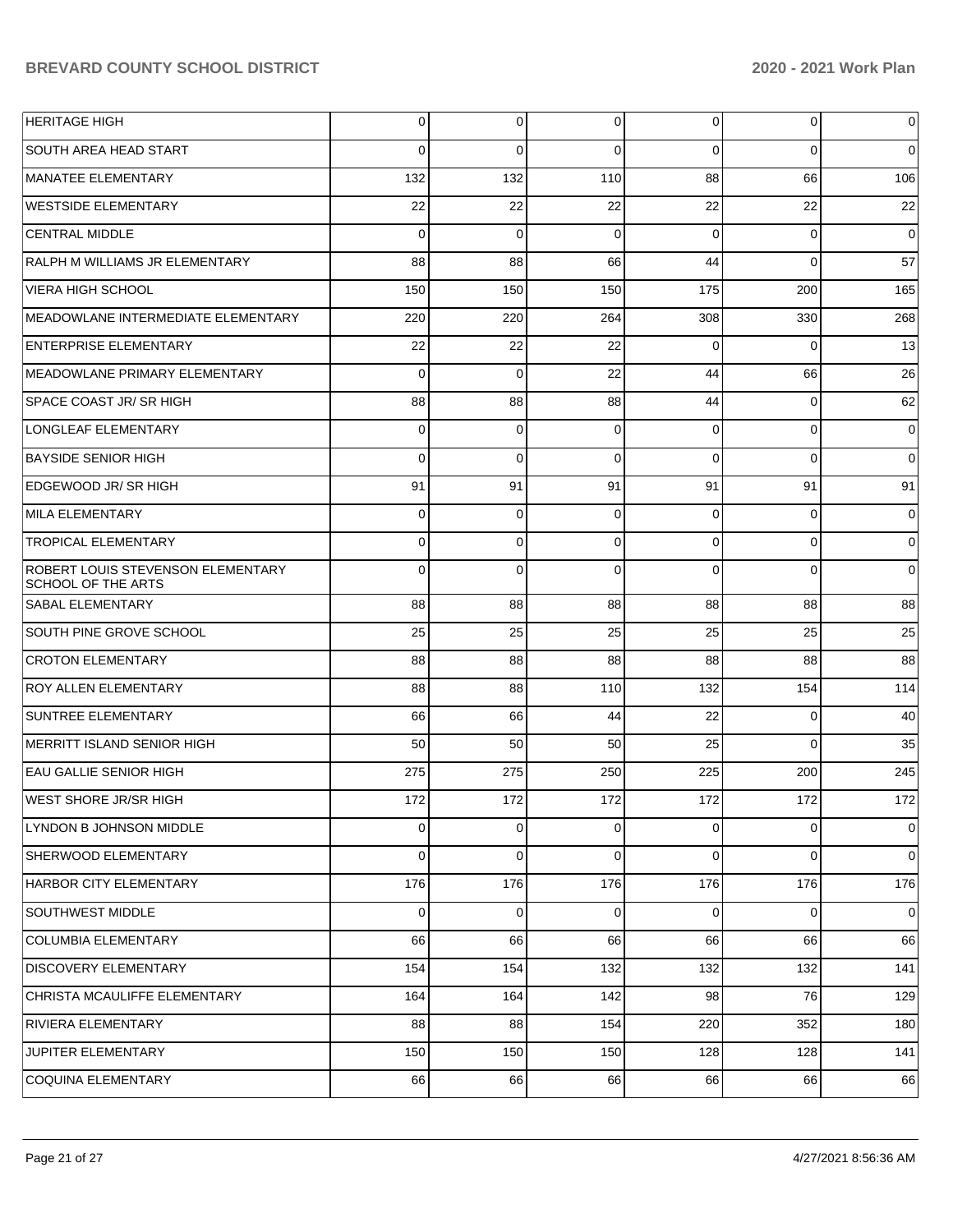| <b>HERITAGE HIGH</b>                                                  | 0           | $\overline{0}$ | 0           | $\overline{0}$ | $\overline{0}$ | $\overline{0}$ |
|-----------------------------------------------------------------------|-------------|----------------|-------------|----------------|----------------|----------------|
| <b>SOUTH AREA HEAD START</b>                                          | $\Omega$    | $\Omega$       | $\Omega$    | $\Omega$       | $\Omega$       | $\overline{0}$ |
| MANATEE ELEMENTARY                                                    | 132         | 132            | 110         | 88             | 66             | 106            |
| <b>WESTSIDE ELEMENTARY</b>                                            | 22          | 22             | 22          | 22             | 22             | 22             |
| <b>CENTRAL MIDDLE</b>                                                 | $\Omega$    | $\Omega$       | $\Omega$    | $\Omega$       | $\Omega$       | $\overline{0}$ |
| RALPH M WILLIAMS JR ELEMENTARY                                        | 88          | 88             | 66          | 44             | $\Omega$       | 57             |
| <b>VIERA HIGH SCHOOL</b>                                              | 150         | 150            | 150         | 175            | 200            | 165            |
| <b>MEADOWLANE INTERMEDIATE ELEMENTARY</b>                             | 220         | 220            | 264         | 308            | 330            | 268            |
| <b>ENTERPRISE ELEMENTARY</b>                                          | 22          | 22             | 22          | $\Omega$       | $\Omega$       | 13             |
| <b>MEADOWLANE PRIMARY ELEMENTARY</b>                                  | $\Omega$    | $\mathbf 0$    | 22          | 44             | 66             | 26             |
| <b>SPACE COAST JR/ SR HIGH</b>                                        | 88          | 88             | 88          | 44             | $\overline{0}$ | 62             |
| <b>LONGLEAF ELEMENTARY</b>                                            | $\Omega$    | $\mathbf 0$    | $\Omega$    | $\Omega$       | $\mathbf{0}$   | $\overline{0}$ |
| <b>BAYSIDE SENIOR HIGH</b>                                            | $\Omega$    | $\Omega$       | $\Omega$    | $\Omega$       | $\Omega$       | $\overline{0}$ |
| EDGEWOOD JR/ SR HIGH                                                  | 91          | 91             | 91          | 91             | 91             | 91             |
| MILA ELEMENTARY                                                       | $\Omega$    | $\mathbf 0$    | $\Omega$    | $\Omega$       | $\overline{0}$ | $\overline{0}$ |
| <b>TROPICAL ELEMENTARY</b>                                            | $\Omega$    | $\mathbf 0$    | $\Omega$    | $\Omega$       | $\mathbf 0$    | $\overline{0}$ |
| <b>ROBERT LOUIS STEVENSON ELEMENTARY</b><br><b>SCHOOL OF THE ARTS</b> | $\Omega$    | $\Omega$       | $\Omega$    | $\Omega$       | $\Omega$       | $\overline{0}$ |
| <b>SABAL ELEMENTARY</b>                                               | 88          | 88             | 88          | 88             | 88             | 88             |
| SOUTH PINE GROVE SCHOOL                                               | 25          | 25             | 25          | 25             | 25             | 25             |
| <b>CROTON ELEMENTARY</b>                                              | 88          | 88             | 88          | 88             | 88             | 88             |
| <b>ROY ALLEN ELEMENTARY</b>                                           | 88          | 88             | 110         | 132            | 154            | 114            |
| SUNTREE ELEMENTARY                                                    | 66          | 66             | 44          | 22             | $\overline{0}$ | 40             |
| MERRITT ISLAND SENIOR HIGH                                            | 50          | 50             | 50          | 25             | $\overline{0}$ | 35             |
| EAU GALLIE SENIOR HIGH                                                | 275         | 275            | 250         | 225            | 200            | 245            |
| <b>WEST SHORE JR/SR HIGH</b>                                          | 172         | 172            | 172         | 172            | 172            | 172            |
| LYNDON B JOHNSON MIDDLE                                               | $\Omega$    | $\overline{0}$ | 0           | $\mathbf 0$    | $\overline{0}$ | $\mathbf 0$    |
| SHERWOOD ELEMENTARY                                                   | $\Omega$    | $\overline{0}$ | $\Omega$    | $\Omega$       | $\overline{0}$ | $\mathbf 0$    |
| HARBOR CITY ELEMENTARY                                                | 176         | 176            | 176         | 176            | 176            | 176            |
| <b>SOUTHWEST MIDDLE</b>                                               | $\mathbf 0$ | $\overline{0}$ | $\mathbf 0$ | $\mathbf 0$    | $\overline{0}$ | $\mathbf 0$    |
| COLUMBIA ELEMENTARY                                                   | 66          | 66             | 66          | 66             | 66             | 66             |
| <b>DISCOVERY ELEMENTARY</b>                                           | 154         | 154            | 132         | 132            | 132            | 141            |
| CHRISTA MCAULIFFE ELEMENTARY                                          | 164         | 164            | 142         | 98             | 76             | 129            |
| RIVIERA ELEMENTARY                                                    | 88          | 88             | 154         | 220            | 352            | 180            |
| JUPITER ELEMENTARY                                                    | 150         | 150            | 150         | 128            | 128            | 141            |
| COQUINA ELEMENTARY                                                    | 66          | 66             | 66          | 66             | 66             | 66             |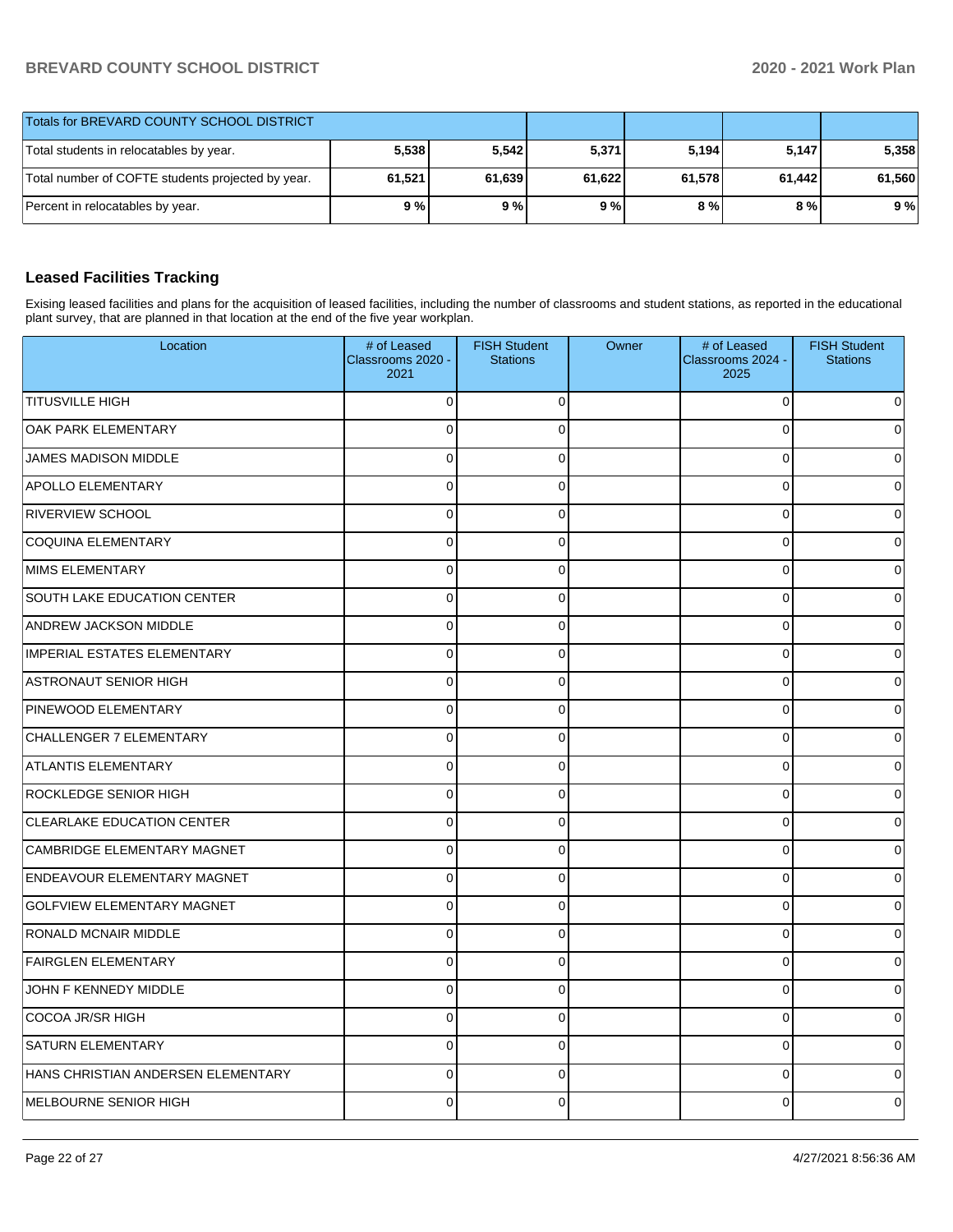| Totals for BREVARD COUNTY SCHOOL DISTRICT         |        |        |        |        |        |        |
|---------------------------------------------------|--------|--------|--------|--------|--------|--------|
| Total students in relocatables by year.           | 5,538  | 5,542  | 5,371  | 5,194  | 5.147  | 5,358  |
| Total number of COFTE students projected by year. | 61,521 | 61,639 | 61,622 | 61.578 | 61.442 | 61,560 |
| Percent in relocatables by year.                  | 9%     | 9%     | 9%     | 8 % l  | 8 % l  | 9%     |

# **Leased Facilities Tracking**

Exising leased facilities and plans for the acquisition of leased facilities, including the number of classrooms and student stations, as reported in the educational plant survey, that are planned in that location at the end of the five year workplan.

| Location                           | # of Leased<br>Classrooms 2020 -<br>2021 | <b>FISH Student</b><br><b>Stations</b> | Owner | # of Leased<br>Classrooms 2024 -<br>2025 | <b>FISH Student</b><br><b>Stations</b> |
|------------------------------------|------------------------------------------|----------------------------------------|-------|------------------------------------------|----------------------------------------|
| <b>TITUSVILLE HIGH</b>             | $\Omega$                                 | $\Omega$                               |       | 0                                        |                                        |
| OAK PARK ELEMENTARY                | 0                                        | $\Omega$                               |       | $\mathbf 0$                              | <sup>0</sup>                           |
| <b>JAMES MADISON MIDDLE</b>        | 0                                        | $\mathbf 0$                            |       | $\mathbf 0$                              |                                        |
| <b>APOLLO ELEMENTARY</b>           | $\mathbf 0$                              | $\Omega$                               |       | $\mathbf 0$                              |                                        |
| <b>RIVERVIEW SCHOOL</b>            | 0                                        | $\Omega$                               |       | $\mathbf 0$                              | 0                                      |
| <b>COQUINA ELEMENTARY</b>          | 0                                        | $\mathbf 0$                            |       | $\mathbf 0$                              |                                        |
| <b>MIMS ELEMENTARY</b>             | $\mathbf 0$                              | $\Omega$                               |       | $\mathbf 0$                              |                                        |
| SOUTH LAKE EDUCATION CENTER        | 0                                        | $\Omega$                               |       | $\mathbf 0$                              | 0                                      |
| <b>ANDREW JACKSON MIDDLE</b>       | 0                                        | $\mathbf 0$                            |       | $\mathbf 0$                              |                                        |
| <b>IMPERIAL ESTATES ELEMENTARY</b> | 0                                        | $\mathbf 0$                            |       | $\mathbf 0$                              | ŋ                                      |
| <b>ASTRONAUT SENIOR HIGH</b>       | $\Omega$                                 | $\Omega$                               |       | $\pmb{0}$                                | 0                                      |
| PINEWOOD ELEMENTARY                | 0                                        | $\mathbf 0$                            |       | $\mathbf 0$                              |                                        |
| CHALLENGER 7 ELEMENTARY            | 0                                        | $\mathbf 0$                            |       | $\mathbf 0$                              |                                        |
| <b>ATLANTIS ELEMENTARY</b>         | $\Omega$                                 | $\Omega$                               |       | $\mathbf 0$                              | 0                                      |
| <b>ROCKLEDGE SENIOR HIGH</b>       | 0                                        | $\mathbf 0$                            |       | $\mathbf 0$                              |                                        |
| CLEARLAKE EDUCATION CENTER         | 0                                        | $\mathbf 0$                            |       | $\mathbf 0$                              | n                                      |
| CAMBRIDGE ELEMENTARY MAGNET        | $\Omega$                                 | $\Omega$                               |       | $\mathbf 0$                              | 0                                      |
| <b>ENDEAVOUR ELEMENTARY MAGNET</b> | 0                                        | $\mathbf 0$                            |       | $\mathbf 0$                              |                                        |
| <b>GOLFVIEW ELEMENTARY MAGNET</b>  | 0                                        | $\mathbf 0$                            |       | $\mathbf 0$                              |                                        |
| RONALD MCNAIR MIDDLE               | 0                                        | $\Omega$                               |       | $\mathbf 0$                              | $\Omega$                               |
| <b>FAIRGLEN ELEMENTARY</b>         | $\overline{0}$                           | $\Omega$                               |       | $\mathbf 0$                              |                                        |
| JOHN F KENNEDY MIDDLE              | 0                                        | $\mathbf 0$                            |       | $\mathbf 0$                              | 0                                      |
| COCOA JR/SR HIGH                   | 0                                        | $\Omega$                               |       | $\mathbf 0$                              | $\Omega$                               |
| <b>SATURN ELEMENTARY</b>           | $\Omega$                                 | $\Omega$                               |       | $\mathbf 0$                              |                                        |
| HANS CHRISTIAN ANDERSEN ELEMENTARY | 0                                        | $\mathbf 0$                            |       | $\mathbf 0$                              |                                        |
| MELBOURNE SENIOR HIGH              | $\Omega$                                 | 0                                      |       | 0                                        | 0                                      |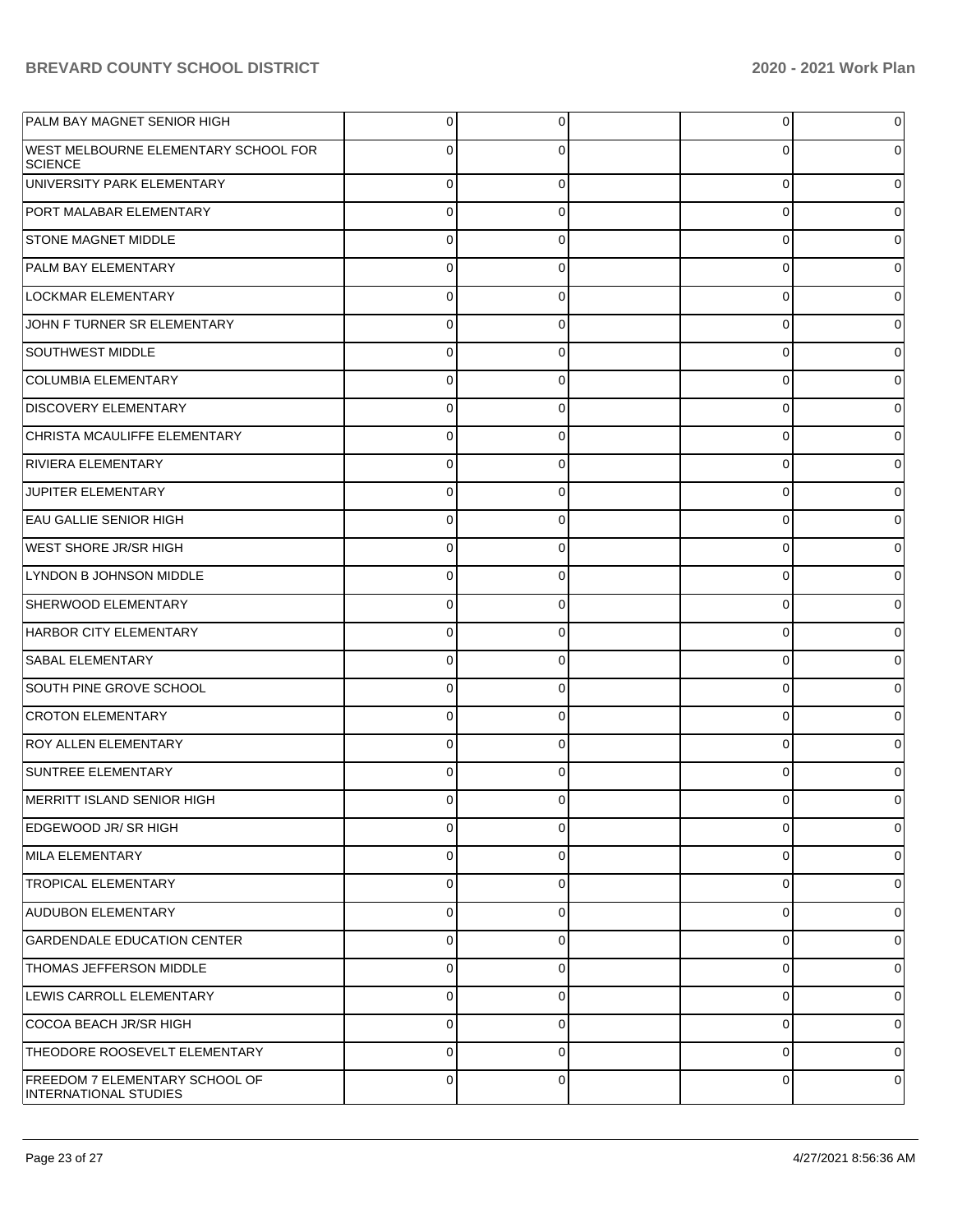| PALM BAY MAGNET SENIOR HIGH                                   | $\overline{0}$ | $\overline{0}$ | 0           | 0           |
|---------------------------------------------------------------|----------------|----------------|-------------|-------------|
| <b>WEST MELBOURNE ELEMENTARY SCHOOL FOR</b><br><b>SCIENCE</b> | 0              | 0              | 0           | 0           |
| UNIVERSITY PARK ELEMENTARY                                    | $\Omega$       | $\Omega$       | $\mathbf 0$ | $\Omega$    |
| PORT MALABAR ELEMENTARY                                       | $\Omega$       | $\mathbf 0$    | $\Omega$    | 0           |
| <b>STONE MAGNET MIDDLE</b>                                    | $\Omega$       | $\mathbf 0$    | 0           | $\Omega$    |
| <b>PALM BAY ELEMENTARY</b>                                    | $\mathbf 0$    | 0              | $\mathbf 0$ | $\Omega$    |
| <b>LOCKMAR ELEMENTARY</b>                                     | $\Omega$       | $\mathbf 0$    | 0           | $\Omega$    |
| JOHN F TURNER SR ELEMENTARY                                   | $\Omega$       | $\mathbf 0$    | $\mathbf 0$ | $\Omega$    |
| <b>SOUTHWEST MIDDLE</b>                                       | $\Omega$       | $\Omega$       | $\Omega$    | 0           |
| COLUMBIA ELEMENTARY                                           | $\Omega$       | $\Omega$       | $\Omega$    | $\Omega$    |
| <b>DISCOVERY ELEMENTARY</b>                                   | $\Omega$       | $\mathbf 0$    | 0           | 0           |
| CHRISTA MCAULIFFE ELEMENTARY                                  | $\mathbf 0$    | 0              | $\mathbf 0$ | $\Omega$    |
| RIVIERA ELEMENTARY                                            | $\Omega$       | $\mathbf 0$    | 0           | $\Omega$    |
| JUPITER ELEMENTARY                                            | $\Omega$       | 0              | $\mathbf 0$ | $\Omega$    |
| <b>EAU GALLIE SENIOR HIGH</b>                                 | $\Omega$       | $\Omega$       | $\mathbf 0$ | 0           |
| <b>WEST SHORE JR/SR HIGH</b>                                  | $\Omega$       | $\Omega$       | $\Omega$    | $\Omega$    |
| LYNDON B JOHNSON MIDDLE                                       | $\Omega$       | $\mathbf 0$    | $\mathbf 0$ | 0           |
| SHERWOOD ELEMENTARY                                           | $\mathbf 0$    | 0              | $\mathbf 0$ | $\Omega$    |
| HARBOR CITY ELEMENTARY                                        | $\Omega$       | $\mathbf 0$    | 0           | $\Omega$    |
| <b>SABAL ELEMENTARY</b>                                       | 0              | 0              | $\mathbf 0$ | $\Omega$    |
| SOUTH PINE GROVE SCHOOL                                       | $\Omega$       | $\mathbf 0$    | $\mathbf 0$ | 0           |
| <b>CROTON ELEMENTARY</b>                                      | $\Omega$       | $\Omega$       | $\Omega$    | $\Omega$    |
| <b>ROY ALLEN ELEMENTARY</b>                                   | $\Omega$       | $\Omega$       | $\mathbf 0$ | 0           |
| SUNTREE ELEMENTARY                                            | $\Omega$       | $\Omega$       | $\Omega$    | 0           |
| MERRITT ISLAND SENIOR HIGH                                    | $\Omega$       | 0              | 0           | 0           |
| EDGEWOOD JR/ SR HIGH                                          | $\Omega$       | $\mathbf 0$    | $\mathbf 0$ | 0           |
| MILA ELEMENTARY                                               | $\mathbf 0$    | $\mathbf 0$    | $\mathbf 0$ | 0           |
| <b>TROPICAL ELEMENTARY</b>                                    | $\Omega$       | $\Omega$       | $\mathbf 0$ | $\mathbf 0$ |
| <b>AUDUBON ELEMENTARY</b>                                     | 0              | $\mathbf 0$    | $\mathbf 0$ | $\mathbf 0$ |
| <b>GARDENDALE EDUCATION CENTER</b>                            | 0              | $\mathbf 0$    | $\mathbf 0$ | $\mathbf 0$ |
| <b>THOMAS JEFFERSON MIDDLE</b>                                | $\mathbf 0$    | $\mathbf 0$    | $\mathbf 0$ | 0           |
| LEWIS CARROLL ELEMENTARY                                      | 0              | $\mathbf 0$    | $\mathbf 0$ | $\mathbf 0$ |
| COCOA BEACH JR/SR HIGH                                        | $\mathbf 0$    | $\mathbf 0$    | $\mathbf 0$ | 0           |
| THEODORE ROOSEVELT ELEMENTARY                                 | $\Omega$       | $\Omega$       | $\mathbf 0$ | $\mathbf 0$ |
| FREEDOM 7 ELEMENTARY SCHOOL OF<br>INTERNATIONAL STUDIES       | 0              | $\mathbf 0$    | 0           | 0           |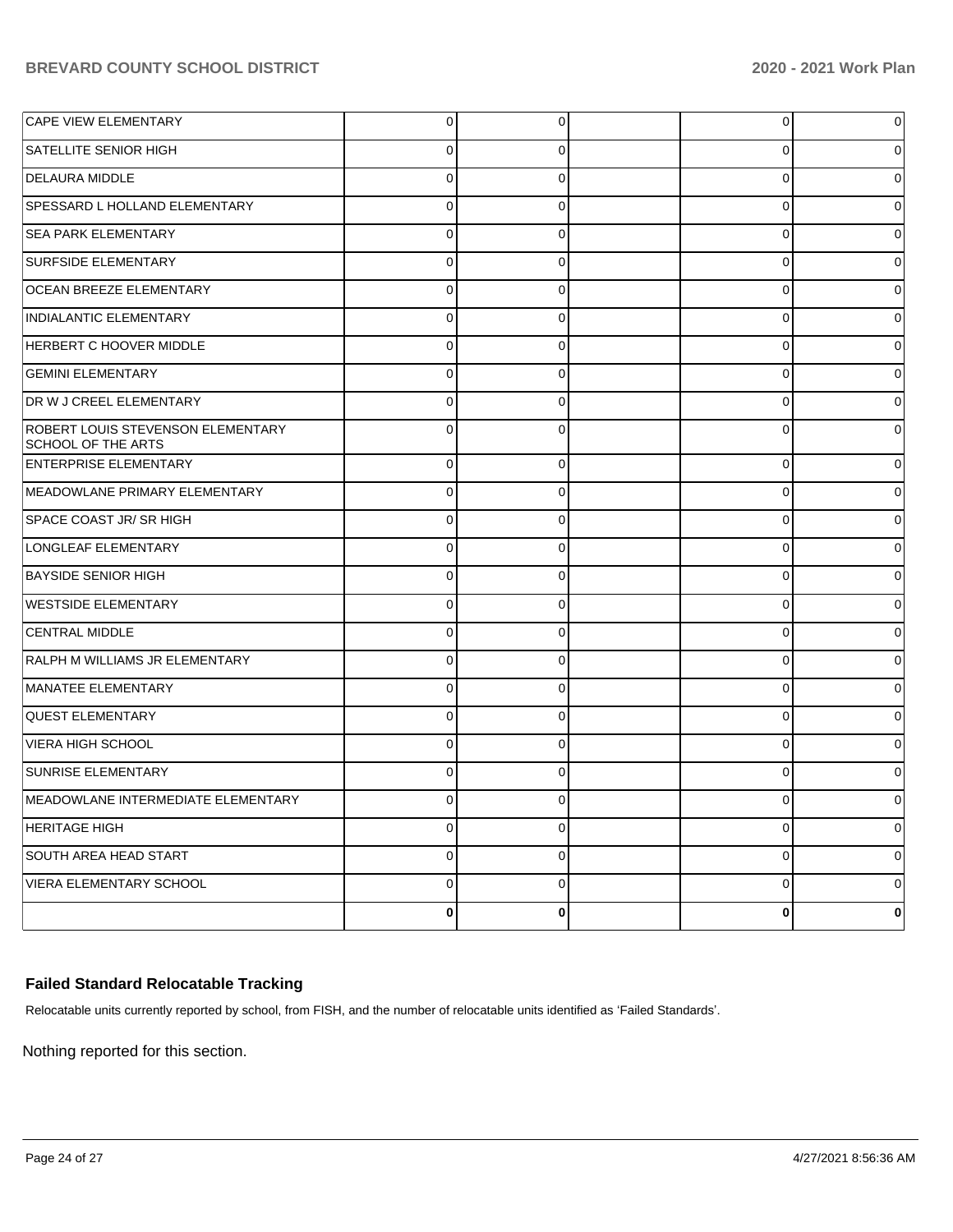|                     | 0           |                                | 0           | 0            |
|---------------------|-------------|--------------------------------|-------------|--------------|
| $\mathbf 0$         | 0           |                                | 0           | 0            |
| $\mathbf 0$         | $\mathbf 0$ |                                | 0           | $\Omega$     |
| $\mathbf 0$         | 0           |                                | 0           | 0            |
| $\mathbf 0$         | $\mathbf 0$ |                                | 0           | $\Omega$     |
| $\mathbf 0$         | $\mathbf 0$ |                                | 0           | 0            |
| $\mathbf 0$         | $\mathbf 0$ |                                | 0           | $\Omega$     |
| $\mathbf 0$         | 0           |                                | 0           | 0            |
| $\mathbf 0$         | $\mathbf 0$ |                                | 0           | $\Omega$     |
| $\mathbf 0$         | $\mathbf 0$ |                                | 0           | 0            |
| $\mathbf 0$         | $\mathbf 0$ |                                | 0           | $\Omega$     |
| $\mathbf 0$         | 0           |                                | 0           | $\Omega$     |
| $\mathbf 0$         | $\Omega$    |                                | 0           | $\Omega$     |
| $\mathbf 0$         | $\Omega$    |                                | 0           | 0            |
| $\mathbf 0$         | $\Omega$    |                                | 0           | 0            |
| $\mathbf 0$         | $\Omega$    |                                | 0           | 0            |
| $\mathbf 0$         | $\Omega$    |                                | 0           | 0            |
| $\mathbf 0$         | $\Omega$    |                                | 0           | 0            |
| $\mathbf 0$         | $\Omega$    |                                | 0           | 0            |
| $\mathbf 0$         | $\Omega$    |                                | 0           | 0            |
| $\mathbf 0$         | $\Omega$    |                                | 0           | 0            |
| $\mathbf 0$         | $\Omega$    |                                | 0           | 0            |
| $\Omega$            | $\Omega$    |                                | 0           | 0            |
| $\Omega$            | $\Omega$    |                                | $\Omega$    | <sup>0</sup> |
| $\Omega$            | $\Omega$    |                                | 0           | 0            |
| $\mathbf 0$         | $\mathbf 0$ |                                | 0           | $\mathbf 0$  |
| $\overline{0}$      | $\mathbf 0$ |                                | 0           | 0            |
| $\mathsf{O}\xspace$ | $\mathbf 0$ |                                | $\mathbf 0$ | 0            |
|                     | 0           |                                | $\pmb{0}$   | 0            |
|                     |             | $\overline{0}$<br>$\mathbf{0}$ |             |              |

# **Failed Standard Relocatable Tracking**

Relocatable units currently reported by school, from FISH, and the number of relocatable units identified as 'Failed Standards'.

Nothing reported for this section.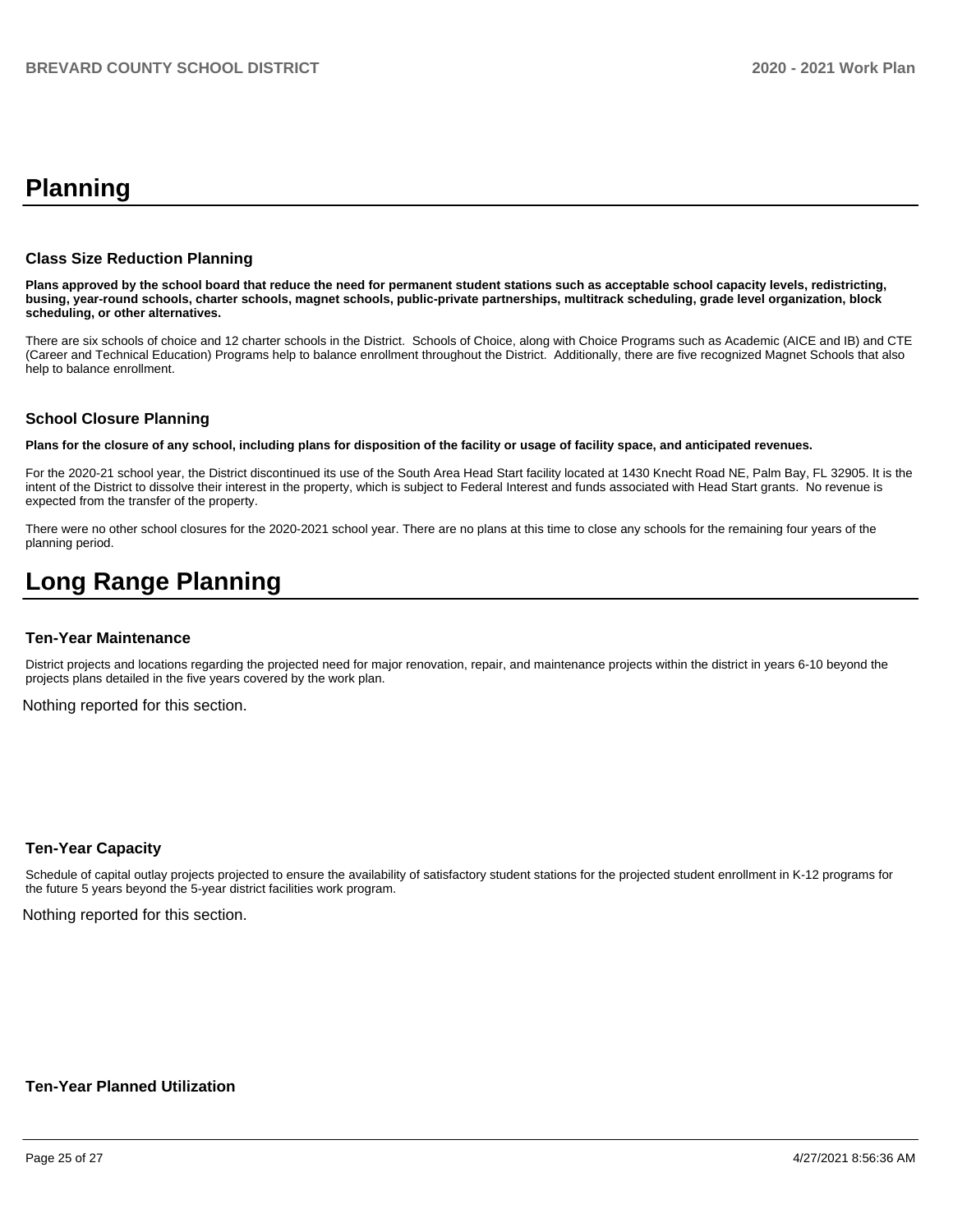# **Planning**

#### **Class Size Reduction Planning**

**Plans approved by the school board that reduce the need for permanent student stations such as acceptable school capacity levels, redistricting, busing, year-round schools, charter schools, magnet schools, public-private partnerships, multitrack scheduling, grade level organization, block scheduling, or other alternatives.**

There are six schools of choice and 12 charter schools in the District. Schools of Choice, along with Choice Programs such as Academic (AICE and IB) and CTE (Career and Technical Education) Programs help to balance enrollment throughout the District. Additionally, there are five recognized Magnet Schools that also help to balance enrollment.

#### **School Closure Planning**

**Plans for the closure of any school, including plans for disposition of the facility or usage of facility space, and anticipated revenues.** 

For the 2020-21 school year, the District discontinued its use of the South Area Head Start facility located at 1430 Knecht Road NE, Palm Bay, FL 32905. It is the intent of the District to dissolve their interest in the property, which is subject to Federal Interest and funds associated with Head Start grants. No revenue is expected from the transfer of the property.

There were no other school closures for the 2020-2021 school year. There are no plans at this time to close any schools for the remaining four years of the planning period.

# **Long Range Planning**

#### **Ten-Year Maintenance**

District projects and locations regarding the projected need for major renovation, repair, and maintenance projects within the district in years 6-10 beyond the projects plans detailed in the five years covered by the work plan.

Nothing reported for this section.

#### **Ten-Year Capacity**

Schedule of capital outlay projects projected to ensure the availability of satisfactory student stations for the projected student enrollment in K-12 programs for the future 5 years beyond the 5-year district facilities work program.

Nothing reported for this section.

## **Ten-Year Planned Utilization**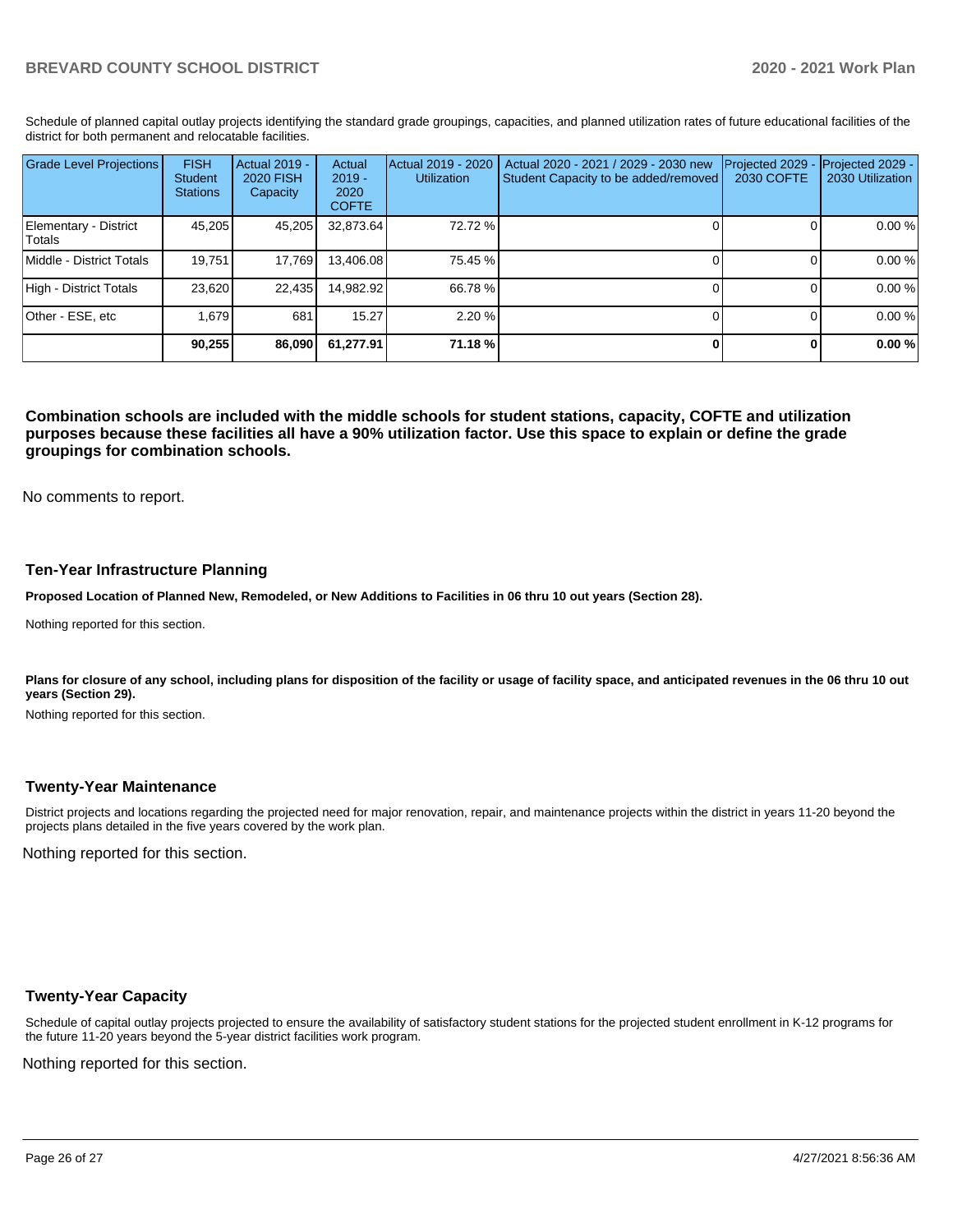Schedule of planned capital outlay projects identifying the standard grade groupings, capacities, and planned utilization rates of future educational facilities of the district for both permanent and relocatable facilities.

| <b>Grade Level Projections</b>   | <b>FISH</b><br>Student<br><b>Stations</b> | <b>Actual 2019 -</b><br>2020 FISH<br>Capacity | Actual<br>$2019 -$<br>2020<br><b>COFTE</b> | Actual 2019 - 2020<br><b>Utilization</b> | Actual 2020 - 2021 / 2029 - 2030 new<br>Student Capacity to be added/removed | Projected 2029<br>2030 COFTE | Projected 2029 -<br>2030 Utilization |
|----------------------------------|-------------------------------------------|-----------------------------------------------|--------------------------------------------|------------------------------------------|------------------------------------------------------------------------------|------------------------------|--------------------------------------|
| Elementary - District<br> Totals | 45,205                                    | 45,205                                        | 32,873.64                                  | 72.72 %                                  |                                                                              |                              | 0.00 %                               |
| Middle - District Totals         | 19.751                                    | 17.769                                        | 13.406.08                                  | 75.45 %                                  |                                                                              |                              | 0.00 %                               |
| High - District Totals           | 23.620                                    | 22,435                                        | 14.982.92                                  | 66.78 %                                  |                                                                              |                              | 0.00 %                               |
| Other - ESE, etc                 | 1.679                                     | 681                                           | 15.27                                      | 2.20%                                    |                                                                              |                              | 0.00 %                               |
|                                  | 90,255                                    | 86,090                                        | 61.277.91                                  | 71.18 %                                  |                                                                              |                              | 0.00%                                |

**Combination schools are included with the middle schools for student stations, capacity, COFTE and utilization purposes because these facilities all have a 90% utilization factor. Use this space to explain or define the grade groupings for combination schools.** 

No comments to report.

#### **Ten-Year Infrastructure Planning**

**Proposed Location of Planned New, Remodeled, or New Additions to Facilities in 06 thru 10 out years (Section 28).**

Nothing reported for this section.

Plans for closure of any school, including plans for disposition of the facility or usage of facility space, and anticipated revenues in the 06 thru 10 out **years (Section 29).**

Nothing reported for this section.

#### **Twenty-Year Maintenance**

District projects and locations regarding the projected need for major renovation, repair, and maintenance projects within the district in years 11-20 beyond the projects plans detailed in the five years covered by the work plan.

Nothing reported for this section.

#### **Twenty-Year Capacity**

Schedule of capital outlay projects projected to ensure the availability of satisfactory student stations for the projected student enrollment in K-12 programs for the future 11-20 years beyond the 5-year district facilities work program.

Nothing reported for this section.